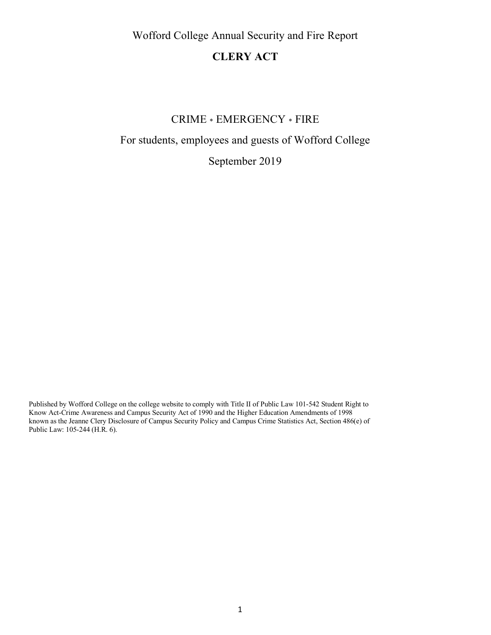Wofford College Annual Security and Fire Report

# **CLERY ACT**

# CRIME \* EMERGENCY \* FIRE

# For students, employees and guests of Wofford College

September 2019

Published by Wofford College on the college website to comply with Title II of Public Law 101-542 Student Right to Know Act-Crime Awareness and Campus Security Act of 1990 and the Higher Education Amendments of 1998 known as the Jeanne Clery Disclosure of Campus Security Policy and Campus Crime Statistics Act, Section 486(e) of Public Law: 105-244 (H.R. 6).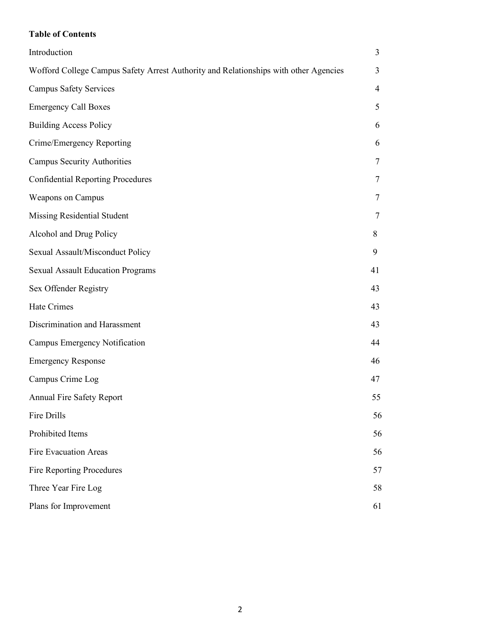# **Table of Contents**

| Introduction                                                                         | 3  |
|--------------------------------------------------------------------------------------|----|
| Wofford College Campus Safety Arrest Authority and Relationships with other Agencies | 3  |
| <b>Campus Safety Services</b>                                                        | 4  |
| <b>Emergency Call Boxes</b>                                                          | 5  |
| <b>Building Access Policy</b>                                                        | 6  |
| Crime/Emergency Reporting                                                            | 6  |
| <b>Campus Security Authorities</b>                                                   | 7  |
| <b>Confidential Reporting Procedures</b>                                             | 7  |
| Weapons on Campus                                                                    | 7  |
| Missing Residential Student                                                          | 7  |
| Alcohol and Drug Policy                                                              | 8  |
| Sexual Assault/Misconduct Policy                                                     | 9  |
| <b>Sexual Assault Education Programs</b>                                             | 41 |
| Sex Offender Registry                                                                | 43 |
| Hate Crimes                                                                          | 43 |
| Discrimination and Harassment                                                        | 43 |
| Campus Emergency Notification                                                        | 44 |
| <b>Emergency Response</b>                                                            | 46 |
| Campus Crime Log                                                                     | 47 |
| Annual Fire Safety Report                                                            | 55 |
| Fire Drills                                                                          | 56 |
| Prohibited Items                                                                     | 56 |
| Fire Evacuation Areas                                                                | 56 |
| Fire Reporting Procedures                                                            | 57 |
| Three Year Fire Log                                                                  | 58 |
| Plans for Improvement                                                                | 61 |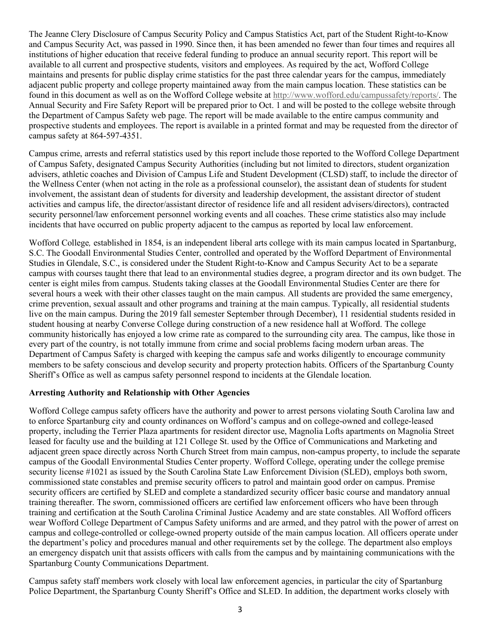The Jeanne Clery Disclosure of Campus Security Policy and Campus Statistics Act, part of the Student Right-to-Know and Campus Security Act, was passed in 1990. Since then, it has been amended no fewer than four times and requires all institutions of higher education that receive federal funding to produce an annual security report. This report will be available to all current and prospective students, visitors and employees. As required by the act, Wofford College maintains and presents for public display crime statistics for the past three calendar years for the campus, immediately adjacent public property and college property maintained away from the main campus location. These statistics can be found in this document as well as on the Wofford College website at http://www.wofford.edu/campussafety/reports/. The Annual Security and Fire Safety Report will be prepared prior to Oct. 1 and will be posted to the college website through the Department of Campus Safety web page. The report will be made available to the entire campus community and prospective students and employees. The report is available in a printed format and may be requested from the director of campus safety at 864-597-4351.

Campus crime, arrests and referral statistics used by this report include those reported to the Wofford College Department of Campus Safety, designated Campus Security Authorities (including but not limited to directors, student organization advisers, athletic coaches and Division of Campus Life and Student Development (CLSD) staff, to include the director of the Wellness Center (when not acting in the role as a professional counselor), the assistant dean of students for student involvement, the assistant dean of students for diversity and leadership development, the assistant director of student activities and campus life, the director/assistant director of residence life and all resident advisers/directors), contracted security personnel/law enforcement personnel working events and all coaches. These crime statistics also may include incidents that have occurred on public property adjacent to the campus as reported by local law enforcement.

Wofford College*,* established in 1854, is an independent liberal arts college with its main campus located in Spartanburg, S.C. The Goodall Environmental Studies Center, controlled and operated by the Wofford Department of Environmental Studies in Glendale, S.C., is considered under the Student Right-to-Know and Campus Security Act to be a separate campus with courses taught there that lead to an environmental studies degree, a program director and its own budget. The center is eight miles from campus. Students taking classes at the Goodall Environmental Studies Center are there for several hours a week with their other classes taught on the main campus. All students are provided the same emergency, crime prevention, sexual assault and other programs and training at the main campus. Typically, all residential students live on the main campus. During the 2019 fall semester September through December), 11 residential students resided in student housing at nearby Converse College during construction of a new residence hall at Wofford. The college community historically has enjoyed a low crime rate as compared to the surrounding city area. The campus, like those in every part of the country, is not totally immune from crime and social problems facing modern urban areas. The Department of Campus Safety is charged with keeping the campus safe and works diligently to encourage community members to be safety conscious and develop security and property protection habits. Officers of the Spartanburg County Sheriff's Office as well as campus safety personnel respond to incidents at the Glendale location.

#### **Arresting Authority and Relationship with Other Agencies**

Wofford College campus safety officers have the authority and power to arrest persons violating South Carolina law and to enforce Spartanburg city and county ordinances on Wofford's campus and on college-owned and college-leased property, including the Terrier Plaza apartments for resident director use, Magnolia Lofts apartments on Magnolia Street leased for faculty use and the building at 121 College St. used by the Office of Communications and Marketing and adjacent green space directly across North Church Street from main campus, non-campus property, to include the separate campus of the Goodall Environmental Studies Center property. Wofford College, operating under the college premise security license #1021 as issued by the South Carolina State Law Enforcement Division (SLED), employs both sworn, commissioned state constables and premise security officers to patrol and maintain good order on campus. Premise security officers are certified by SLED and complete a standardized security officer basic course and mandatory annual training thereafter. The sworn, commissioned officers are certified law enforcement officers who have been through training and certification at the South Carolina Criminal Justice Academy and are state constables. All Wofford officers wear Wofford College Department of Campus Safety uniforms and are armed, and they patrol with the power of arrest on campus and college-controlled or college-owned property outside of the main campus location. All officers operate under the department's policy and procedures manual and other requirements set by the college. The department also employs an emergency dispatch unit that assists officers with calls from the campus and by maintaining communications with the Spartanburg County Communications Department.

Campus safety staff members work closely with local law enforcement agencies, in particular the city of Spartanburg Police Department, the Spartanburg County Sheriff's Office and SLED. In addition, the department works closely with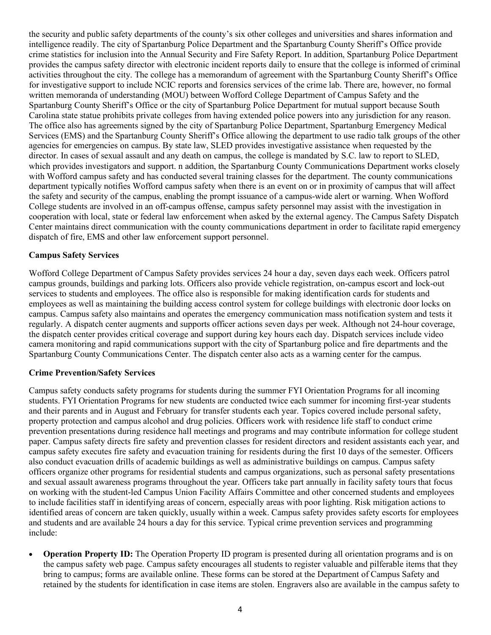the security and public safety departments of the county's six other colleges and universities and shares information and intelligence readily. The city of Spartanburg Police Department and the Spartanburg County Sheriff's Office provide crime statistics for inclusion into the Annual Security and Fire Safety Report. In addition, Spartanburg Police Department provides the campus safety director with electronic incident reports daily to ensure that the college is informed of criminal activities throughout the city. The college has a memorandum of agreement with the Spartanburg County Sheriff's Office for investigative support to include NCIC reports and forensics services of the crime lab. There are, however, no formal written memoranda of understanding (MOU) between Wofford College Department of Campus Safety and the Spartanburg County Sheriff's Office or the city of Spartanburg Police Department for mutual support because South Carolina state statue prohibits private colleges from having extended police powers into any jurisdiction for any reason. The office also has agreements signed by the city of Spartanburg Police Department, Spartanburg Emergency Medical Services (EMS) and the Spartanburg County Sheriff's Office allowing the department to use radio talk groups of the other agencies for emergencies on campus. By state law, SLED provides investigative assistance when requested by the director. In cases of sexual assault and any death on campus, the college is mandated by S.C. law to report to SLED, which provides investigators and support. n addition, the Spartanburg County Communications Department works closely with Wofford campus safety and has conducted several training classes for the department. The county communications department typically notifies Wofford campus safety when there is an event on or in proximity of campus that will affect the safety and security of the campus, enabling the prompt issuance of a campus-wide alert or warning. When Wofford College students are involved in an off-campus offense, campus safety personnel may assist with the investigation in cooperation with local, state or federal law enforcement when asked by the external agency. The Campus Safety Dispatch Center maintains direct communication with the county communications department in order to facilitate rapid emergency dispatch of fire, EMS and other law enforcement support personnel.

#### **Campus Safety Services**

Wofford College Department of Campus Safety provides services 24 hour a day, seven days each week. Officers patrol campus grounds, buildings and parking lots. Officers also provide vehicle registration, on-campus escort and lock-out services to students and employees. The office also is responsible for making identification cards for students and employees as well as maintaining the building access control system for college buildings with electronic door locks on campus. Campus safety also maintains and operates the emergency communication mass notification system and tests it regularly. A dispatch center augments and supports officer actions seven days per week. Although not 24-hour coverage, the dispatch center provides critical coverage and support during key hours each day. Dispatch services include video camera monitoring and rapid communications support with the city of Spartanburg police and fire departments and the Spartanburg County Communications Center. The dispatch center also acts as a warning center for the campus.

#### **Crime Prevention/Safety Services**

Campus safety conducts safety programs for students during the summer FYI Orientation Programs for all incoming students. FYI Orientation Programs for new students are conducted twice each summer for incoming first-year students and their parents and in August and February for transfer students each year. Topics covered include personal safety, property protection and campus alcohol and drug policies. Officers work with residence life staff to conduct crime prevention presentations during residence hall meetings and programs and may contribute information for college student paper. Campus safety directs fire safety and prevention classes for resident directors and resident assistants each year, and campus safety executes fire safety and evacuation training for residents during the first 10 days of the semester. Officers also conduct evacuation drills of academic buildings as well as administrative buildings on campus. Campus safety officers organize other programs for residential students and campus organizations, such as personal safety presentations and sexual assault awareness programs throughout the year. Officers take part annually in facility safety tours that focus on working with the student-led Campus Union Facility Affairs Committee and other concerned students and employees to include facilities staff in identifying areas of concern, especially areas with poor lighting. Risk mitigation actions to identified areas of concern are taken quickly, usually within a week. Campus safety provides safety escorts for employees and students and are available 24 hours a day for this service. Typical crime prevention services and programming include:

• **Operation Property ID:** The Operation Property ID program is presented during all orientation programs and is on the campus safety web page. Campus safety encourages all students to register valuable and pilferable items that they bring to campus; forms are available online. These forms can be stored at the Department of Campus Safety and retained by the students for identification in case items are stolen. Engravers also are available in the campus safety to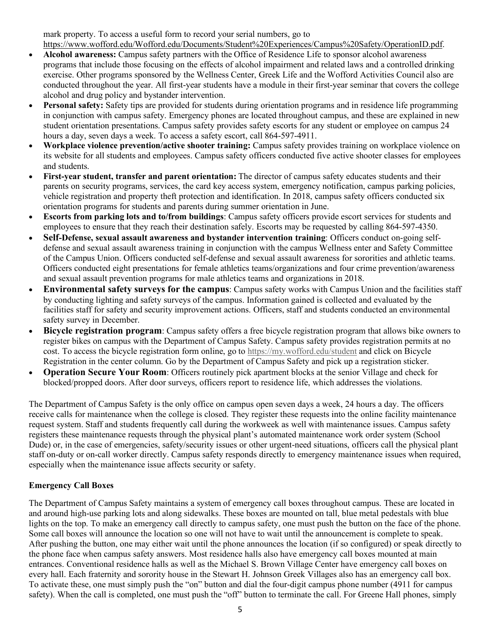mark property. To access a useful form to record your serial numbers, go to https://www.wofford.edu/Wofford.edu/Documents/Student%20Experiences/Campus%20Safety/OperationID.pdf.

- **Alcohol awareness:** Campus safety partners with the Office of Residence Life to sponsor alcohol awareness programs that include those focusing on the effects of alcohol impairment and related laws and a controlled drinking exercise. Other programs sponsored by the Wellness Center, Greek Life and the Wofford Activities Council also are conducted throughout the year. All first-year students have a module in their first-year seminar that covers the college alcohol and drug policy and bystander intervention.
- **Personal safety:** Safety tips are provided for students during orientation programs and in residence life programming in conjunction with campus safety. Emergency phones are located throughout campus, and these are explained in new student orientation presentations. Campus safety provides safety escorts for any student or employee on campus 24 hours a day, seven days a week. To access a safety escort, call 864-597-4911.
- **Workplace violence prevention/active shooter training:** Campus safety provides training on workplace violence on its website for all students and employees. Campus safety officers conducted five active shooter classes for employees and students.
- **First-year student, transfer and parent orientation:** The director of campus safety educates students and their parents on security programs, services, the card key access system, emergency notification, campus parking policies, vehicle registration and property theft protection and identification. In 2018, campus safety officers conducted six orientation programs for students and parents during summer orientation in June.
- **Escorts from parking lots and to/from buildings**: Campus safety officers provide escort services for students and employees to ensure that they reach their destination safely. Escorts may be requested by calling 864-597-4350.
- **Self-Defense, sexual assault awareness and bystander intervention training**: Officers conduct on-going selfdefense and sexual assault awareness training in conjunction with the campus Wellness enter and Safety Committee of the Campus Union. Officers conducted self-defense and sexual assault awareness for sororities and athletic teams. Officers conducted eight presentations for female athletics teams/organizations and four crime prevention/awareness and sexual assault prevention programs for male athletics teams and organizations in 2018.
- **Environmental safety surveys for the campus**: Campus safety works with Campus Union and the facilities staff by conducting lighting and safety surveys of the campus. Information gained is collected and evaluated by the facilities staff for safety and security improvement actions. Officers, staff and students conducted an environmental safety survey in December.
- **Bicycle registration program**: Campus safety offers a free bicycle registration program that allows bike owners to register bikes on campus with the Department of Campus Safety. Campus safety provides registration permits at no cost. To access the bicycle registration form online, go to https://my.wofford.edu/student and click on Bicycle Registration in the center column. Go by the Department of Campus Safety and pick up a registration sticker.
- **Operation Secure Your Room**: Officers routinely pick apartment blocks at the senior Village and check for blocked/propped doors. After door surveys, officers report to residence life, which addresses the violations.

The Department of Campus Safety is the only office on campus open seven days a week, 24 hours a day. The officers receive calls for maintenance when the college is closed. They register these requests into the online facility maintenance request system. Staff and students frequently call during the workweek as well with maintenance issues. Campus safety registers these maintenance requests through the physical plant's automated maintenance work order system (School Dude) or, in the case of emergencies, safety/security issues or other urgent-need situations, officers call the physical plant staff on-duty or on-call worker directly. Campus safety responds directly to emergency maintenance issues when required, especially when the maintenance issue affects security or safety.

# **Emergency Call Boxes**

The Department of Campus Safety maintains a system of emergency call boxes throughout campus. These are located in and around high-use parking lots and along sidewalks. These boxes are mounted on tall, blue metal pedestals with blue lights on the top. To make an emergency call directly to campus safety, one must push the button on the face of the phone. Some call boxes will announce the location so one will not have to wait until the announcement is complete to speak. After pushing the button, one may either wait until the phone announces the location (if so configured) or speak directly to the phone face when campus safety answers. Most residence halls also have emergency call boxes mounted at main entrances. Conventional residence halls as well as the Michael S. Brown Village Center have emergency call boxes on every hall. Each fraternity and sorority house in the Stewart H. Johnson Greek Villages also has an emergency call box. To activate these, one must simply push the "on" button and dial the four-digit campus phone number (4911 for campus safety). When the call is completed, one must push the "off" button to terminate the call. For Greene Hall phones, simply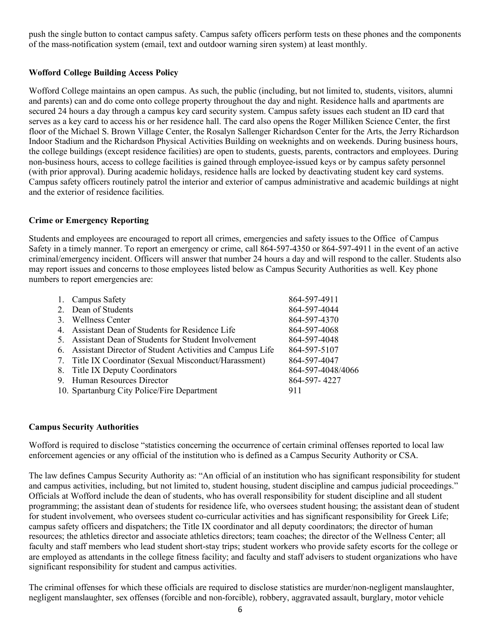push the single button to contact campus safety. Campus safety officers perform tests on these phones and the components of the mass-notification system (email, text and outdoor warning siren system) at least monthly.

# **Wofford College Building Access Policy**

Wofford College maintains an open campus. As such, the public (including, but not limited to, students, visitors, alumni and parents) can and do come onto college property throughout the day and night. Residence halls and apartments are secured 24 hours a day through a campus key card security system. Campus safety issues each student an ID card that serves as a key card to access his or her residence hall. The card also opens the Roger Milliken Science Center, the first floor of the Michael S. Brown Village Center, the Rosalyn Sallenger Richardson Center for the Arts, the Jerry Richardson Indoor Stadium and the Richardson Physical Activities Building on weeknights and on weekends. During business hours, the college buildings (except residence facilities) are open to students, guests, parents, contractors and employees. During non-business hours, access to college facilities is gained through employee-issued keys or by campus safety personnel (with prior approval). During academic holidays, residence halls are locked by deactivating student key card systems. Campus safety officers routinely patrol the interior and exterior of campus administrative and academic buildings at night and the exterior of residence facilities.

# **Crime or Emergency Reporting**

Students and employees are encouraged to report all crimes, emergencies and safety issues to the Office of Campus Safety in a timely manner. To report an emergency or crime, call 864-597-4350 or 864-597-4911 in the event of an active criminal/emergency incident. Officers will answer that number 24 hours a day and will respond to the caller. Students also may report issues and concerns to those employees listed below as Campus Security Authorities as well. Key phone numbers to report emergencies are:

|   | 1. Campus Safety                                         | 864-597-4911      |
|---|----------------------------------------------------------|-------------------|
|   | 2. Dean of Students                                      | 864-597-4044      |
| 3 | <b>Wellness Center</b>                                   | 864-597-4370      |
|   | 4. Assistant Dean of Students for Residence Life         | 864-597-4068      |
| 5 | Assistant Dean of Students for Student Involvement       | 864-597-4048      |
| 6 | Assistant Director of Student Activities and Campus Life | 864-597-5107      |
|   | 7. Title IX Coordinator (Sexual Misconduct/Harassment)   | 864-597-4047      |
|   | 8. Title IX Deputy Coordinators                          | 864-597-4048/4066 |
|   | 9. Human Resources Director                              | 864-597-4227      |
|   | 10. Spartanburg City Police/Fire Department              | 911               |
|   |                                                          |                   |

# **Campus Security Authorities**

Wofford is required to disclose "statistics concerning the occurrence of certain criminal offenses reported to local law enforcement agencies or any official of the institution who is defined as a Campus Security Authority or CSA.

The law defines Campus Security Authority as: "An official of an institution who has significant responsibility for student and campus activities, including, but not limited to, student housing, student discipline and campus judicial proceedings." Officials at Wofford include the dean of students, who has overall responsibility for student discipline and all student programming; the assistant dean of students for residence life, who oversees student housing; the assistant dean of student for student involvement, who oversees student co-curricular activities and has significant responsibility for Greek Life; campus safety officers and dispatchers; the Title IX coordinator and all deputy coordinators; the director of human resources; the athletics director and associate athletics directors; team coaches; the director of the Wellness Center; all faculty and staff members who lead student short-stay trips; student workers who provide safety escorts for the college or are employed as attendants in the college fitness facility; and faculty and staff advisers to student organizations who have significant responsibility for student and campus activities.

The criminal offenses for which these officials are required to disclose statistics are murder/non-negligent manslaughter, negligent manslaughter, sex offenses (forcible and non-forcible), robbery, aggravated assault, burglary, motor vehicle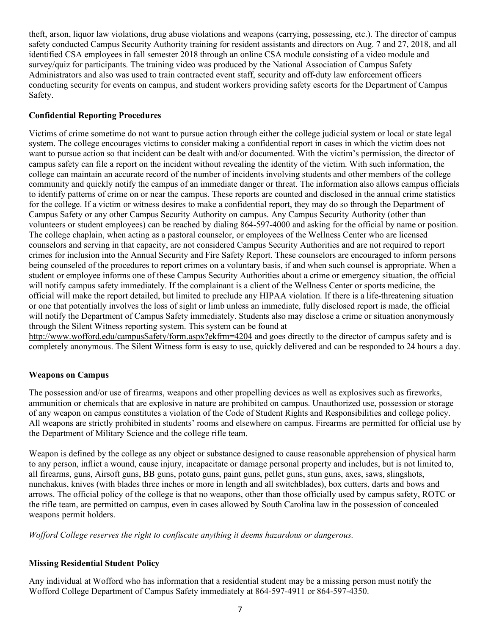theft, arson, liquor law violations, drug abuse violations and weapons (carrying, possessing, etc.). The director of campus safety conducted Campus Security Authority training for resident assistants and directors on Aug. 7 and 27, 2018, and all identified CSA employees in fall semester 2018 through an online CSA module consisting of a video module and survey/quiz for participants. The training video was produced by the National Association of Campus Safety Administrators and also was used to train contracted event staff, security and off-duty law enforcement officers conducting security for events on campus, and student workers providing safety escorts for the Department of Campus Safety.

## **Confidential Reporting Procedures**

Victims of crime sometime do not want to pursue action through either the college judicial system or local or state legal system. The college encourages victims to consider making a confidential report in cases in which the victim does not want to pursue action so that incident can be dealt with and/or documented. With the victim's permission, the director of campus safety can file a report on the incident without revealing the identity of the victim. With such information, the college can maintain an accurate record of the number of incidents involving students and other members of the college community and quickly notify the campus of an immediate danger or threat. The information also allows campus officials to identify patterns of crime on or near the campus. These reports are counted and disclosed in the annual crime statistics for the college. If a victim or witness desires to make a confidential report, they may do so through the Department of Campus Safety or any other Campus Security Authority on campus. Any Campus Security Authority (other than volunteers or student employees) can be reached by dialing 864-597-4000 and asking for the official by name or position. The college chaplain, when acting as a pastoral counselor, or employees of the Wellness Center who are licensed counselors and serving in that capacity, are not considered Campus Security Authorities and are not required to report crimes for inclusion into the Annual Security and Fire Safety Report. These counselors are encouraged to inform persons being counseled of the procedures to report crimes on a voluntary basis, if and when such counsel is appropriate. When a student or employee informs one of these Campus Security Authorities about a crime or emergency situation, the official will notify campus safety immediately. If the complainant is a client of the Wellness Center or sports medicine, the official will make the report detailed, but limited to preclude any HIPAA violation. If there is a life-threatening situation or one that potentially involves the loss of sight or limb unless an immediate, fully disclosed report is made, the official will notify the Department of Campus Safety immediately. Students also may disclose a crime or situation anonymously through the Silent Witness reporting system. This system can be found at

http://www.wofford.edu/campusSafety/form.aspx?ekfrm=4204 and goes directly to the director of campus safety and is completely anonymous. The Silent Witness form is easy to use, quickly delivered and can be responded to 24 hours a day.

#### **Weapons on Campus**

The possession and/or use of firearms, weapons and other propelling devices as well as explosives such as fireworks, ammunition or chemicals that are explosive in nature are prohibited on campus. Unauthorized use, possession or storage of any weapon on campus constitutes a violation of the Code of Student Rights and Responsibilities and college policy. All weapons are strictly prohibited in students' rooms and elsewhere on campus. Firearms are permitted for official use by the Department of Military Science and the college rifle team.

Weapon is defined by the college as any object or substance designed to cause reasonable apprehension of physical harm to any person, inflict a wound, cause injury, incapacitate or damage personal property and includes, but is not limited to, all firearms, guns, Airsoft guns, BB guns, potato guns, paint guns, pellet guns, stun guns, axes, saws, slingshots, nunchakus, knives (with blades three inches or more in length and all switchblades), box cutters, darts and bows and arrows. The official policy of the college is that no weapons, other than those officially used by campus safety, ROTC or the rifle team, are permitted on campus, even in cases allowed by South Carolina law in the possession of concealed weapons permit holders.

*Wofford College reserves the right to confiscate anything it deems hazardous or dangerous.* 

#### **Missing Residential Student Policy**

Any individual at Wofford who has information that a residential student may be a missing person must notify the Wofford College Department of Campus Safety immediately at 864-597-4911 or 864-597-4350.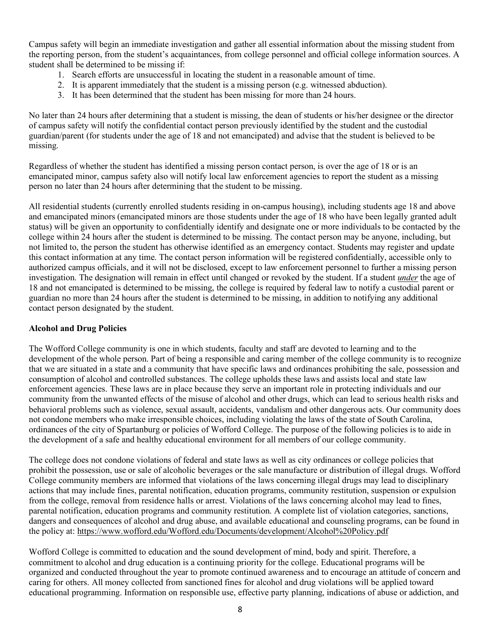Campus safety will begin an immediate investigation and gather all essential information about the missing student from the reporting person, from the student's acquaintances, from college personnel and official college information sources. A student shall be determined to be missing if:

- 1. Search efforts are unsuccessful in locating the student in a reasonable amount of time.
- 2. It is apparent immediately that the student is a missing person (e.g. witnessed abduction).
- 3. It has been determined that the student has been missing for more than 24 hours.

No later than 24 hours after determining that a student is missing, the dean of students or his/her designee or the director of campus safety will notify the confidential contact person previously identified by the student and the custodial guardian/parent (for students under the age of 18 and not emancipated) and advise that the student is believed to be missing.

Regardless of whether the student has identified a missing person contact person, is over the age of 18 or is an emancipated minor, campus safety also will notify local law enforcement agencies to report the student as a missing person no later than 24 hours after determining that the student to be missing.

All residential students (currently enrolled students residing in on-campus housing), including students age 18 and above and emancipated minors (emancipated minors are those students under the age of 18 who have been legally granted adult status) will be given an opportunity to confidentially identify and designate one or more individuals to be contacted by the college within 24 hours after the student is determined to be missing. The contact person may be anyone, including, but not limited to, the person the student has otherwise identified as an emergency contact. Students may register and update this contact information at any time. The contact person information will be registered confidentially, accessible only to authorized campus officials, and it will not be disclosed, except to law enforcement personnel to further a missing person investigation. The designation will remain in effect until changed or revoked by the student. If a student *under* the age of 18 and not emancipated is determined to be missing, the college is required by federal law to notify a custodial parent or guardian no more than 24 hours after the student is determined to be missing, in addition to notifying any additional contact person designated by the student.

#### **Alcohol and Drug Policies**

The Wofford College community is one in which students, faculty and staff are devoted to learning and to the development of the whole person. Part of being a responsible and caring member of the college community is to recognize that we are situated in a state and a community that have specific laws and ordinances prohibiting the sale, possession and consumption of alcohol and controlled substances. The college upholds these laws and assists local and state law enforcement agencies. These laws are in place because they serve an important role in protecting individuals and our community from the unwanted effects of the misuse of alcohol and other drugs, which can lead to serious health risks and behavioral problems such as violence, sexual assault, accidents, vandalism and other dangerous acts. Our community does not condone members who make irresponsible choices, including violating the laws of the state of South Carolina, ordinances of the city of Spartanburg or policies of Wofford College. The purpose of the following policies is to aide in the development of a safe and healthy educational environment for all members of our college community.

The college does not condone violations of federal and state laws as well as city ordinances or college policies that prohibit the possession, use or sale of alcoholic beverages or the sale manufacture or distribution of illegal drugs. Wofford College community members are informed that violations of the laws concerning illegal drugs may lead to disciplinary actions that may include fines, parental notification, education programs, community restitution, suspension or expulsion from the college, removal from residence halls or arrest. Violations of the laws concerning alcohol may lead to fines, parental notification, education programs and community restitution. A complete list of violation categories, sanctions, dangers and consequences of alcohol and drug abuse, and available educational and counseling programs, can be found in the policy at: https://www.wofford.edu/Wofford.edu/Documents/development/Alcohol%20Policy.pdf

Wofford College is committed to education and the sound development of mind, body and spirit. Therefore, a commitment to alcohol and drug education is a continuing priority for the college. Educational programs will be organized and conducted throughout the year to promote continued awareness and to encourage an attitude of concern and caring for others. All money collected from sanctioned fines for alcohol and drug violations will be applied toward educational programming. Information on responsible use, effective party planning, indications of abuse or addiction, and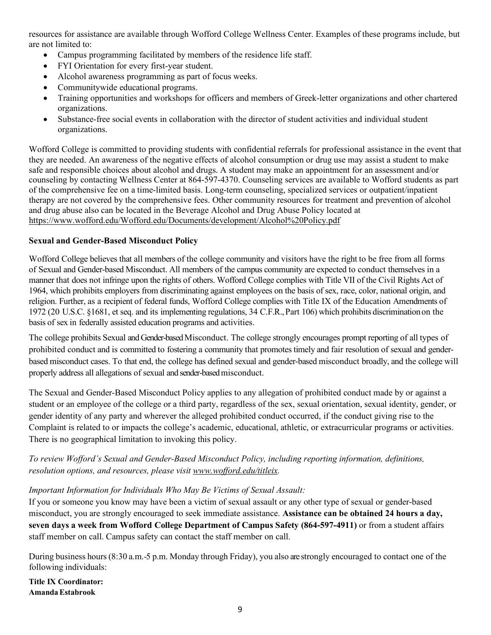resources for assistance are available through Wofford College Wellness Center. Examples of these programs include, but are not limited to:

- Campus programming facilitated by members of the residence life staff.
- FYI Orientation for every first-year student.
- Alcohol awareness programming as part of focus weeks.
- Communitywide educational programs.
- Training opportunities and workshops for officers and members of Greek-letter organizations and other chartered organizations.
- Substance-free social events in collaboration with the director of student activities and individual student organizations.

Wofford College is committed to providing students with confidential referrals for professional assistance in the event that they are needed. An awareness of the negative effects of alcohol consumption or drug use may assist a student to make safe and responsible choices about alcohol and drugs. A student may make an appointment for an assessment and/or counseling by contacting Wellness Center at 864-597-4370. Counseling services are available to Wofford students as part of the comprehensive fee on a time-limited basis. Long-term counseling, specialized services or outpatient/inpatient therapy are not covered by the comprehensive fees. Other community resources for treatment and prevention of alcohol and drug abuse also can be located in the Beverage Alcohol and Drug Abuse Policy located at https://www.wofford.edu/Wofford.edu/Documents/development/Alcohol%20Policy.pdf

# **Sexual and Gender-Based Misconduct Policy**

Wofford College believes that all members of the college community and visitors have the right to be free from all forms of Sexual and Gender-based Misconduct. All members of the campus community are expected to conduct themselves in a manner that does not infringe upon the rights of others. Wofford College complies with Title VII of the Civil Rights Act of 1964, which prohibits employers from discriminating against employees on the basis of sex, race, color, national origin, and religion. Further, as a recipient of federal funds, Wofford College complies with Title IX of the Education Amendments of 1972 (20 U.S.C. §1681, et seq. and its implementing regulations, 34 C.F.R.,Part 106) which prohibits discriminationon the basis of sex in federally assisted education programs and activities.

The college prohibits Sexual and Gender-based Misconduct. The college strongly encourages prompt reporting of all types of prohibited conduct and is committed to fostering a community that promotes timely and fair resolution of sexual and genderbased misconduct cases. To that end, the college has defined sexual and gender-based misconduct broadly, and the college will properly address all allegations of sexual and sender-based misconduct.

The Sexual and Gender-Based Misconduct Policy applies to any allegation of prohibited conduct made by or against a student or an employee of the college or a third party, regardless of the sex, sexual orientation, sexual identity, gender, or gender identity of any party and wherever the alleged prohibited conduct occurred, if the conduct giving rise to the Complaint is related to or impacts the college's academic, educational, athletic, or extracurricular programs or activities. There is no geographical limitation to invoking this policy.

# *To review Wofford's Sexual and Gender-Based Misconduct Policy, including reporting information, definitions, resolution options, and resources, please visit www.wofford.edu/titleix.*

# *Important Information for Individuals Who May Be Victims of Sexual Assault:*

If you or someone you know may have been a victim of sexual assault or any other type of sexual or gender-based misconduct, you are strongly encouraged to seek immediate assistance. **Assistance can be obtained 24 hours a day, seven days a week from Wofford College Department of Campus Safety (864-597-4911)** or from a student affairs staff member on call. Campus safety can contact the staff member on call.

During business hours (8:30 a.m.-5 p.m. Monday through Friday), you also are strongly encouraged to contact one of the following individuals:

**Title IX Coordinator: AmandaEstabrook**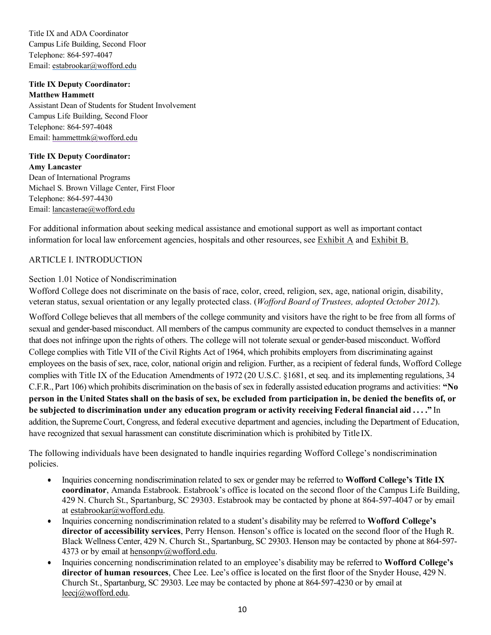Title IX and ADA Coordinator Campus Life Building, Second Floor Telephone: 864-597-4047 Email: estabrookar@wofford.edu

# **Title IX Deputy Coordinator: Matthew Hammett**

Assistant Dean of Students for Student Involvement Campus Life Building, Second Floor Telephone: 864-597-4048 Email: hammettmk@wofford.edu

**Title IX Deputy Coordinator: Amy Lancaster** Dean of International Programs Michael S. Brown Village Center, First Floor Telephone: 864-597-4430 Email: lancasterae@wofford.edu

For additional information about seeking medical assistance and emotional support as well as important contact information for local law enforcement agencies, hospitals and other resources, see Exhibit A and Exhibit B.

# ARTICLE I. INTRODUCTION

# Section 1.01 Notice of Nondiscrimination

Wofford College does not discriminate on the basis of race, color, creed, religion, sex, age, national origin, disability, veteran status, sexual orientation or any legally protected class. (*Wofford Board of Trustees, adopted October 2012*).

Wofford College believes that all members of the college community and visitors have the right to be free from all forms of sexual and gender-based misconduct. All members of the campus community are expected to conduct themselves in a manner that does not infringe upon the rights of others. The college will not tolerate sexual or gender-based misconduct. Wofford College complies with Title VII of the Civil Rights Act of 1964, which prohibits employers from discriminating against employees on the basis of sex, race, color, national origin and religion. Further, as a recipient of federal funds, Wofford College complies with Title IX of the Education Amendments of 1972 (20 U.S.C. §1681, et seq. and its implementing regulations, 34 C.F.R., Part 106) which prohibits discrimination on the basis of sex in federally assisted education programs and activities: **"No person in the United States shall on the basis of sex, be excluded from participation in, be denied the benefits of, or be subjected to discrimination under any education program or activity receiving Federal financial aid . . . ."** In addition, the SupremeCourt, Congress, and federal executive department and agencies, including the Department of Education, have recognized that sexual harassment can constitute discrimination which is prohibited by Title IX.

The following individuals have been designated to handle inquiries regarding Wofford College's nondiscrimination policies.

- Inquiries concerning nondiscrimination related to sex or gender may be referred to **Wofford College's Title IX coordinator**, Amanda Estabrook. Estabrook's office is located on the second floor of the Campus Life Building, 429 N. Church St., Spartanburg, SC 29303. Estabrook may be contacted by phone at 864-597-4047 or by email at estabrookar@wofford.edu.
- Inquiries concerning nondiscrimination related to a student's disability may be referred to **Wofford College's director of accessibility services**, Perry Henson. Henson's office is located on the second floor of the Hugh R. Black Wellness Center, 429 N. Church St., Spartanburg, SC 29303. Henson may be contacted by phone at 864-597- 4373 or by email at hensonpv@wofford.edu.
- Inquiries concerning nondiscrimination related to an employee's disability may be referred to **Wofford College's director of human resources**, Chee Lee. Lee's office is located on the first floor of the Snyder House, 429 N. Church St., Spartanburg, SC 29303. Lee may be contacted by phone at 864-597-4230 or by email at leecj@wofford.edu.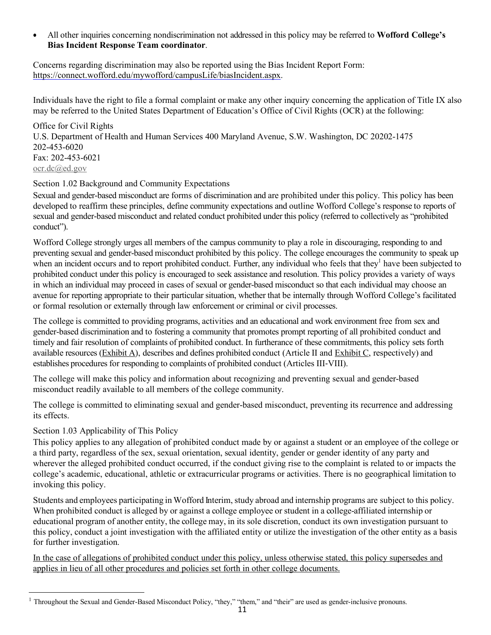• All other inquiries concerning nondiscrimination not addressed in this policy may be referred to **Wofford College's Bias Incident Response Team coordinator**.

Concerns regarding discrimination may also be reported using the Bias Incident Report Form: https://connect.wofford.edu/mywofford/campusLife/biasIncident.aspx.

Individuals have the right to file a formal complaint or make any other inquiry concerning the application of Title IX also may be referred to the United States Department of Education's Office of Civil Rights (OCR) at the following:

Office for Civil Rights U.S. Department of Health and Human Services 400 Maryland Avenue, S.W. Washington, DC 20202-1475 202-453-6020 Fax: 202-453-6021 ocr.dc@ed.gov

# Section 1.02 Background and Community Expectations

Sexual and gender-based misconduct are forms of discrimination and are prohibited under this policy. This policy has been developed to reaffirm these principles, define community expectations and outline Wofford College's response to reports of sexual and gender-based misconduct and related conduct prohibited under this policy (referred to collectively as "prohibited conduct").

Wofford College strongly urges all members of the campus community to play a role in discouraging, responding to and preventing sexual and gender-based misconduct prohibited by this policy. The college encourages the community to speak up when an incident occurs and to report prohibited conduct. Further, any individual who feels that they<sup>1</sup> have been subjected to prohibited conduct under this policy is encouraged to seek assistance and resolution. This policy provides a variety of ways in which an individual may proceed in cases of sexual or gender-based misconduct so that each individual may choose an avenue for reporting appropriate to their particular situation, whether that be internally through Wofford College's facilitated or formal resolution or externally through law enforcement or criminal or civil processes.

The college is committed to providing programs, activities and an educational and work environment free from sex and gender-based discrimination and to fostering a community that promotes prompt reporting of all prohibited conduct and timely and fair resolution of complaints of prohibited conduct. In furtherance of these commitments, this policy sets forth available resources (Exhibit A), describes and defines prohibited conduct (Article II and Exhibit C, respectively) and establishes procedures for responding to complaints of prohibited conduct (Articles III-VIII).

The college will make this policy and information about recognizing and preventing sexual and gender-based misconduct readily available to all members of the college community.

The college is committed to eliminating sexual and gender-based misconduct, preventing its recurrence and addressing its effects.

# Section 1.03 Applicability of This Policy

l

This policy applies to any allegation of prohibited conduct made by or against a student or an employee of the college or a third party, regardless of the sex, sexual orientation, sexual identity, gender or gender identity of any party and wherever the alleged prohibited conduct occurred, if the conduct giving rise to the complaint is related to or impacts the college's academic, educational, athletic or extracurricular programs or activities. There is no geographical limitation to invoking this policy.

Students and employees participating in Wofford Interim, study abroad and internship programs are subject to this policy. When prohibited conduct is alleged by or against a college employee or student in a college-affiliated internship or educational program of another entity, the college may, in its sole discretion, conduct its own investigation pursuant to this policy, conduct a joint investigation with the affiliated entity or utilize the investigation of the other entity as a basis for further investigation.

In the case of allegations of prohibited conduct under this policy, unless otherwise stated, this policy supersedes and applies in lieu of all other procedures and policies set forth in other college documents.

<sup>&</sup>lt;sup>1</sup> Throughout the Sexual and Gender-Based Misconduct Policy, "they," "them," and "their" are used as gender-inclusive pronouns.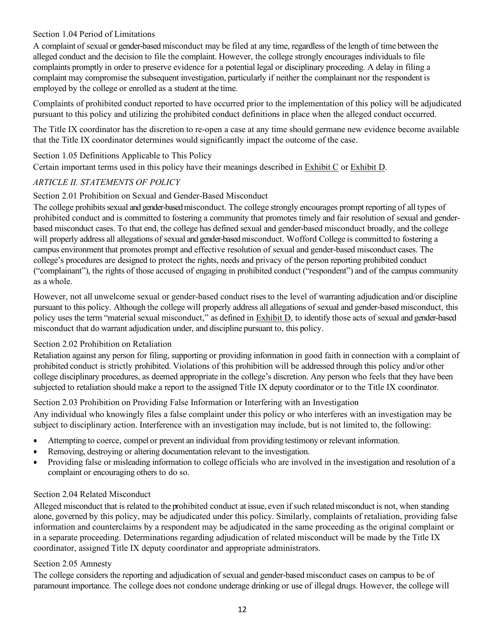## Section 1.04 Period of Limitations

A complaint of sexual or gender-based misconduct may be filed at any time, regardless of the length of time between the alleged conduct and the decision to file the complaint. However, the college strongly encourages individuals to file complaints promptly in order to preserve evidence for a potential legal or disciplinary proceeding. A delay in filing a complaint may compromise the subsequent investigation, particularly if neither the complainant nor the respondent is employed by the college or enrolled as a student at the time.

Complaints of prohibited conduct reported to have occurred prior to the implementation of this policy will be adjudicated pursuant to this policy and utilizing the prohibited conduct definitions in place when the alleged conduct occurred.

The Title IX coordinator has the discretion to re-open a case at any time should germane new evidence become available that the Title IX coordinator determines would significantly impact the outcome of the case.

Section 1.05 Definitions Applicable to This Policy

Certain important terms used in this policy have their meanings described in Exhibit C or Exhibit D.

# *ARTICLE II. STATEMENTS OF POLICY*

#### Section 2.01 Prohibition on Sexual and Gender-Based Misconduct

The college prohibits sexual and gender-based misconduct. The college strongly encourages prompt reporting of all types of prohibited conduct and is committed to fostering a community that promotes timely and fair resolution of sexual and genderbased misconduct cases. To that end, the college has defined sexual and gender-based misconduct broadly, and the college will properly address all allegations of sexual and gender-based misconduct. Wofford College is committed to fostering a campus environment that promotes prompt and effective resolution of sexual and gender-based misconduct cases. The college's procedures are designed to protect the rights, needs and privacy of the person reporting prohibited conduct ("complainant"), the rights of those accused of engaging in prohibited conduct ("respondent") and of the campus community as a whole.

However, not all unwelcome sexual or gender-based conduct rises to the level of warranting adjudication and/or discipline pursuant to this policy. Although the college will properly address all allegations of sexual and gender-based misconduct, this policy uses the term "material sexual misconduct," as defined in Exhibit D, to identify those acts of sexual and gender-based misconduct that do warrant adjudication under, and discipline pursuant to, this policy.

# Section 2.02 Prohibition on Retaliation

Retaliation against any person for filing, supporting or providing information in good faith in connection with a complaint of prohibited conduct is strictly prohibited. Violations of this prohibition will be addressed through this policy and/or other college disciplinary procedures, as deemed appropriate in the college's discretion. Any person who feels that they have been subjected to retaliation should make a report to the assigned Title IX deputy coordinator or to the Title IX coordinator.

Section 2.03 Prohibition on Providing False Information or Interfering with an Investigation

Any individual who knowingly files a false complaint under this policy or who interferes with an investigation may be subject to disciplinary action. Interference with an investigation may include, but is not limited to, the following:

- Attempting to coerce, compel or prevent an individual from providing testimony or relevant information.
- Removing, destroying or altering documentation relevant to the investigation.
- Providing false or misleading information to college officials who are involved in the investigation and resolution of a complaint or encouraging others to do so.

# Section 2.04 Related Misconduct

Alleged misconduct that is related to the prohibited conduct at issue, even ifsuch relatedmisconduct is not, when standing alone, governed by this policy, may be adjudicated under this policy. Similarly, complaints of retaliation, providing false information and counterclaims by a respondent may be adjudicated in the same proceeding as the original complaint or in a separate proceeding. Determinations regarding adjudication of related misconduct will be made by the Title IX coordinator, assigned Title IX deputy coordinator and appropriate administrators.

#### Section 2.05 Amnesty

The college considers the reporting and adjudication of sexual and gender-based misconduct cases on campus to be of paramount importance. The college does not condone underage drinking or use of illegal drugs. However, the college will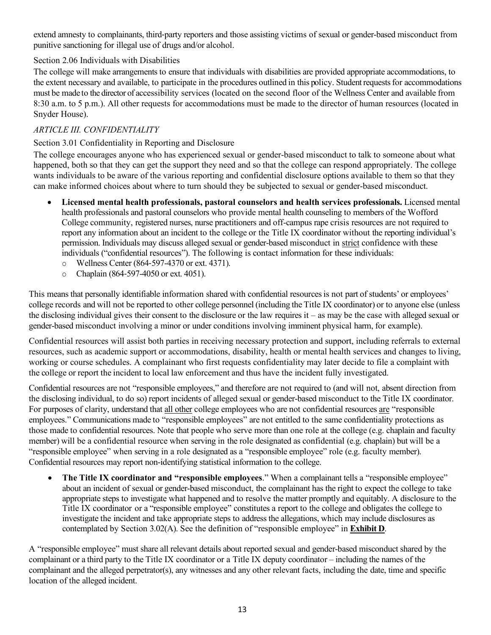extend amnesty to complainants, third-party reporters and those assisting victims of sexual or gender-based misconduct from punitive sanctioning for illegal use of drugs and/or alcohol.

# Section 2.06 Individuals with Disabilities

The college will make arrangements to ensure that individuals with disabilities are provided appropriate accommodations, to the extent necessary and available, to participate in the procedures outlined in this policy. Studentrequestsfor accommodations must be made to the director of accessibility services (located on the second floor of the Wellness Center and available from 8:30 a.m. to 5 p.m.). All other requests for accommodations must be made to the director of human resources (located in Snyder House).

# *ARTICLE III. CONFIDENTIALITY*

# Section 3.01 Confidentiality in Reporting and Disclosure

The college encourages anyone who has experienced sexual or gender-based misconduct to talk to someone about what happened, both so that they can get the support they need and so that the college can respond appropriately. The college wants individuals to be aware of the various reporting and confidential disclosure options available to them so that they can make informed choices about where to turn should they be subjected to sexual or gender-based misconduct.

- **Licensed mental health professionals, pastoral counselors and health services professionals.** Licensed mental health professionals and pastoral counselors who provide mental health counseling to members of the Wofford College community, registered nurses, nurse practitioners and off-campus rape crisis resources are not required to report any information about an incident to the college or the Title IX coordinator without the reporting individual's permission. Individuals may discuss alleged sexual or gender-based misconduct in strict confidence with these individuals ("confidential resources"). The following is contact information for these individuals:
	- o Wellness Center (864-597-4370 or ext. 4371).
	- o Chaplain (864-597-4050 or ext. 4051).

This means that personally identifiable information shared with confidential resourcesis not part of students' or employees' college records and will not be reported to other college personnel (including the Title IX coordinator) or to anyone else (unless the disclosing individual gives their consent to the disclosure or the law requires it – as may be the case with alleged sexual or gender-based misconduct involving a minor or under conditions involving imminent physical harm, for example).

Confidential resources will assist both parties in receiving necessary protection and support, including referrals to external resources, such as academic support or accommodations, disability, health or mental health services and changes to living, working or course schedules. A complainant who first requests confidentiality may later decide to file a complaint with the college or report the incident to local law enforcement and thus have the incident fully investigated.

Confidential resources are not "responsible employees," and therefore are not required to (and will not, absent direction from the disclosing individual, to do so) report incidents of alleged sexual or gender-based misconduct to the Title IX coordinator. For purposes of clarity, understand that all other college employees who are not confidential resources are "responsible employees." Communications made to "responsible employees" are not entitled to the same confidentiality protections as those made to confidential resources. Note that people who serve more than one role at the college (e.g. chaplain and faculty member) will be a confidential resource when serving in the role designated as confidential (e.g. chaplain) but will be a "responsible employee" when serving in a role designated as a "responsible employee" role (e.g. faculty member). Confidential resources may report non-identifying statistical information to the college.

• **The Title IX coordinator and "responsible employees**." When a complainant tells a "responsible employee" about an incident of sexual or gender-based misconduct, the complainant has the right to expect the college to take appropriate steps to investigate what happened and to resolve the matter promptly and equitably. A disclosure to the Title IX coordinator or a "responsible employee" constitutes a report to the college and obligates the college to investigate the incident and take appropriate steps to address the allegations, which may include disclosures as contemplated by Section 3.02(A). See the definition of "responsible employee" in **Exhibit D**.

A "responsible employee" must share all relevant details about reported sexual and gender-based misconduct shared by the complainant or a third party to the Title IX coordinator or a Title IX deputy coordinator – including the names of the complainant and the alleged perpetrator(s), any witnesses and any other relevant facts, including the date, time and specific location of the alleged incident.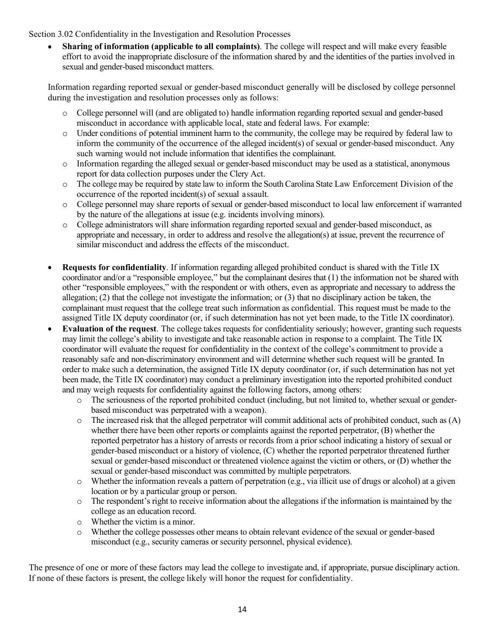Section 3.02 Confidentiality in the Investigation and Resolution Processes

• **Sharing of information (applicable to all complaints)**. The college will respect and will make every feasible effort to avoid the inappropriate disclosure of the information shared by and the identities of the parties involved in sexual and gender-based misconduct matters.

Information regarding reported sexual or gender-based misconduct generally will be disclosed by college personnel during the investigation and resolution processes only as follows:

- o College personnel will (and are obligated to) handle information regarding reported sexual and gender-based misconduct in accordance with applicable local, state and federal laws. For example:
- o Under conditions of potential imminent harm to the community, the college may be required by federal law to inform the community of the occurrence of the alleged incident(s) of sexual or gender-based misconduct. Any such warning would not include information that identifies the complainant.
- o Information regarding the alleged sexual or gender-based misconduct may be used as a statistical, anonymous report for data collection purposes under the Clery Act.
- o The college may be required by state law to inform the South Carolina State Law Enforcement Division of the occurrence of the reported incident(s) of sexual assault.
- o College personnel may share reports of sexual or gender-based misconduct to local law enforcement if warranted by the nature of the allegations at issue (e.g. incidents involving minors).
- o College administrators will share information regarding reported sexual and gender-based misconduct, as appropriate and necessary, in order to address and resolve the allegation(s) at issue, prevent the recurrence of similar misconduct and address the effects of the misconduct.
- **Requests for confidentiality**. If information regarding alleged prohibited conduct is shared with the Title IX coordinator and/or a "responsible employee," but the complainant desires that (1) the information not be shared with other "responsible employees," with the respondent or with others, even as appropriate and necessary to address the allegation;  $(2)$  that the college not investigate the information; or  $(3)$  that no disciplinary action be taken, the complainant must request that the college treat such information as confidential. This request must be made to the assigned Title IX deputy coordinator (or, if such determination has not yet been made, to the Title IX coordinator).
- **Evaluation of the request**. The college takes requests for confidentiality seriously; however, granting such requests may limit the college's ability to investigate and take reasonable action in response to a complaint. The Title IX coordinator will evaluate the request for confidentiality in the context of the college's commitment to provide a reasonably safe and non-discriminatory environment and will determine whether such request will be granted. In order to make such a determination, the assigned Title IX deputy coordinator (or, if such determination has not yet been made, the Title IX coordinator) may conduct a preliminary investigation into the reported prohibited conduct and may weigh requests for confidentiality against the following factors, among others:
	- o The seriousness of the reported prohibited conduct (including, but not limited to, whether sexual or genderbased misconduct was perpetrated with a weapon).
	- $\circ$  The increased risk that the alleged perpetrator will commit additional acts of prohibited conduct, such as (A) whether there have been other reports or complaints against the reported perpetrator, (B) whether the reported perpetrator has a history of arrests or records from a prior school indicating a history of sexual or gender-based misconduct or a history of violence, (C) whether the reported perpetrator threatened further sexual or gender-based misconduct or threatened violence against the victim or others, or (D) whether the sexual or gender-based misconduct was committed by multiple perpetrators.
	- $\circ$  Whether the information reveals a pattern of perpetration (e.g., via illicit use of drugs or alcohol) at a given location or by a particular group or person.
	- o The respondent's right to receive information about the allegations if the information is maintained by the college as an education record.
	- o Whether the victim is a minor.
	- o Whether the college possesses other means to obtain relevant evidence of the sexual or gender-based misconduct (e.g., security cameras or security personnel, physical evidence).

The presence of one or more of these factors may lead the college to investigate and, if appropriate, pursue disciplinary action. If none of these factors is present, the college likely will honor the request for confidentiality.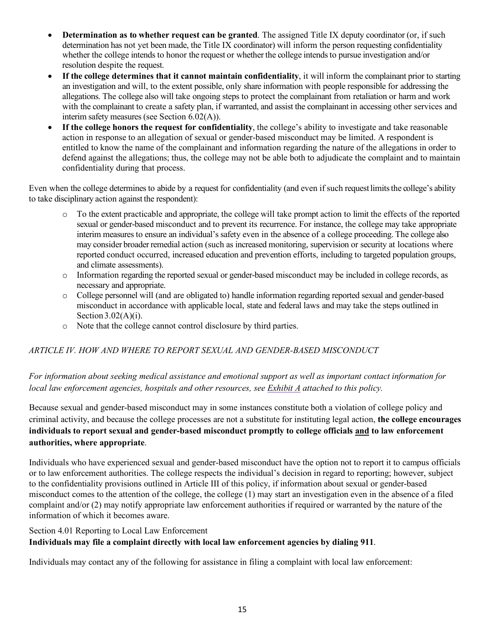- **Determination as to whether request can be granted**. The assigned Title IX deputy coordinator (or, if such determination has not yet been made, the Title IX coordinator) will inform the person requesting confidentiality whether the college intends to honor the request or whether the college intends to pursue investigation and/or resolution despite the request.
- **If the college determines that it cannot maintain confidentiality**, it will inform the complainant prior to starting an investigation and will, to the extent possible, only share information with people responsible for addressing the allegations. The college also will take ongoing steps to protect the complainant from retaliation or harm and work with the complainant to create a safety plan, if warranted, and assist the complainant in accessing other services and interim safety measures (see Section 6.02(A)).
- **If the college honors the request for confidentiality**, the college's ability to investigate and take reasonable action in response to an allegation of sexual or gender-based misconduct may be limited. A respondent is entitled to know the name of the complainant and information regarding the nature of the allegations in order to defend against the allegations; thus, the college may not be able both to adjudicate the complaint and to maintain confidentiality during that process.

Even when the college determines to abide by a request for confidentiality (and even if such request limits the college's ability to take disciplinary action against the respondent):

- o To the extent practicable and appropriate, the college will take prompt action to limit the effects of the reported sexual or gender-based misconduct and to prevent its recurrence. For instance, the college may take appropriate interim measures to ensure an individual's safety even in the absence of a college proceeding. The college also may consider broader remedial action (such as increased monitoring, supervision or security at locations where reported conduct occurred, increased education and prevention efforts, including to targeted population groups, and climate assessments).
- o Information regarding the reported sexual or gender-based misconduct may be included in college records, as necessary and appropriate.
- o College personnel will (and are obligated to) handle information regarding reported sexual and gender-based misconduct in accordance with applicable local, state and federal laws and may take the steps outlined in Section  $3.02(A)(i)$ .
- o Note that the college cannot control disclosure by third parties.

# *ARTICLE IV. HOW AND WHERE TO REPORT SEXUAL AND GENDER-BASED MISCONDUCT*

# *For information about seeking medical assistance and emotional support as well as important contact information for local law enforcement agencies, hospitals and other resources, see Exhibit A attached to this policy.*

Because sexual and gender-based misconduct may in some instances constitute both a violation of college policy and criminal activity, and because the college processes are not a substitute for instituting legal action, **the college encourages individuals to report sexual and gender-based misconduct promptly to college officials and to law enforcement authorities, where appropriate**.

Individuals who have experienced sexual and gender-based misconduct have the option not to report it to campus officials or to law enforcement authorities. The college respects the individual's decision in regard to reporting; however, subject to the confidentiality provisions outlined in Article III of this policy, if information about sexual or gender-based misconduct comes to the attention of the college, the college (1) may start an investigation even in the absence of a filed complaint and/or (2) may notify appropriate law enforcement authorities if required or warranted by the nature of the information of which it becomes aware.

#### Section 4.01 Reporting to Local Law Enforcement

# **Individuals may file a complaint directly with local law enforcement agencies by dialing 911**.

Individuals may contact any of the following for assistance in filing a complaint with local law enforcement: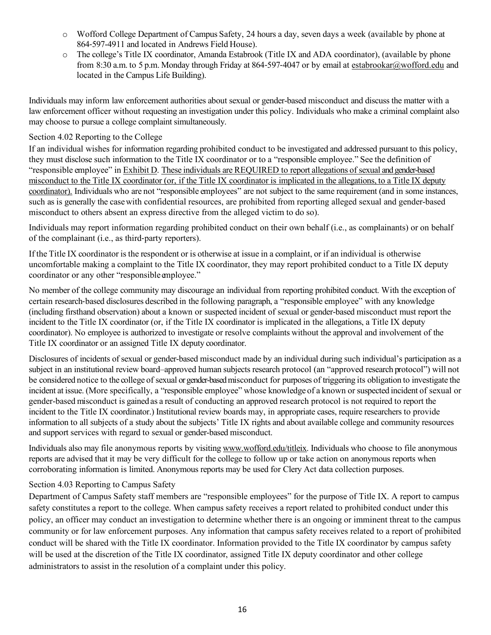- o Wofford College Department of Campus Safety, 24 hours a day, seven days a week (available by phone at 864-597-4911 and located in Andrews Field House).
- o The college's Title IX coordinator, Amanda Estabrook (Title IX and ADA coordinator), (available by phone from 8:30 a.m. to 5 p.m. Monday through Friday at 864-597-4047 or by email at estabrookar@wofford.edu and located in the Campus Life Building).

Individuals may inform law enforcement authorities about sexual or gender-based misconduct and discuss the matter with a law enforcement officer without requesting an investigation under this policy. Individuals who make a criminal complaint also may choose to pursue a college complaint simultaneously.

# Section 4.02 Reporting to the College

If an individual wishes for information regarding prohibited conduct to be investigated and addressed pursuant to this policy, they must disclose such information to the Title IX coordinator or to a "responsible employee." See the definition of "responsible employee" in Exhibit D. These individuals are REQUIRED to report allegations of sexual and gender-based misconduct to the Title IX coordinator (or, if the Title IX coordinator is implicated in the allegations, to a Title IX deputy coordinator). Individuals who are not "responsible employees" are not subject to the same requirement (and in some instances, such as is generally the casewith confidential resources, are prohibited from reporting alleged sexual and gender-based misconduct to others absent an express directive from the alleged victim to do so).

Individuals may report information regarding prohibited conduct on their own behalf (i.e., as complainants) or on behalf of the complainant (i.e., as third-party reporters).

If the Title IX coordinator is the respondent or is otherwise at issue in a complaint, or if an individual is otherwise uncomfortable making a complaint to the Title IX coordinator, they may report prohibited conduct to a Title IX deputy coordinator or any other "responsible employee."

No member of the college community may discourage an individual from reporting prohibited conduct. With the exception of certain research-based disclosures described in the following paragraph, a "responsible employee" with any knowledge (including firsthand observation) about a known or suspected incident of sexual or gender-based misconduct must report the incident to the Title IX coordinator (or, if the Title IX coordinator is implicated in the allegations, a Title IX deputy coordinator). No employee is authorized to investigate or resolve complaints without the approval and involvement of the Title IX coordinator or an assigned Title IX deputy coordinator.

Disclosures of incidents of sexual or gender-based misconduct made by an individual during such individual's participation as a subject in an institutional review board–approved human subjects research protocol (an "approved research protocol") will not be considered notice to the college of sexual or gender-based misconduct for purposes of triggering its obligation to investigate the incident at issue. (More specifically, a "responsible employee" whose knowledge of a known or suspected incident of sexual or gender-based misconduct is gained as a result of conducting an approved research protocol is not required to report the incident to the Title IX coordinator.) Institutional review boards may, in appropriate cases, require researchers to provide information to all subjects of a study about the subjects' Title IX rights and about available college and community resources and support services with regard to sexual or gender-based misconduct.

Individuals also may file anonymous reports by visiting www.wofford.edu/titleix. Individuals who choose to file anonymous reports are advised that it may be very difficult for the college to follow up or take action on anonymous reports when corroborating information is limited. Anonymous reports may be used for Clery Act data collection purposes.

# Section 4.03 Reporting to Campus Safety

Department of Campus Safety staff members are "responsible employees" for the purpose of Title IX. A report to campus safety constitutes a report to the college. When campus safety receives a report related to prohibited conduct under this policy, an officer may conduct an investigation to determine whether there is an ongoing or imminent threat to the campus community or for law enforcement purposes. Any information that campus safety receives related to a report of prohibited conduct will be shared with the Title IX coordinator. Information provided to the Title IX coordinator by campus safety will be used at the discretion of the Title IX coordinator, assigned Title IX deputy coordinator and other college administrators to assist in the resolution of a complaint under this policy.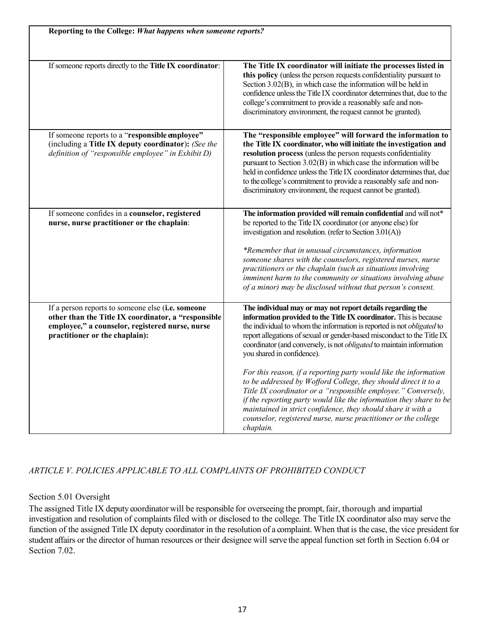| If someone reports directly to the Title IX coordinator:                                                                                                                                      | The Title IX coordinator will initiate the processes listed in                                                                                                                                                                                                                                                                                                                                                                                                                                                                                                                                                   |
|-----------------------------------------------------------------------------------------------------------------------------------------------------------------------------------------------|------------------------------------------------------------------------------------------------------------------------------------------------------------------------------------------------------------------------------------------------------------------------------------------------------------------------------------------------------------------------------------------------------------------------------------------------------------------------------------------------------------------------------------------------------------------------------------------------------------------|
|                                                                                                                                                                                               | this policy (unless the person requests confidentiality pursuant to<br>Section 3.02(B), in which case the information will be held in<br>confidence unless the Title IX coordinator determines that, due to the<br>college's commitment to provide a reasonably safe and non-<br>discriminatory environment, the request cannot be granted).                                                                                                                                                                                                                                                                     |
| If someone reports to a "responsible employee"<br>(including a Title IX deputy coordinator): (See the<br>definition of "responsible employee" in Exhibit D)                                   | The "responsible employee" will forward the information to<br>the Title IX coordinator, who will initiate the investigation and<br>resolution process (unless the person requests confidentiality<br>pursuant to Section 3.02(B) in which case the information will be<br>held in confidence unless the Title IX coordinator determines that, due<br>to the college's commitment to provide a reasonably safe and non-<br>discriminatory environment, the request cannot be granted).                                                                                                                            |
| If someone confides in a counselor, registered<br>nurse, nurse practitioner or the chaplain:                                                                                                  | The information provided will remain confidential and will not*<br>be reported to the Title IX coordinator (or anyone else) for<br>investigation and resolution. (refer to Section 3.01(A))<br>*Remember that in unusual circumstances, information<br>someone shares with the counselors, registered nurses, nurse<br>practitioners or the chaplain (such as situations involving<br>imminent harm to the community or situations involving abuse<br>of a minor) may be disclosed without that person's consent.                                                                                                |
| If a person reports to someone else (i.e. someone<br>other than the Title IX coordinator, a "responsible<br>employee," a counselor, registered nurse, nurse<br>practitioner or the chaplain): | The individual may or may not report details regarding the<br>information provided to the Title IX coordinator. This is because<br>the individual to whom the information is reported is not <i>obligated</i> to<br>report allegations of sexual or gender-based misconduct to the Title IX<br>coordinator (and conversely, is not <i>obligated</i> to maintain information<br>you shared in confidence).<br>For this reason, if a reporting party would like the information<br>to be addressed by Wofford College, they should direct it to a<br>Title IX coordinator or a "responsible employee." Conversely, |
|                                                                                                                                                                                               | if the reporting party would like the information they share to be<br>maintained in strict confidence, they should share it with a<br>counselor, registered nurse, nurse practitioner or the college<br>chaplain.                                                                                                                                                                                                                                                                                                                                                                                                |

# *ARTICLE V. POLICIES APPLICABLE TO ALL COMPLAINTS OF PROHIBITED CONDUCT*

# Section 5.01 Oversight

The assigned Title IX deputy coordinator will be responsible for overseeing the prompt, fair, thorough and impartial investigation and resolution of complaints filed with or disclosed to the college. The Title IX coordinator also may serve the function of the assigned Title IX deputy coordinator in the resolution of a complaint. When that is the case, the vice president for student affairs or the director of human resources or their designee will serve the appeal function set forth in Section 6.04 or Section 7.02.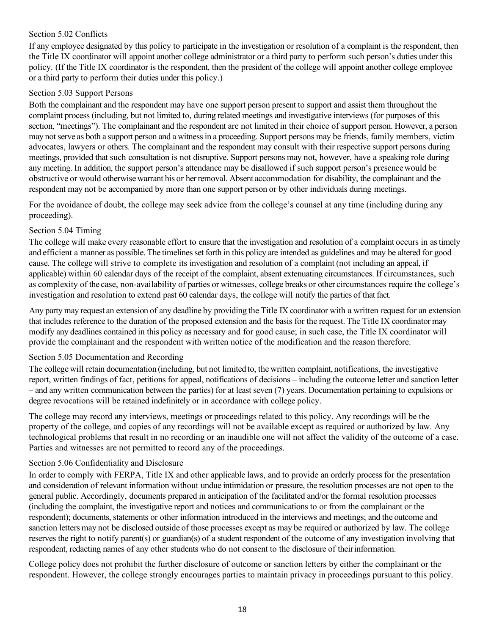## Section 5.02 Conflicts

If any employee designated by this policy to participate in the investigation or resolution of a complaint is the respondent, then the Title IX coordinator will appoint another college administrator or a third party to perform such person's duties under this policy. (If the Title IX coordinator is the respondent, then the president of the college will appoint another college employee or a third party to perform their duties under this policy.)

## Section 5.03 Support Persons

Both the complainant and the respondent may have one support person present to support and assist them throughout the complaint process (including, but not limited to, during related meetings and investigative interviews (for purposes of this section, "meetings"). The complainant and the respondent are not limited in their choice of support person. However, a person may not serve as both a support person and a witnessin a proceeding. Support persons may be friends, family members, victim advocates, lawyers or others. The complainant and the respondent may consult with their respective support persons during meetings, provided that such consultation is not disruptive. Support persons may not, however, have a speaking role during any meeting. In addition, the support person's attendance may be disallowed if such support person's presencewould be obstructive or would otherwisewarrant his or herremoval. Absent accommodation for disability, the complainant and the respondent may not be accompanied by more than one support person or by other individuals during meetings.

For the avoidance of doubt, the college may seek advice from the college's counsel at any time (including during any proceeding).

#### Section 5.04 Timing

The college will make every reasonable effort to ensure that the investigation and resolution of a complaint occurs in astimely and efficient a manner as possible. The timelines set forth in this policy are intended as guidelines and may be altered for good cause. The college will strive to complete its investigation and resolution of a complaint (not including an appeal, if applicable) within 60 calendar days of the receipt of the complaint, absent extenuating circumstances. If circumstances, such as complexity of the case, non-availability of parties or witnesses, college breaks or other circumstances require the college's investigation and resolution to extend past 60 calendar days, the college will notify the parties of that fact.

Any party may request an extension of any deadline by providing the Title IX coordinator with a written request for an extension that includes reference to the duration of the proposed extension and the basis for the request. The Title IX coordinator may modify any deadlines contained in this policy as necessary and for good cause; in such case, the Title IX coordinator will provide the complainant and the respondent with written notice of the modification and the reason therefore.

#### Section 5.05 Documentation and Recording

The collegewill retain documentation (including, but not limited to, the written complaint, notifications, the investigative report, written findings of fact, petitions for appeal, notifications of decisions – including the outcome letter and sanction letter – and any written communication between the parties) for at least seven (7) years. Documentation pertaining to expulsions or degree revocations will be retained indefinitely or in accordance with college policy.

The college may record any interviews, meetings or proceedings related to this policy. Any recordings will be the property of the college, and copies of any recordings will not be available except as required or authorized by law. Any technological problems that result in no recording or an inaudible one will not affect the validity of the outcome of a case. Parties and witnesses are not permitted to record any of the proceedings.

#### Section 5.06 Confidentiality and Disclosure

In order to comply with FERPA, Title IX and other applicable laws, and to provide an orderly process for the presentation and consideration of relevant information without undue intimidation or pressure, the resolution processes are not open to the general public. Accordingly, documents prepared in anticipation of the facilitated and/or the formal resolution processes (including the complaint, the investigative report and notices and communications to or from the complainant or the respondent); documents, statements or other information introduced in the interviews and meetings; and the outcome and sanction letters may not be disclosed outside of those processes except as may be required or authorized by law. The college reserves the right to notify parent(s) or guardian(s) of a student respondent of the outcome of any investigation involving that respondent, redacting names of any other students who do not consent to the disclosure of theirinformation.

College policy does not prohibit the further disclosure of outcome or sanction letters by either the complainant or the respondent. However, the college strongly encourages parties to maintain privacy in proceedings pursuant to this policy.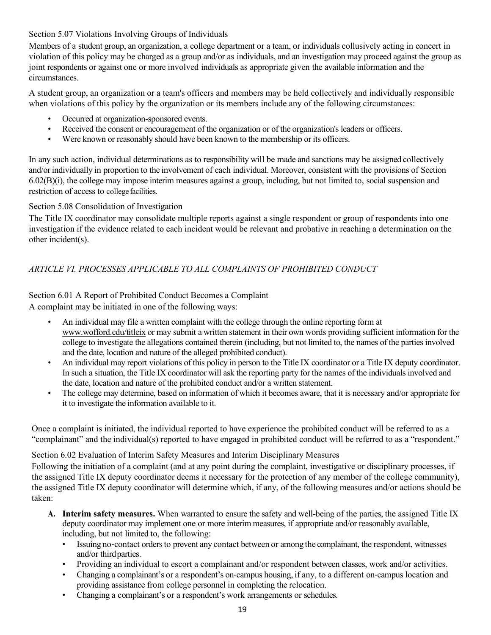# Section 5.07 Violations Involving Groups of Individuals

Members of a student group, an organization, a college department or a team, or individuals collusively acting in concert in violation of this policy may be charged as a group and/or as individuals, and an investigation may proceed against the group as joint respondents or against one or more involved individuals as appropriate given the available information and the circumstances.

A student group, an organization or a team's officers and members may be held collectively and individually responsible when violations of this policy by the organization or its members include any of the following circumstances:

- Occurred at organization-sponsored events.
- Received the consent or encouragement of the organization or of the organization's leaders or officers.
- Were known or reasonably should have been known to the membership or its officers.

In any such action, individual determinations as to responsibility will be made and sanctions may be assigned collectively and/or individually in proportion to the involvement of each individual. Moreover, consistent with the provisions of Section 6.02(B)(i), the college may impose interim measures against a group, including, but not limited to, social suspension and restriction of access to college facilities.

# Section 5.08 Consolidation of Investigation

The Title IX coordinator may consolidate multiple reports against a single respondent or group of respondents into one investigation if the evidence related to each incident would be relevant and probative in reaching a determination on the other incident(s).

# *ARTICLE VI. PROCESSES APPLICABLE TO ALL COMPLAINTS OF PROHIBITED CONDUCT*

# Section 6.01 A Report of Prohibited Conduct Becomes a Complaint

A complaint may be initiated in one of the following ways:

- An individual may file a written complaint with the college through the online reporting form at www.wofford.edu/titleix or may submit a written statement in their own words providing sufficient information for the college to investigate the allegations contained therein (including, but not limited to, the names of the parties involved and the date, location and nature of the alleged prohibited conduct).
- An individual may report violations of this policy in person to the Title IX coordinator or a Title IX deputy coordinator. In such a situation, the Title IX coordinator will ask the reporting party for the names of the individuals involved and the date, location and nature of the prohibited conduct and/or a written statement.
- The college may determine, based on information of which it becomes aware, that it is necessary and/or appropriate for it to investigate the information available to it.

Once a complaint is initiated, the individual reported to have experience the prohibited conduct will be referred to as a "complainant" and the individual(s) reported to have engaged in prohibited conduct will be referred to as a "respondent."

Section 6.02 Evaluation of Interim Safety Measures and Interim Disciplinary Measures

Following the initiation of a complaint (and at any point during the complaint, investigative or disciplinary processes, if the assigned Title IX deputy coordinator deems it necessary for the protection of any member of the college community), the assigned Title IX deputy coordinator will determine which, if any, of the following measures and/or actions should be taken:

- **A. Interim safety measures.** When warranted to ensure the safety and well-being of the parties, the assigned Title IX deputy coordinator may implement one or more interim measures, if appropriate and/or reasonably available, including, but not limited to, the following:
	- Issuing no-contact orders to prevent any contact between or among the complainant, the respondent, witnesses and/or thirdparties.
	- Providing an individual to escort a complainant and/or respondent between classes, work and/or activities.
	- Changing a complainant's or a respondent's on-campus housing, if any, to a different on-campus location and providing assistance from college personnel in completing the relocation.
	- Changing a complainant's or a respondent's work arrangements or schedules.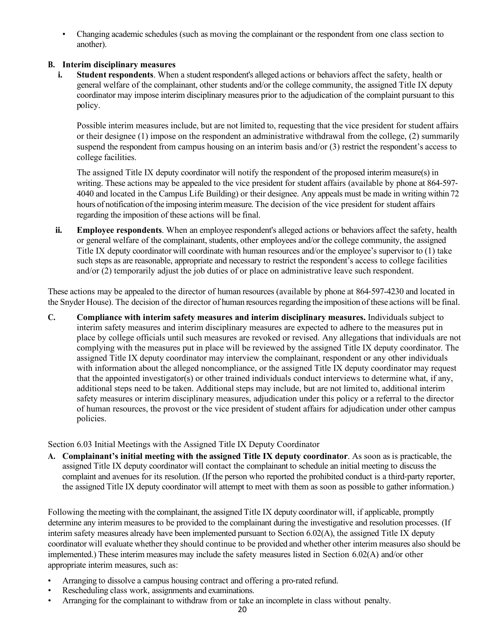• Changing academic schedules (such as moving the complainant or the respondent from one class section to another).

# **B. Interim disciplinary measures**

**i. Student respondents**. When a student respondent's alleged actions or behaviors affect the safety, health or general welfare of the complainant, other students and/or the college community, the assigned Title IX deputy coordinator may impose interim disciplinary measures prior to the adjudication of the complaint pursuant to this policy.

Possible interim measures include, but are not limited to, requesting that the vice president for student affairs or their designee (1) impose on the respondent an administrative withdrawal from the college, (2) summarily suspend the respondent from campus housing on an interim basis and/or (3) restrict the respondent's access to college facilities.

The assigned Title IX deputy coordinator will notify the respondent of the proposed interim measure(s) in writing. These actions may be appealed to the vice president for student affairs (available by phone at 864-597- 4040 and located in the Campus Life Building) or their designee. Any appeals must be made in writing within 72 hours of notification of the imposing interim measure. The decision of the vice president for student affairs regarding the imposition of these actions will be final.

**ii. Employee respondents**. When an employee respondent's alleged actions or behaviors affect the safety, health or general welfare of the complainant, students, other employees and/or the college community, the assigned Title IX deputy coordinator will coordinate with human resources and/or the employee's supervisor to (1) take such steps as are reasonable, appropriate and necessary to restrict the respondent's access to college facilities and/or (2) temporarily adjust the job duties of or place on administrative leave such respondent.

These actions may be appealed to the director of human resources (available by phone at 864-597-4230 and located in the Snyder House). The decision of the director of human resourcesregarding the imposition of these actions will be final.

**C. Compliance with interim safety measures and interim disciplinary measures.** Individuals subject to interim safety measures and interim disciplinary measures are expected to adhere to the measures put in place by college officials until such measures are revoked or revised. Any allegations that individuals are not complying with the measures put in place will be reviewed by the assigned Title IX deputy coordinator. The assigned Title IX deputy coordinator may interview the complainant, respondent or any other individuals with information about the alleged noncompliance, or the assigned Title IX deputy coordinator may request that the appointed investigator(s) or other trained individuals conduct interviews to determine what, if any, additional steps need to be taken. Additional steps may include, but are not limited to, additional interim safety measures or interim disciplinary measures, adjudication under this policy or a referral to the director of human resources, the provost or the vice president of student affairs for adjudication under other campus policies.

Section 6.03 Initial Meetings with the Assigned Title IX Deputy Coordinator

**A. Complainant's initial meeting with the assigned Title IX deputy coordinator**. As soon as is practicable, the assigned Title IX deputy coordinator will contact the complainant to schedule an initial meeting to discuss the complaint and avenues for its resolution. (If the person who reported the prohibited conduct is a third-party reporter, the assigned Title IX deputy coordinator will attempt to meet with them as soon as possible to gather information.)

Following the meeting with the complainant, the assigned Title IX deputy coordinator will, if applicable, promptly determine any interim measures to be provided to the complainant during the investigative and resolution processes. (If interim safety measures already have been implemented pursuant to Section 6.02(A), the assigned Title IX deputy coordinator will evaluate whether they should continue to be provided and whether other interim measures also should be implemented.) These interim measures may include the safety measures listed in Section 6.02(A) and/or other appropriate interim measures, such as:

- Arranging to dissolve a campus housing contract and offering a pro-rated refund.
- Rescheduling class work, assignments and examinations.
- Arranging for the complainant to withdraw from or take an incomplete in class without penalty.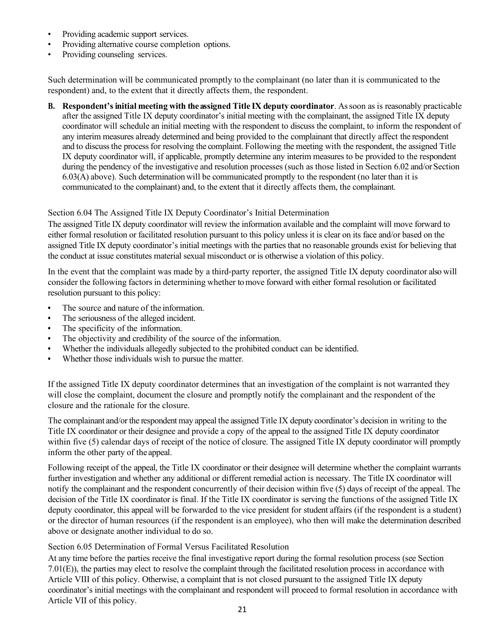- Providing academic support services.
- Providing alternative course completion options.
- Providing counseling services.

Such determination will be communicated promptly to the complainant (no later than it is communicated to the respondent) and, to the extent that it directly affects them, the respondent.

**B. Respondent's initial meeting with theassigned Title IX deputy coordinator**. Assoon as is reasonably practicable after the assigned Title IX deputy coordinator's initial meeting with the complainant, the assigned Title IX deputy coordinator will schedule an initial meeting with the respondent to discuss the complaint, to inform the respondent of any interim measures already determined and being provided to the complainant that directly affect the respondent and to discussthe processfor resolving the complaint. Following the meeting with the respondent, the assigned Title IX deputy coordinator will, if applicable, promptly determine any interim measures to be provided to the respondent during the pendency of the investigative and resolution processes (such as those listed in Section 6.02 and/or Section 6.03(A) above). Such determination will be communicated promptly to the respondent (no later than it is communicated to the complainant) and, to the extent that it directly affects them, the complainant.

#### Section 6.04 The Assigned Title IX Deputy Coordinator's Initial Determination

The assigned Title IX deputy coordinator will review the information available and the complaint will move forward to either formal resolution or facilitated resolution pursuant to this policy unless it is clear on its face and/or based on the assigned Title IX deputy coordinator's initial meetings with the parties that no reasonable grounds exist for believing that the conduct at issue constitutes material sexual misconduct or is otherwise a violation of this policy.

In the event that the complaint was made by a third-party reporter, the assigned Title IX deputy coordinator also will consider the following factors in determining whether to move forward with either formal resolution or facilitated resolution pursuant to this policy:

- **•** The source and nature of the information.
- **•** The seriousness of the alleged incident.
- **•** The specificity of the information.
- **•** The objectivity and credibility of the source of the information.
- **•** Whether the individuals allegedly subjected to the prohibited conduct can be identified.
- **•** Whether those individuals wish to pursue the matter.

If the assigned Title IX deputy coordinator determines that an investigation of the complaint is not warranted they will close the complaint, document the closure and promptly notify the complainant and the respondent of the closure and the rationale for the closure.

The complainant and/or the respondent may appeal the assigned Title IX deputy coordinator's decision in writing to the Title IX coordinator or their designee and provide a copy of the appeal to the assigned Title IX deputy coordinator within five (5) calendar days of receipt of the notice of closure. The assigned Title IX deputy coordinator will promptly inform the other party of the appeal.

Following receipt of the appeal, the Title IX coordinator or their designee will determine whether the complaint warrants further investigation and whether any additional or different remedial action is necessary. The Title IX coordinator will notify the complainant and the respondent concurrently of their decision within five (5) days of receipt of the appeal. The decision of the Title IX coordinator is final. If the Title IX coordinator is serving the functions of the assigned Title IX deputy coordinator, this appeal will be forwarded to the vice president for student affairs (if the respondent is a student) or the director of human resources (if the respondent is an employee), who then will make the determination described above or designate another individual to do so.

#### Section 6.05 Determination of Formal Versus Facilitated Resolution

At any time before the parties receive the final investigative report during the formal resolution process (see Section 7.01(E)), the parties may elect to resolve the complaint through the facilitated resolution process in accordance with Article VIII of this policy. Otherwise, a complaint that is not closed pursuant to the assigned Title IX deputy coordinator's initial meetings with the complainant and respondent will proceed to formal resolution in accordance with Article VII of this policy.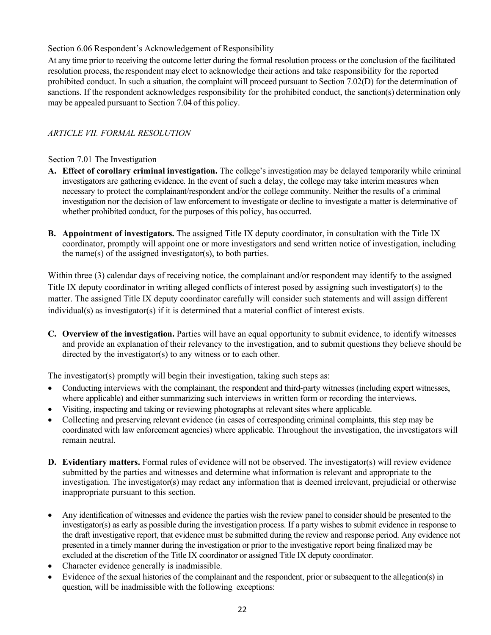# Section 6.06 Respondent's Acknowledgement of Responsibility

At any time prior to receiving the outcome letter during the formal resolution process or the conclusion of the facilitated resolution process, the respondent may elect to acknowledge their actions and take responsibility for the reported prohibited conduct. In such a situation, the complaint will proceed pursuant to Section 7.02(D) for the determination of sanctions. If the respondent acknowledges responsibility for the prohibited conduct, the sanction(s) determination only may be appealed pursuant to Section 7.04 of this policy.

# *ARTICLE VII. FORMAL RESOLUTION*

# Section 7.01 The Investigation

- **A. Effect of corollary criminal investigation.** The college's investigation may be delayed temporarily while criminal investigators are gathering evidence. In the event of such a delay, the college may take interim measures when necessary to protect the complainant/respondent and/or the college community. Neither the results of a criminal investigation nor the decision of law enforcement to investigate or decline to investigate a matter is determinative of whether prohibited conduct, for the purposes of this policy, has occurred.
- **B. Appointment of investigators.** The assigned Title IX deputy coordinator, in consultation with the Title IX coordinator, promptly will appoint one or more investigators and send written notice of investigation, including the name(s) of the assigned investigator(s), to both parties.

Within three (3) calendar days of receiving notice, the complainant and/or respondent may identify to the assigned Title IX deputy coordinator in writing alleged conflicts of interest posed by assigning such investigator(s) to the matter. The assigned Title IX deputy coordinator carefully will consider such statements and will assign different individual(s) as investigator(s) if it is determined that a material conflict of interest exists.

**C. Overview of the investigation.** Parties will have an equal opportunity to submit evidence, to identify witnesses and provide an explanation of their relevancy to the investigation, and to submit questions they believe should be directed by the investigator(s) to any witness or to each other.

The investigator(s) promptly will begin their investigation, taking such steps as:

- Conducting interviews with the complainant, the respondent and third-party witnesses (including expert witnesses, where applicable) and either summarizing such interviews in written form or recording the interviews.
- Visiting, inspecting and taking or reviewing photographs at relevant sites where applicable.
- Collecting and preserving relevant evidence (in cases of corresponding criminal complaints, this step may be coordinated with law enforcement agencies) where applicable. Throughout the investigation, the investigators will remain neutral.
- **D. Evidentiary matters.** Formal rules of evidence will not be observed. The investigator(s) will review evidence submitted by the parties and witnesses and determine what information is relevant and appropriate to the investigation. The investigator(s) may redact any information that is deemed irrelevant, prejudicial or otherwise inappropriate pursuant to this section.
- Any identification of witnesses and evidence the parties wish the review panel to consider should be presented to the investigator(s) as early as possible during the investigation process. If a party wishes to submit evidence in response to the draft investigative report, that evidence must be submitted during the review and response period. Any evidence not presented in a timely manner during the investigation or prior to the investigative report being finalized may be excluded at the discretion of the Title IX coordinator or assigned Title IX deputy coordinator.
- Character evidence generally is inadmissible.
- Evidence of the sexual histories of the complainant and the respondent, prior or subsequent to the allegation(s) in question, will be inadmissible with the following exceptions: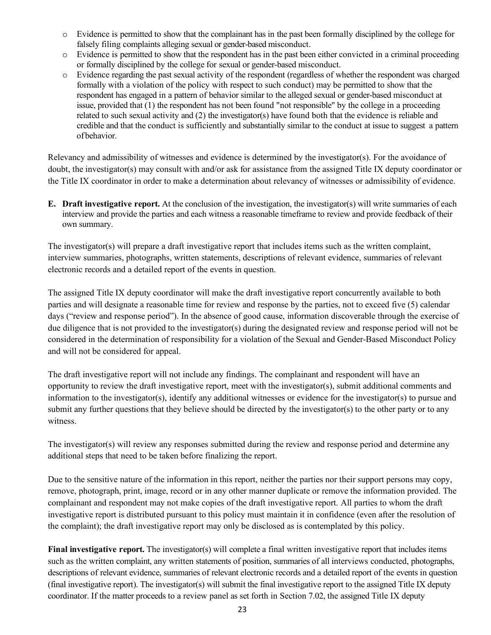- o Evidence is permitted to show that the complainant has in the past been formally disciplined by the college for falsely filing complaints alleging sexual or gender-based misconduct.
- $\circ$  Evidence is permitted to show that the respondent has in the past been either convicted in a criminal proceeding or formally disciplined by the college for sexual or gender-based misconduct.
- o Evidence regarding the past sexual activity of the respondent (regardless of whether the respondent was charged formally with a violation of the policy with respect to such conduct) may be permitted to show that the respondent has engaged in a pattern of behavior similar to the alleged sexual or gender-based misconduct at issue, provided that (1) the respondent has not been found "not responsible" by the college in a proceeding related to such sexual activity and (2) the investigator(s) have found both that the evidence is reliable and credible and that the conduct is sufficiently and substantially similar to the conduct at issue to suggest a pattern ofbehavior.

Relevancy and admissibility of witnesses and evidence is determined by the investigator(s). For the avoidance of doubt, the investigator(s) may consult with and/or ask for assistance from the assigned Title IX deputy coordinator or the Title IX coordinator in order to make a determination about relevancy of witnesses or admissibility of evidence.

**E. Draft investigative report.** At the conclusion of the investigation, the investigator(s) will write summaries of each interview and provide the parties and each witness a reasonable timeframe to review and provide feedback of their own summary.

The investigator(s) will prepare a draft investigative report that includes items such as the written complaint, interview summaries, photographs, written statements, descriptions of relevant evidence, summaries of relevant electronic records and a detailed report of the events in question.

The assigned Title IX deputy coordinator will make the draft investigative report concurrently available to both parties and will designate a reasonable time for review and response by the parties, not to exceed five (5) calendar days ("review and response period"). In the absence of good cause, information discoverable through the exercise of due diligence that is not provided to the investigator(s) during the designated review and response period will not be considered in the determination of responsibility for a violation of the Sexual and Gender-Based Misconduct Policy and will not be considered for appeal.

The draft investigative report will not include any findings. The complainant and respondent will have an opportunity to review the draft investigative report, meet with the investigator(s), submit additional comments and information to the investigator(s), identify any additional witnesses or evidence for the investigator(s) to pursue and submit any further questions that they believe should be directed by the investigator(s) to the other party or to any witness.

The investigator(s) will review any responses submitted during the review and response period and determine any additional steps that need to be taken before finalizing the report.

Due to the sensitive nature of the information in this report, neither the parties nor their support persons may copy, remove, photograph, print, image, record or in any other manner duplicate or remove the information provided. The complainant and respondent may not make copies of the draft investigative report. All parties to whom the draft investigative report is distributed pursuant to this policy must maintain it in confidence (even after the resolution of the complaint); the draft investigative report may only be disclosed as is contemplated by this policy.

**Final investigative report.** The investigator(s) will complete a final written investigative report that includes items such as the written complaint, any written statements of position, summaries of all interviews conducted, photographs, descriptions of relevant evidence, summaries of relevant electronic records and a detailed report of the events in question (final investigative report). The investigator(s) will submit the final investigative report to the assigned Title IX deputy coordinator. If the matter proceeds to a review panel as set forth in Section 7.02, the assigned Title IX deputy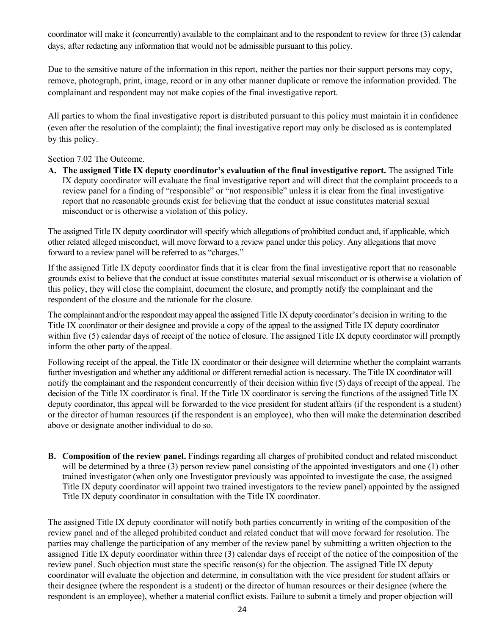coordinator will make it (concurrently) available to the complainant and to the respondent to review for three (3) calendar days, after redacting any information that would not be admissible pursuant to this policy.

Due to the sensitive nature of the information in this report, neither the parties nor their support persons may copy, remove, photograph, print, image, record or in any other manner duplicate or remove the information provided. The complainant and respondent may not make copies of the final investigative report.

All parties to whom the final investigative report is distributed pursuant to this policy must maintain it in confidence (even after the resolution of the complaint); the final investigative report may only be disclosed as is contemplated by this policy.

Section 7.02 The Outcome.

**A. The assigned Title IX deputy coordinator's evaluation of the final investigative report.** The assigned Title IX deputy coordinator will evaluate the final investigative report and will direct that the complaint proceeds to a review panel for a finding of "responsible" or "not responsible" unless it is clear from the final investigative report that no reasonable grounds exist for believing that the conduct at issue constitutes material sexual misconduct or is otherwise a violation of this policy.

The assigned Title IX deputy coordinator will specify which allegations of prohibited conduct and, if applicable, which other related alleged misconduct, will move forward to a review panel under this policy. Any allegations that move forward to a review panel will be referred to as "charges."

If the assigned Title IX deputy coordinator finds that it is clear from the final investigative report that no reasonable grounds exist to believe that the conduct at issue constitutes material sexual misconduct or is otherwise a violation of this policy, they will close the complaint, document the closure, and promptly notify the complainant and the respondent of the closure and the rationale for the closure.

The complainant and/or the respondent may appeal the assigned Title IX deputy coordinator's decision in writing to the Title IX coordinator or their designee and provide a copy of the appeal to the assigned Title IX deputy coordinator within five (5) calendar days of receipt of the notice of closure. The assigned Title IX deputy coordinator will promptly inform the other party of the appeal.

Following receipt of the appeal, the Title IX coordinator or their designee will determine whether the complaint warrants further investigation and whether any additional or different remedial action is necessary. The Title IX coordinator will notify the complainant and the respondent concurrently of their decision within five (5) days of receipt of the appeal. The decision of the Title IX coordinator is final. If the Title IX coordinator is serving the functions of the assigned Title IX deputy coordinator, this appeal will be forwarded to the vice president for student affairs (if the respondent is a student) or the director of human resources (if the respondent is an employee), who then will make the determination described above or designate another individual to do so.

**B. Composition of the review panel.** Findings regarding all charges of prohibited conduct and related misconduct will be determined by a three (3) person review panel consisting of the appointed investigators and one (1) other trained investigator (when only one Investigator previously was appointed to investigate the case, the assigned Title IX deputy coordinator will appoint two trained investigators to the review panel) appointed by the assigned Title IX deputy coordinator in consultation with the Title IX coordinator.

The assigned Title IX deputy coordinator will notify both parties concurrently in writing of the composition of the review panel and of the alleged prohibited conduct and related conduct that will move forward for resolution. The parties may challenge the participation of any member of the review panel by submitting a written objection to the assigned Title IX deputy coordinator within three (3) calendar days of receipt of the notice of the composition of the review panel. Such objection must state the specific reason(s) for the objection. The assigned Title IX deputy coordinator will evaluate the objection and determine, in consultation with the vice president for student affairs or their designee (where the respondent is a student) or the director of human resources or their designee (where the respondent is an employee), whether a material conflict exists. Failure to submit a timely and proper objection will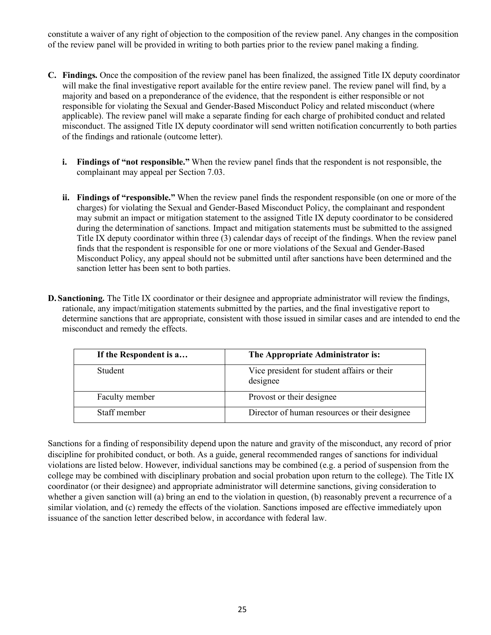constitute a waiver of any right of objection to the composition of the review panel. Any changes in the composition of the review panel will be provided in writing to both parties prior to the review panel making a finding.

- **C. Findings.** Once the composition of the review panel has been finalized, the assigned Title IX deputy coordinator will make the final investigative report available for the entire review panel. The review panel will find, by a majority and based on a preponderance of the evidence, that the respondent is either responsible or not responsible for violating the Sexual and Gender-Based Misconduct Policy and related misconduct (where applicable). The review panel will make a separate finding for each charge of prohibited conduct and related misconduct. The assigned Title IX deputy coordinator will send written notification concurrently to both parties of the findings and rationale (outcome letter).
	- **i. Findings of "not responsible."** When the review panel finds that the respondent is not responsible, the complainant may appeal per Section 7.03.
	- **ii. Findings of "responsible."** When the review panel finds the respondent responsible (on one or more of the charges) for violating the Sexual and Gender-Based Misconduct Policy, the complainant and respondent may submit an impact or mitigation statement to the assigned Title IX deputy coordinator to be considered during the determination of sanctions. Impact and mitigation statements must be submitted to the assigned Title IX deputy coordinator within three (3) calendar days of receipt of the findings. When the review panel finds that the respondent is responsible for one or more violations of the Sexual and Gender-Based Misconduct Policy, any appeal should not be submitted until after sanctions have been determined and the sanction letter has been sent to both parties.
- **D. Sanctioning.** The Title IX coordinator or their designee and appropriate administrator will review the findings, rationale, any impact/mitigation statements submitted by the parties, and the final investigative report to determine sanctions that are appropriate, consistent with those issued in similar cases and are intended to end the misconduct and remedy the effects.

| If the Respondent is a | The Appropriate Administrator is:                       |
|------------------------|---------------------------------------------------------|
| Student                | Vice president for student affairs or their<br>designee |
| Faculty member         | Provost or their designee                               |
| Staff member           | Director of human resources or their designee           |

Sanctions for a finding of responsibility depend upon the nature and gravity of the misconduct, any record of prior discipline for prohibited conduct, or both. As a guide, general recommended ranges of sanctions for individual violations are listed below. However, individual sanctions may be combined (e.g. a period of suspension from the college may be combined with disciplinary probation and social probation upon return to the college). The Title IX coordinator (or their designee) and appropriate administrator will determine sanctions, giving consideration to whether a given sanction will (a) bring an end to the violation in question, (b) reasonably prevent a recurrence of a similar violation, and (c) remedy the effects of the violation. Sanctions imposed are effective immediately upon issuance of the sanction letter described below, in accordance with federal law.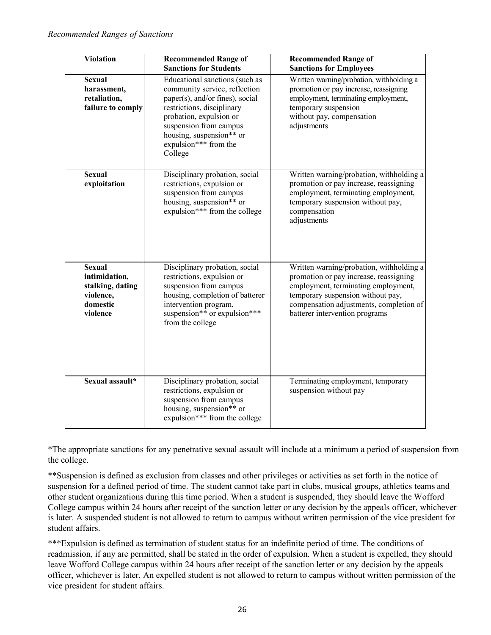| <b>Violation</b>                                                                        | <b>Recommended Range of</b><br><b>Sanctions for Students</b>                                                                                                                                                                                          | <b>Recommended Range of</b><br><b>Sanctions for Employees</b>                                                                                                                                                                               |
|-----------------------------------------------------------------------------------------|-------------------------------------------------------------------------------------------------------------------------------------------------------------------------------------------------------------------------------------------------------|---------------------------------------------------------------------------------------------------------------------------------------------------------------------------------------------------------------------------------------------|
| <b>Sexual</b><br>harassment,<br>retaliation,<br>failure to comply                       | Educational sanctions (such as<br>community service, reflection<br>paper(s), and/or fines), social<br>restrictions, disciplinary<br>probation, expulsion or<br>suspension from campus<br>housing, suspension** or<br>expulsion*** from the<br>College | Written warning/probation, withholding a<br>promotion or pay increase, reassigning<br>employment, terminating employment,<br>temporary suspension<br>without pay, compensation<br>adjustments                                               |
| <b>Sexual</b><br>exploitation                                                           | Disciplinary probation, social<br>restrictions, expulsion or<br>suspension from campus<br>housing, suspension** or<br>expulsion*** from the college                                                                                                   | Written warning/probation, withholding a<br>promotion or pay increase, reassigning<br>employment, terminating employment,<br>temporary suspension without pay,<br>compensation<br>adjustments                                               |
| <b>Sexual</b><br>intimidation,<br>stalking, dating<br>violence,<br>domestic<br>violence | Disciplinary probation, social<br>restrictions, expulsion or<br>suspension from campus<br>housing, completion of batterer<br>intervention program,<br>suspension** or expulsion***<br>from the college                                                | Written warning/probation, withholding a<br>promotion or pay increase, reassigning<br>employment, terminating employment,<br>temporary suspension without pay,<br>compensation adjustments, completion of<br>batterer intervention programs |
| Sexual assault*                                                                         | Disciplinary probation, social<br>restrictions, expulsion or<br>suspension from campus<br>housing, suspension** or<br>expulsion*** from the college                                                                                                   | Terminating employment, temporary<br>suspension without pay                                                                                                                                                                                 |

\*The appropriate sanctions for any penetrative sexual assault will include at a minimum a period of suspension from the college.

\*\*Suspension is defined as exclusion from classes and other privileges or activities as set forth in the notice of suspension for a defined period of time. The student cannot take part in clubs, musical groups, athletics teams and other student organizations during this time period. When a student is suspended, they should leave the Wofford College campus within 24 hours after receipt of the sanction letter or any decision by the appeals officer, whichever is later. A suspended student is not allowed to return to campus without written permission of the vice president for student affairs.

\*\*\*Expulsion is defined as termination of student status for an indefinite period of time. The conditions of readmission, if any are permitted, shall be stated in the order of expulsion. When a student is expelled, they should leave Wofford College campus within 24 hours after receipt of the sanction letter or any decision by the appeals officer, whichever is later. An expelled student is not allowed to return to campus without written permission of the vice president for student affairs.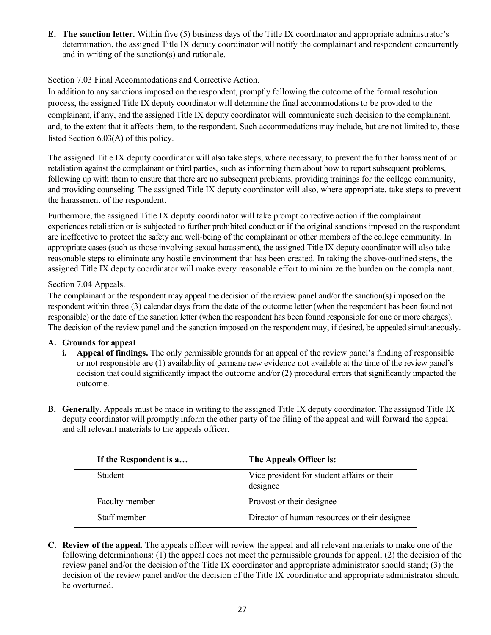**E. The sanction letter.** Within five (5) business days of the Title IX coordinator and appropriate administrator's determination, the assigned Title IX deputy coordinator will notify the complainant and respondent concurrently and in writing of the sanction(s) and rationale.

# Section 7.03 Final Accommodations and Corrective Action.

In addition to any sanctions imposed on the respondent, promptly following the outcome of the formal resolution process, the assigned Title IX deputy coordinator will determine the final accommodations to be provided to the complainant, if any, and the assigned Title IX deputy coordinator will communicate such decision to the complainant, and, to the extent that it affects them, to the respondent. Such accommodations may include, but are not limited to, those listed Section 6.03(A) of this policy.

The assigned Title IX deputy coordinator will also take steps, where necessary, to prevent the further harassment of or retaliation against the complainant or third parties, such as informing them about how to report subsequent problems, following up with them to ensure that there are no subsequent problems, providing trainings for the college community, and providing counseling. The assigned Title IX deputy coordinator will also, where appropriate, take steps to prevent the harassment of the respondent.

Furthermore, the assigned Title IX deputy coordinator will take prompt corrective action if the complainant experiences retaliation or is subjected to further prohibited conduct or if the original sanctions imposed on the respondent are ineffective to protect the safety and well-being of the complainant or other members of the college community. In appropriate cases (such as those involving sexual harassment), the assigned Title IX deputy coordinator will also take reasonable steps to eliminate any hostile environment that has been created. In taking the above-outlined steps, the assigned Title IX deputy coordinator will make every reasonable effort to minimize the burden on the complainant.

# Section 7.04 Appeals.

The complainant or the respondent may appeal the decision of the review panel and/or the sanction(s) imposed on the respondent within three (3) calendar days from the date of the outcome letter (when the respondent has been found not responsible) or the date of the sanction letter (when the respondent has been found responsible for one or more charges). The decision of the review panel and the sanction imposed on the respondent may, if desired, be appealed simultaneously.

# **A. Grounds for appeal**

- **i. Appeal of findings.** The only permissible grounds for an appeal of the review panel's finding of responsible or not responsible are (1) availability of germane new evidence not available at the time of the review panel's decision that could significantly impact the outcome and/or (2) procedural errors that significantly impacted the outcome.
- **B. Generally**. Appeals must be made in writing to the assigned Title IX deputy coordinator. The assigned Title IX deputy coordinator will promptly inform the other party of the filing of the appeal and will forward the appeal and all relevant materials to the appeals officer.

| If the Respondent is a | The Appeals Officer is:                                 |
|------------------------|---------------------------------------------------------|
| Student                | Vice president for student affairs or their<br>designee |
| Faculty member         | Provost or their designee                               |
| Staff member           | Director of human resources or their designee           |

**C. Review of the appeal.** The appeals officer will review the appeal and all relevant materials to make one of the following determinations: (1) the appeal does not meet the permissible grounds for appeal; (2) the decision of the review panel and/or the decision of the Title IX coordinator and appropriate administrator should stand; (3) the decision of the review panel and/or the decision of the Title IX coordinator and appropriate administrator should be overturned.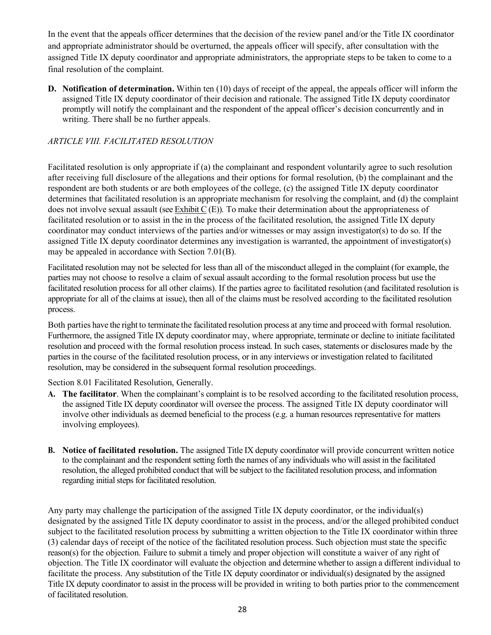In the event that the appeals officer determines that the decision of the review panel and/or the Title IX coordinator and appropriate administrator should be overturned, the appeals officer will specify, after consultation with the assigned Title IX deputy coordinator and appropriate administrators, the appropriate steps to be taken to come to a final resolution of the complaint.

**D. Notification of determination.** Within ten (10) days of receipt of the appeal, the appeals officer will inform the assigned Title IX deputy coordinator of their decision and rationale. The assigned Title IX deputy coordinator promptly will notify the complainant and the respondent of the appeal officer's decision concurrently and in writing. There shall be no further appeals.

# *ARTICLE VIII. FACILITATED RESOLUTION*

Facilitated resolution is only appropriate if (a) the complainant and respondent voluntarily agree to such resolution after receiving full disclosure of the allegations and their options for formal resolution, (b) the complainant and the respondent are both students or are both employees of the college, (c) the assigned Title IX deputy coordinator determines that facilitated resolution is an appropriate mechanism for resolving the complaint, and (d) the complaint does not involve sexual assault (see Exhibit C (E)). To make their determination about the appropriateness of facilitated resolution or to assist in the in the process of the facilitated resolution, the assigned Title IX deputy coordinator may conduct interviews of the parties and/or witnesses or may assign investigator(s) to do so. If the assigned Title IX deputy coordinator determines any investigation is warranted, the appointment of investigator(s) may be appealed in accordance with Section 7.01(B).

Facilitated resolution may not be selected for less than all of the misconduct alleged in the complaint (for example, the parties may not choose to resolve a claim of sexual assault according to the formal resolution process but use the facilitated resolution process for all other claims). If the parties agree to facilitated resolution (and facilitated resolution is appropriate for all of the claims at issue), then all of the claims must be resolved according to the facilitated resolution process.

Both parties have the right to terminate the facilitated resolution process at any time and proceed with formal resolution. Furthermore, the assigned Title IX deputy coordinator may, where appropriate, terminate or decline to initiate facilitated resolution and proceed with the formal resolution process instead. In such cases, statements or disclosures made by the parties in the course of the facilitated resolution process, or in any interviews or investigation related to facilitated resolution, may be considered in the subsequent formal resolution proceedings.

Section 8.01 Facilitated Resolution, Generally.

- **A. The facilitator**. When the complainant's complaint is to be resolved according to the facilitated resolution process, the assigned Title IX deputy coordinator will oversee the process. The assigned Title IX deputy coordinator will involve other individuals as deemed beneficial to the process (e.g. a human resources representative for matters involving employees).
- **B. Notice of facilitated resolution.** The assigned Title IX deputy coordinator will provide concurrent written notice to the complainant and the respondent setting forth the names of any individuals who will assist in the facilitated resolution, the alleged prohibited conduct that will be subject to the facilitated resolution process, and information regarding initial steps for facilitated resolution.

Any party may challenge the participation of the assigned Title IX deputy coordinator, or the individual(s) designated by the assigned Title IX deputy coordinator to assist in the process, and/or the alleged prohibited conduct subject to the facilitated resolution process by submitting a written objection to the Title IX coordinator within three (3) calendar days of receipt of the notice of the facilitated resolution process. Such objection must state the specific reason(s) for the objection. Failure to submit a timely and proper objection will constitute a waiver of any right of objection. The Title IX coordinator will evaluate the objection and determine whether to assign a different individual to facilitate the process. Any substitution of the Title IX deputy coordinator or individual(s) designated by the assigned Title IX deputy coordinator to assist in the process will be provided in writing to both parties prior to the commencement of facilitated resolution.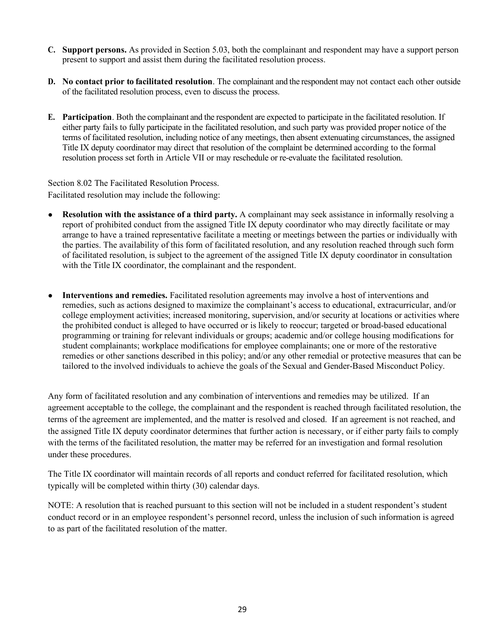- **C. Support persons.** As provided in Section 5.03, both the complainant and respondent may have a support person present to support and assist them during the facilitated resolution process.
- **D. No contact prior to facilitated resolution**. The complainant and the respondent may not contact each other outside of the facilitated resolution process, even to discuss the process.
- **E. Participation**. Both the complainant and the respondent are expected to participate in the facilitated resolution. If either party fails to fully participate in the facilitated resolution, and such party was provided proper notice of the terms of facilitated resolution, including notice of any meetings, then absent extenuating circumstances, the assigned Title IX deputy coordinator may direct that resolution of the complaint be determined according to the formal resolution process set forth in Article VII or may reschedule or re-evaluate the facilitated resolution.

Section 8.02 The Facilitated Resolution Process. Facilitated resolution may include the following:

- **Resolution with the assistance of a third party.** A complainant may seek assistance in informally resolving a report of prohibited conduct from the assigned Title IX deputy coordinator who may directly facilitate or may arrange to have a trained representative facilitate a meeting or meetings between the parties or individually with the parties. The availability of this form of facilitated resolution, and any resolution reached through such form of facilitated resolution, is subject to the agreement of the assigned Title IX deputy coordinator in consultation with the Title IX coordinator, the complainant and the respondent.
- **Interventions and remedies.** Facilitated resolution agreements may involve a host of interventions and remedies, such as actions designed to maximize the complainant's access to educational, extracurricular, and/or college employment activities; increased monitoring, supervision, and/or security at locations or activities where the prohibited conduct is alleged to have occurred or is likely to reoccur; targeted or broad-based educational programming or training for relevant individuals or groups; academic and/or college housing modifications for student complainants; workplace modifications for employee complainants; one or more of the restorative remedies or other sanctions described in this policy; and/or any other remedial or protective measures that can be tailored to the involved individuals to achieve the goals of the Sexual and Gender-Based Misconduct Policy.

Any form of facilitated resolution and any combination of interventions and remedies may be utilized. If an agreement acceptable to the college, the complainant and the respondent is reached through facilitated resolution, the terms of the agreement are implemented, and the matter is resolved and closed. If an agreement is not reached, and the assigned Title IX deputy coordinator determines that further action is necessary, or if either party fails to comply with the terms of the facilitated resolution, the matter may be referred for an investigation and formal resolution under these procedures.

The Title IX coordinator will maintain records of all reports and conduct referred for facilitated resolution, which typically will be completed within thirty (30) calendar days.

NOTE: A resolution that is reached pursuant to this section will not be included in a student respondent's student conduct record or in an employee respondent's personnel record, unless the inclusion of such information is agreed to as part of the facilitated resolution of the matter.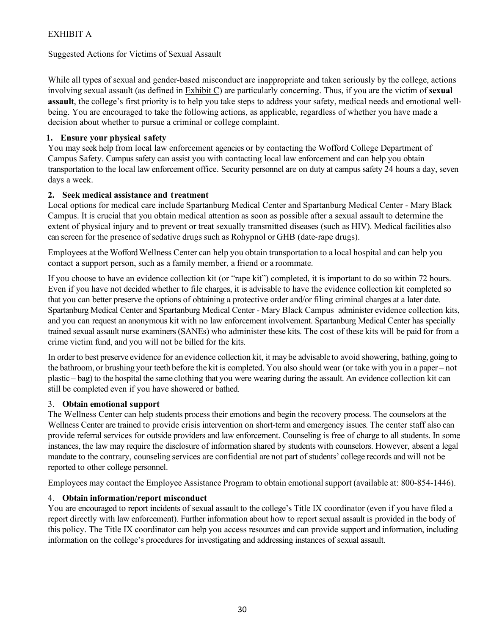# EXHIBIT A

Suggested Actions for Victims of Sexual Assault

While all types of sexual and gender-based misconduct are inappropriate and taken seriously by the college, actions involving sexual assault (as defined in Exhibit C) are particularly concerning. Thus, if you are the victim of **sexual assault**, the college's first priority is to help you take steps to address your safety, medical needs and emotional wellbeing. You are encouraged to take the following actions, as applicable, regardless of whether you have made a decision about whether to pursue a criminal or college complaint.

# **1. Ensure your physical safety**

You may seek help from local law enforcement agencies or by contacting the Wofford College Department of Campus Safety. Campus safety can assist you with contacting local law enforcement and can help you obtain transportation to the local law enforcement office. Security personnel are on duty at campus safety 24 hours a day, seven days a week.

# **2. Seek medical assistance and treatment**

Local options for medical care include Spartanburg Medical Center and Spartanburg Medical Center - Mary Black Campus. It is crucial that you obtain medical attention as soon as possible after a sexual assault to determine the extent of physical injury and to prevent or treat sexually transmitted diseases (such as HIV). Medical facilities also can screen for the presence of sedative drugs such as Rohypnol or GHB (date-rape drugs).

Employees at the Wofford Wellness Center can help you obtain transportation to a local hospital and can help you contact a support person, such as a family member, a friend or a roommate.

If you choose to have an evidence collection kit (or "rape kit") completed, it is important to do so within 72 hours. Even if you have not decided whether to file charges, it is advisable to have the evidence collection kit completed so that you can better preserve the options of obtaining a protective order and/or filing criminal charges at a later date. Spartanburg Medical Center and Spartanburg Medical Center - Mary Black Campus administer evidence collection kits, and you can request an anonymous kit with no law enforcement involvement. Spartanburg Medical Center has specially trained sexual assault nurse examiners (SANEs) who administer these kits. The cost of these kits will be paid for from a crime victim fund, and you will not be billed for the kits.

In orderto best preserve evidence for an evidence collection kit, it may be advisable to avoid showering, bathing, going to the bathroom, or brushing your teeth before the kit is completed. You also should wear (or take with you in a paper – not plastic – bag) to the hospital the same clothing that you were wearing during the assault. An evidence collection kit can still be completed even if you have showered or bathed.

# 3. **Obtain emotional support**

The Wellness Center can help students process their emotions and begin the recovery process. The counselors at the Wellness Center are trained to provide crisis intervention on short-term and emergency issues. The center staff also can provide referral services for outside providers and law enforcement. Counseling is free of charge to all students. In some instances, the law may require the disclosure of information shared by students with counselors. However, absent a legal mandate to the contrary, counseling services are confidential are not part of students' college records and will not be reported to other college personnel.

Employees may contact the Employee Assistance Program to obtain emotional support (available at: 800-854-1446).

# 4. **Obtain information/report misconduct**

You are encouraged to report incidents of sexual assault to the college's Title IX coordinator (even if you have filed a report directly with law enforcement). Further information about how to report sexual assault is provided in the body of this policy. The Title IX coordinator can help you access resources and can provide support and information, including information on the college's procedures for investigating and addressing instances of sexual assault.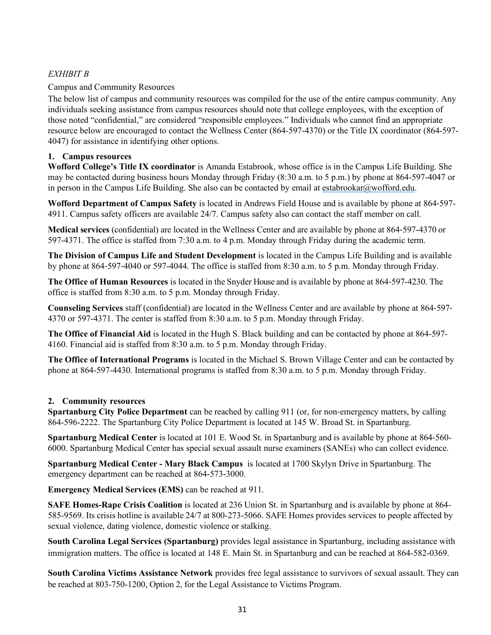# *EXHIBIT B*

## Campus and Community Resources

The below list of campus and community resources was compiled for the use of the entire campus community. Any individuals seeking assistance from campus resources should note that college employees, with the exception of those noted "confidential," are considered "responsible employees." Individuals who cannot find an appropriate resource below are encouraged to contact the Wellness Center (864-597-4370) or the Title IX coordinator (864-597- 4047) for assistance in identifying other options.

#### **1. Campus resources**

**Wofford College's Title IX coordinator** is Amanda Estabrook, whose office is in the Campus Life Building. She may be contacted during business hours Monday through Friday (8:30 a.m. to 5 p.m.) by phone at 864-597-4047 or in person in the Campus Life Building. She also can be contacted by email at estabrookar $@$ wofford.edu.

**Wofford Department of Campus Safety** is located in Andrews Field House and is available by phone at 864-597- 4911. Campus safety officers are available 24/7. Campus safety also can contact the staff member on call.

**Medical services** (confidential) are located in the Wellness Center and are available by phone at 864-597-4370 or 597-4371. The office is staffed from 7:30 a.m. to 4 p.m. Monday through Friday during the academic term.

**The Division of Campus Life and Student Development** is located in the Campus Life Building and is available by phone at 864-597-4040 or 597-4044. The office is staffed from 8:30 a.m. to 5 p.m. Monday through Friday.

**The Office of Human Resources** is located in the Snyder House and is available by phone at 864-597-4230. The office is staffed from 8:30 a.m. to 5 p.m. Monday through Friday.

**Counseling Services** staff (confidential) are located in the Wellness Center and are available by phone at 864-597- 4370 or 597-4371. The center is staffed from 8:30 a.m. to 5 p.m. Monday through Friday.

**The Office of Financial Aid** is located in the Hugh S. Black building and can be contacted by phone at 864-597- 4160. Financial aid is staffed from 8:30 a.m. to 5 p.m. Monday through Friday.

**The Office of International Programs** is located in the Michael S. Brown Village Center and can be contacted by phone at 864-597-4430. International programs is staffed from 8:30 a.m. to 5 p.m. Monday through Friday.

#### **2. Community resources**

**Spartanburg City Police Department** can be reached by calling 911 (or, for non-emergency matters, by calling 864-596-2222. The Spartanburg City Police Department is located at 145 W. Broad St. in Spartanburg.

**Spartanburg Medical Center** is located at 101 E. Wood St. in Spartanburg and is available by phone at 864-560- 6000. Spartanburg Medical Center has special sexual assault nurse examiners (SANEs) who can collect evidence.

**Spartanburg Medical Center - Mary Black Campus** is located at 1700 Skylyn Drive in Spartanburg. The emergency department can be reached at 864-573-3000.

**Emergency Medical Services (EMS)** can be reached at 911.

**SAFE Homes-Rape Crisis Coalition** is located at 236 Union St. in Spartanburg and is available by phone at 864- 585-9569. Its crisis hotline is available 24/7 at 800-273-5066. SAFE Homes provides services to people affected by sexual violence, dating violence, domestic violence or stalking.

**South Carolina Legal Services (Spartanburg)** provides legal assistance in Spartanburg, including assistance with immigration matters. The office is located at 148 E. Main St. in Spartanburg and can be reached at 864-582-0369.

**South Carolina Victims Assistance Network** provides free legal assistance to survivors of sexual assault. They can be reached at 803-750-1200, Option 2, for the Legal Assistance to Victims Program.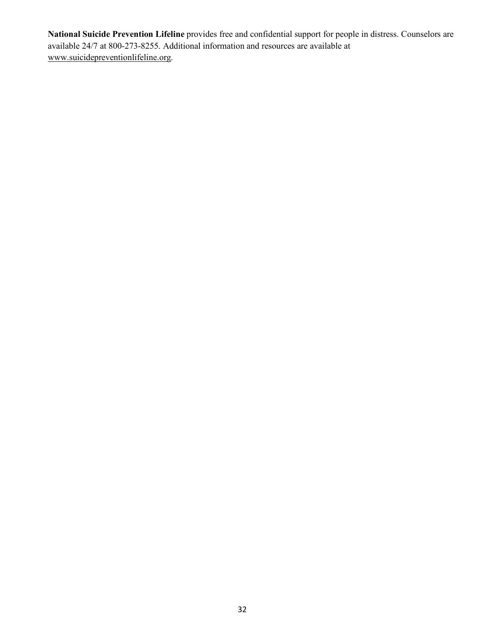**National Suicide Prevention Lifeline** provides free and confidential support for people in distress. Counselors are available 24/7 at 800-273-8255. Additional information and resources are available at www.suicidepreventionlifeline.org.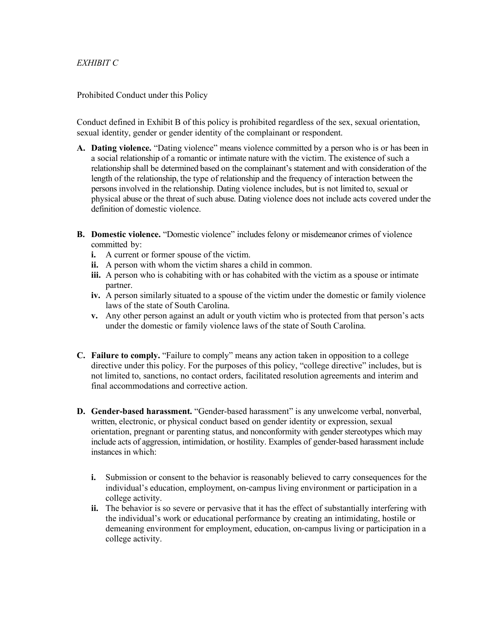### *EXHIBIT C*

#### Prohibited Conduct under this Policy

Conduct defined in Exhibit B of this policy is prohibited regardless of the sex, sexual orientation, sexual identity, gender or gender identity of the complainant or respondent.

- **A. Dating violence.** "Dating violence" means violence committed by a person who is or has been in a social relationship of a romantic or intimate nature with the victim. The existence of such a relationship shall be determined based on the complainant's statement and with consideration of the length of the relationship, the type of relationship and the frequency of interaction between the persons involved in the relationship. Dating violence includes, but is not limited to, sexual or physical abuse or the threat of such abuse. Dating violence does not include acts covered under the definition of domestic violence.
- **B. Domestic violence.** "Domestic violence" includes felony or misdemeanor crimes of violence committed by:
	- **i.** A current or former spouse of the victim.
	- **ii.** A person with whom the victim shares a child in common.
	- **iii.** A person who is cohabiting with or has cohabited with the victim as a spouse or intimate partner.
	- **iv.** A person similarly situated to a spouse of the victim under the domestic or family violence laws of the state of South Carolina.
	- **v.** Any other person against an adult or youth victim who is protected from that person's acts under the domestic or family violence laws of the state of South Carolina.
- **C. Failure to comply.** "Failure to comply" means any action taken in opposition to a college directive under this policy. For the purposes of this policy, "college directive" includes, but is not limited to, sanctions, no contact orders, facilitated resolution agreements and interim and final accommodations and corrective action.
- **D. Gender-based harassment.** "Gender-based harassment" is any unwelcome verbal, nonverbal, written, electronic, or physical conduct based on gender identity or expression, sexual orientation, pregnant or parenting status, and nonconformity with gender stereotypes which may include acts of aggression, intimidation, or hostility. Examples of gender-based harassment include instances in which:
	- **i.** Submission or consent to the behavior is reasonably believed to carry consequences for the individual's education, employment, on-campus living environment or participation in a college activity.
	- **ii.** The behavior is so severe or pervasive that it has the effect of substantially interfering with the individual's work or educational performance by creating an intimidating, hostile or demeaning environment for employment, education, on-campus living or participation in a college activity.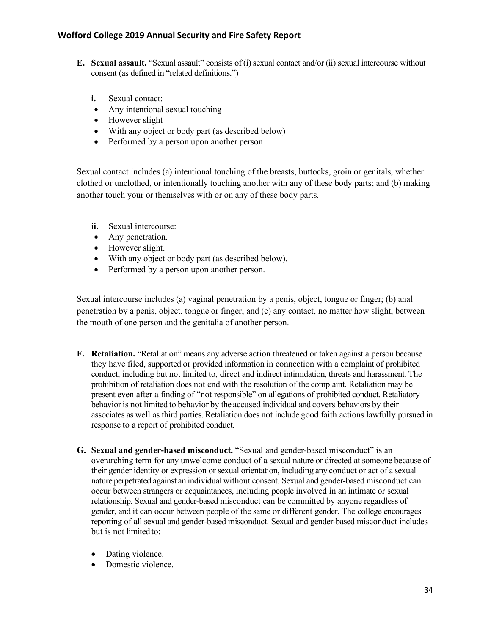- **E. Sexual assault.** "Sexual assault" consists of (i) sexual contact and/or (ii) sexual intercourse without consent (as defined in "related definitions.")
	- **i.** Sexual contact:
	- Any intentional sexual touching
	- However slight
	- With any object or body part (as described below)
	- Performed by a person upon another person

Sexual contact includes (a) intentional touching of the breasts, buttocks, groin or genitals, whether clothed or unclothed, or intentionally touching another with any of these body parts; and (b) making another touch your or themselves with or on any of these body parts.

- **ii.** Sexual intercourse:
- Any penetration.
- However slight.
- With any object or body part (as described below).
- Performed by a person upon another person.

Sexual intercourse includes (a) vaginal penetration by a penis, object, tongue or finger; (b) anal penetration by a penis, object, tongue or finger; and (c) any contact, no matter how slight, between the mouth of one person and the genitalia of another person.

- **F. Retaliation.** "Retaliation" means any adverse action threatened or taken against a person because they have filed, supported or provided information in connection with a complaint of prohibited conduct, including but not limited to, direct and indirect intimidation, threats and harassment. The prohibition of retaliation does not end with the resolution of the complaint. Retaliation may be present even after a finding of "not responsible" on allegations of prohibited conduct. Retaliatory behavior is not limited to behavior by the accused individual and covers behaviors by their associates as well as third parties.Retaliation does not include good faith actions lawfully pursued in response to a report of prohibited conduct.
- **G. Sexual and gender-based misconduct.** "Sexual and gender-based misconduct" is an overarching term for any unwelcome conduct of a sexual nature or directed at someone because of their gender identity or expression or sexual orientation, including any conduct or act of a sexual nature perpetrated against an individual without consent. Sexual and gender-based misconduct can occur between strangers or acquaintances, including people involved in an intimate or sexual relationship. Sexual and gender-based misconduct can be committed by anyone regardless of gender, and it can occur between people of the same or different gender. The college encourages reporting of all sexual and gender-based misconduct. Sexual and gender-based misconduct includes but is not limited to:
	- Dating violence.
	- Domestic violence.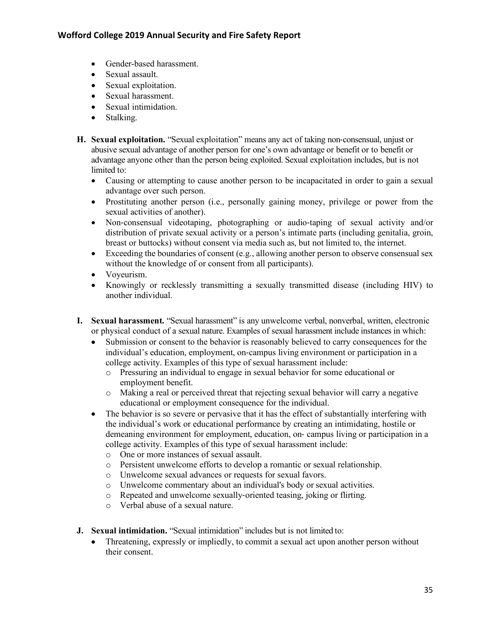- Gender-based harassment.
- Sexual assault.
- Sexual exploitation.
- Sexual harassment.
- Sexual intimidation
- Stalking.
- **H. Sexual exploitation.** "Sexual exploitation" means any act of taking non-consensual, unjust or abusive sexual advantage of another person for one's own advantage or benefit or to benefit or advantage anyone other than the person being exploited. Sexual exploitation includes, but is not limited to:
	- Causing or attempting to cause another person to be incapacitated in order to gain a sexual advantage over such person.
	- Prostituting another person (i.e., personally gaining money, privilege or power from the sexual activities of another).
	- Non-consensual videotaping, photographing or audio-taping of sexual activity and/or distribution of private sexual activity or a person's intimate parts (including genitalia, groin, breast or buttocks) without consent via media such as, but not limited to, the internet.
	- Exceeding the boundaries of consent (e.g., allowing another person to observe consensual sex without the knowledge of or consent from all participants).
	- Voyeurism.
	- Knowingly or recklessly transmitting a sexually transmitted disease (including HIV) to another individual.
- **I. Sexual harassment.** "Sexual harassment" is any unwelcome verbal, nonverbal, written, electronic or physical conduct of a sexual nature. Examples of sexual harassment include instances in which:
	- Submission or consent to the behavior is reasonably believed to carry consequences for the individual's education, employment, on-campus living environment or participation in a college activity. Examples of this type of sexual harassment include:
		- o Pressuring an individual to engage in sexual behavior for some educational or employment benefit.
		- o Making a real or perceived threat that rejecting sexual behavior will carry a negative educational or employment consequence for the individual.
	- The behavior is so severe or pervasive that it has the effect of substantially interfering with the individual's work or educational performance by creating an intimidating, hostile or demeaning environment for employment, education, on- campus living or participation in a college activity. Examples of this type of sexual harassment include:
		- o One or more instances of sexual assault.
		- o Persistent unwelcome efforts to develop a romantic or sexual relationship.
		- o Unwelcome sexual advances or requests for sexual favors.
		- o Unwelcome commentary about an individual's body or sexual activities.
		- o Repeated and unwelcome sexually-oriented teasing, joking or flirting.
		- o Verbal abuse of a sexual nature.
- **J. Sexual intimidation.** "Sexual intimidation" includes but is not limited to:
	- Threatening, expressly or impliedly, to commit a sexual act upon another person without their consent.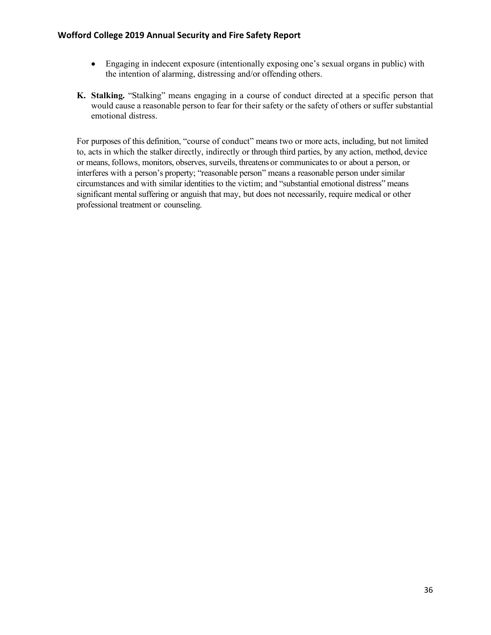- Engaging in indecent exposure (intentionally exposing one's sexual organs in public) with the intention of alarming, distressing and/or offending others.
- **K. Stalking.** "Stalking" means engaging in a course of conduct directed at a specific person that would cause a reasonable person to fear for their safety or the safety of others or suffer substantial emotional distress.

For purposes of this definition, "course of conduct" means two or more acts, including, but not limited to, acts in which the stalker directly, indirectly or through third parties, by any action, method, device or means, follows, monitors, observes, surveils, threatens or communicatesto or about a person, or interferes with a person's property; "reasonable person" means a reasonable person under similar circumstances and with similar identities to the victim; and "substantial emotional distress" means significant mental suffering or anguish that may, but does not necessarily, require medical or other professional treatment or counseling.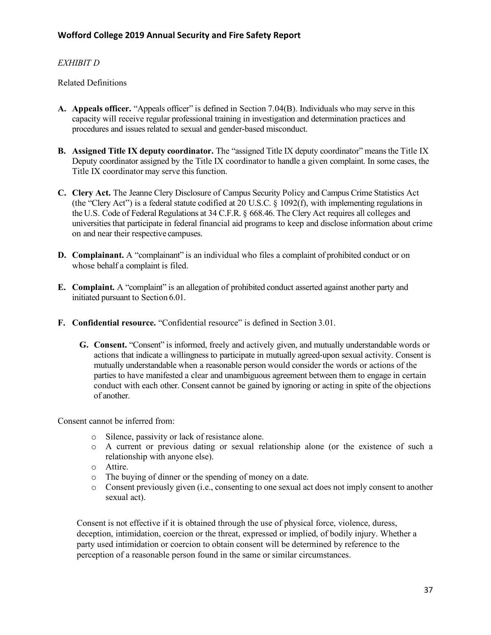# *EXHIBIT D*

Related Definitions

- **A. Appeals officer.** "Appeals officer" is defined in Section 7.04(B). Individuals who may serve in this capacity will receive regular professional training in investigation and determination practices and procedures and issues related to sexual and gender-based misconduct.
- **B. Assigned Title IX deputy coordinator.** The "assigned Title IX deputy coordinator" meansthe Title IX Deputy coordinator assigned by the Title IX coordinator to handle a given complaint. In some cases, the Title IX coordinator may serve this function.
- **C. Clery Act.** The Jeanne Clery Disclosure of Campus Security Policy and Campus Crime Statistics Act (the "Clery Act") is a federal statute codified at 20 U.S.C. § 1092(f), with implementing regulations in the U.S. Code of Federal Regulations at 34 C.F.R. § 668.46. The Clery Act requires all colleges and universities that participate in federal financial aid programs to keep and disclose information about crime on and near their respective campuses.
- **D. Complainant.** A "complainant" is an individual who files a complaint of prohibited conduct or on whose behalf a complaint is filed.
- **E. Complaint.** A "complaint" is an allegation of prohibited conduct asserted against another party and initiated pursuant to Section 6.01.
- **F. Confidential resource.** "Confidential resource" is defined in Section 3.01.
	- **G. Consent.** "Consent" is informed, freely and actively given, and mutually understandable words or actions that indicate a willingness to participate in mutually agreed-upon sexual activity. Consent is mutually understandable when a reasonable person would consider the words or actions of the parties to have manifested a clear and unambiguous agreement between them to engage in certain conduct with each other. Consent cannot be gained by ignoring or acting in spite of the objections of another.

Consent cannot be inferred from:

- o Silence, passivity or lack of resistance alone.
- o A current or previous dating or sexual relationship alone (or the existence of such a relationship with anyone else).
- o Attire.
- o The buying of dinner or the spending of money on a date.
- o Consent previously given (i.e., consenting to one sexual act does not imply consent to another sexual act).

Consent is not effective if it is obtained through the use of physical force, violence, duress, deception, intimidation, coercion or the threat, expressed or implied, of bodily injury. Whether a party used intimidation or coercion to obtain consent will be determined by reference to the perception of a reasonable person found in the same or similar circumstances.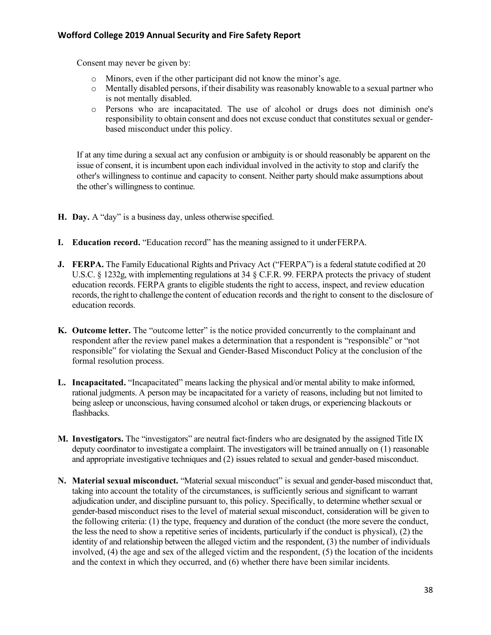Consent may never be given by:

- o Minors, even if the other participant did not know the minor's age.
- o Mentally disabled persons, if their disability was reasonably knowable to a sexual partner who is not mentally disabled.
- o Persons who are incapacitated. The use of alcohol or drugs does not diminish one's responsibility to obtain consent and does not excuse conduct that constitutes sexual or genderbased misconduct under this policy.

If at any time during a sexual act any confusion or ambiguity is or should reasonably be apparent on the issue of consent, it is incumbent upon each individual involved in the activity to stop and clarify the other's willingness to continue and capacity to consent. Neither party should make assumptions about the other's willingness to continue.

- **H. Day.** A "day" is a business day, unless otherwise specified.
- **I. Education record.** "Education record" has the meaning assigned to it underFERPA.
- **J. FERPA.** The Family Educational Rights and Privacy Act ("FERPA") is a federal statute codified at 20 U.S.C. § 1232g, with implementing regulations at 34 § C.F.R. 99. FERPA protects the privacy of student education records. FERPA grants to eligible students the right to access, inspect, and review education records, the right to challenge the content of education records and the right to consent to the disclosure of education records.
- **K. Outcome letter.** The "outcome letter" is the notice provided concurrently to the complainant and respondent after the review panel makes a determination that a respondent is "responsible" or "not responsible" for violating the Sexual and Gender-Based Misconduct Policy at the conclusion of the formal resolution process.
- **L. Incapacitated.** "Incapacitated" means lacking the physical and/or mental ability to make informed, rational judgments. A person may be incapacitated for a variety of reasons, including but not limited to being asleep or unconscious, having consumed alcohol or taken drugs, or experiencing blackouts or flashbacks.
- **M. Investigators.** The "investigators" are neutral fact-finders who are designated by the assigned Title IX deputy coordinator to investigate a complaint. The investigators will be trained annually on (1) reasonable and appropriate investigative techniques and (2) issues related to sexual and gender-based misconduct.
- **N. Material sexual misconduct.** "Material sexual misconduct" is sexual and gender-based misconduct that, taking into account the totality of the circumstances, is sufficiently serious and significant to warrant adjudication under, and discipline pursuant to, this policy. Specifically, to determine whether sexual or gender-based misconduct rises to the level of material sexual misconduct, consideration will be given to the following criteria: (1) the type, frequency and duration of the conduct (the more severe the conduct, the less the need to show a repetitive series of incidents, particularly if the conduct is physical), (2) the identity of and relationship between the alleged victim and the respondent, (3) the number of individuals involved, (4) the age and sex of the alleged victim and the respondent, (5) the location of the incidents and the context in which they occurred, and (6) whether there have been similar incidents.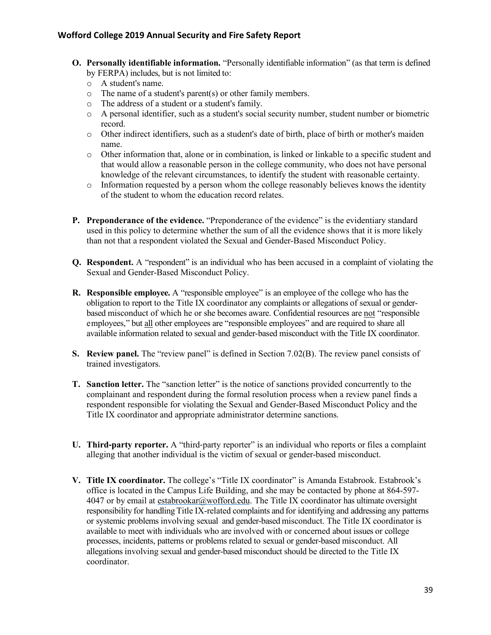- **O. Personally identifiable information.** "Personally identifiable information" (as that term is defined by FERPA) includes, but is not limited to:
	- o A student's name.
	- o The name of a student's parent(s) or other family members.
	- o The address of a student or a student's family.
	- o A personal identifier, such as a student's social security number, student number or biometric record.
	- o Other indirect identifiers, such as a student's date of birth, place of birth or mother's maiden name.
	- o Other information that, alone or in combination, is linked or linkable to a specific student and that would allow a reasonable person in the college community, who does not have personal knowledge of the relevant circumstances, to identify the student with reasonable certainty.
	- o Information requested by a person whom the college reasonably believes knows the identity of the student to whom the education record relates.
- **P. Preponderance of the evidence.** "Preponderance of the evidence" is the evidentiary standard used in this policy to determine whether the sum of all the evidence shows that it is more likely than not that a respondent violated the Sexual and Gender-Based Misconduct Policy.
- **Q. Respondent.** A "respondent" is an individual who has been accused in a complaint of violating the Sexual and Gender-Based Misconduct Policy.
- **R. Responsible employee.** A "responsible employee" is an employee of the college who has the obligation to report to the Title IX coordinator any complaints or allegations of sexual or genderbased misconduct of which he or she becomes aware. Confidential resources are not "responsible employees," but all other employees are "responsible employees" and are required to share all available information related to sexual and gender-based misconduct with the Title IX coordinator.
- **S. Review panel.** The "review panel" is defined in Section 7.02(B). The review panel consists of trained investigators.
- **T. Sanction letter.** The "sanction letter" is the notice of sanctions provided concurrently to the complainant and respondent during the formal resolution process when a review panel finds a respondent responsible for violating the Sexual and Gender-Based Misconduct Policy and the Title IX coordinator and appropriate administrator determine sanctions.
- **U. Third**-**party reporter.** A "third-party reporter" is an individual who reports or files a complaint alleging that another individual is the victim of sexual or gender-based misconduct.
- **V. Title IX coordinator.** The college's "Title IX coordinator" is Amanda Estabrook. Estabrook's office is located in the Campus Life Building, and she may be contacted by phone at 864-597- 4047 or by email at estabrookar@wofford.edu. The Title IX coordinator has ultimate oversight responsibility for handling Title IX-related complaints and for identifying and addressing any patterns or systemic problems involving sexual and gender-based misconduct. The Title IX coordinator is available to meet with individuals who are involved with or concerned about issues or college processes, incidents, patterns or problems related to sexual or gender-based misconduct. All allegations involving sexual and gender-based misconduct should be directed to the Title IX coordinator.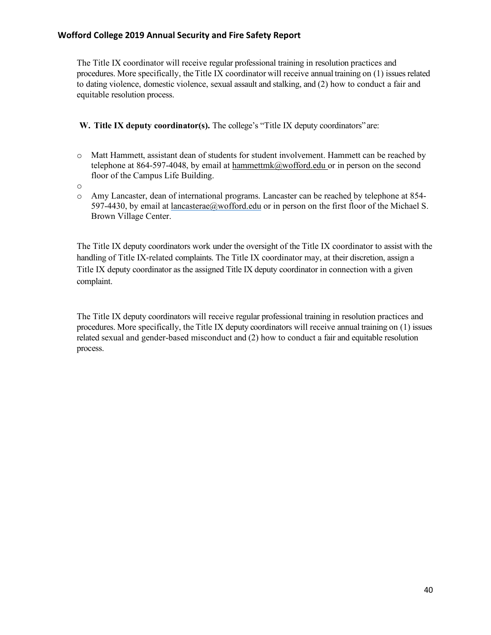The Title IX coordinator will receive regular professional training in resolution practices and procedures. More specifically, theTitle IX coordinator will receive annual training on (1) issues related to dating violence, domestic violence, sexual assault and stalking, and (2) how to conduct a fair and equitable resolution process.

**W. Title IX deputy coordinator(s).** The college's "Title IX deputy coordinators" are:

- o Matt Hammett, assistant dean of students for student involvement. Hammett can be reached by telephone at 864-597-4048, by email at hammettmk@wofford.edu or in person on the second floor of the Campus Life Building.
- o
- o Amy Lancaster, dean of international programs. Lancaster can be reached by telephone at 854- 597-4430, by email at lancasterae@wofford.edu or in person on the first floor of the Michael S. Brown Village Center.

The Title IX deputy coordinators work under the oversight of the Title IX coordinator to assist with the handling of Title IX-related complaints. The Title IX coordinator may, at their discretion, assign a Title IX deputy coordinator as the assigned Title IX deputy coordinator in connection with a given complaint.

The Title IX deputy coordinators will receive regular professional training in resolution practices and procedures. More specifically, the Title IX deputy coordinators will receive annual training on (1) issues related sexual and gender-based misconduct and (2) how to conduct a fair and equitable resolution process.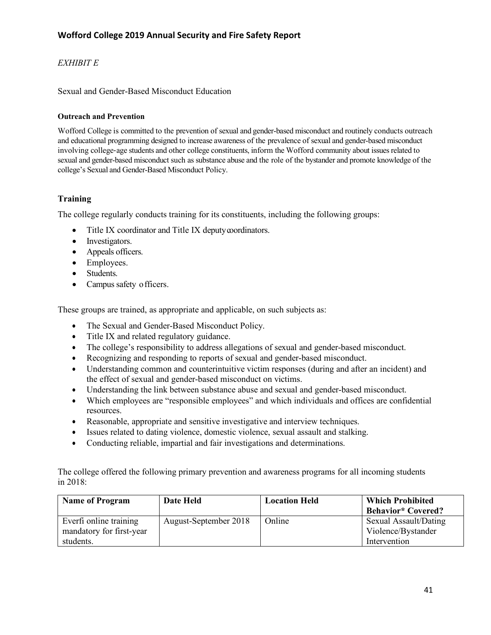# *EXHIBIT E*

#### Sexual and Gender-Based Misconduct Education

#### **Outreach and Prevention**

Wofford College is committed to the prevention of sexual and gender-based misconduct and routinely conducts outreach and educational programming designed to increase awareness of the prevalence of sexual and gender-based misconduct involving college-age students and other college constituents, inform the Wofford community about issues related to sexual and gender-based misconduct such as substance abuse and the role of the bystander and promote knowledge of the college's Sexual and Gender-Based Misconduct Policy.

#### **Training**

The college regularly conducts training for its constituents, including the following groups:

- Title IX coordinator and Title IX deputy coordinators.
- Investigators.
- Appeals officers.
- Employees.
- Students.
- Campus safety officers.

These groups are trained, as appropriate and applicable, on such subjects as:

- The Sexual and Gender-Based Misconduct Policy.
- Title IX and related regulatory guidance.
- The college's responsibility to address allegations of sexual and gender-based misconduct.
- Recognizing and responding to reports of sexual and gender-based misconduct.
- Understanding common and counterintuitive victim responses (during and after an incident) and the effect of sexual and gender-based misconduct on victims.
- Understanding the link between substance abuse and sexual and gender-based misconduct.
- Which employees are "responsible employees" and which individuals and offices are confidential resources.
- Reasonable, appropriate and sensitive investigative and interview techniques.
- Issues related to dating violence, domestic violence, sexual assault and stalking.
- Conducting reliable, impartial and fair investigations and determinations.

The college offered the following primary prevention and awareness programs for all incoming students in 2018:

| <b>Name of Program</b>                             | Date Held             | <b>Location Held</b> | <b>Which Prohibited</b><br><b>Behavior*</b> Covered? |
|----------------------------------------------------|-----------------------|----------------------|------------------------------------------------------|
| Everti online training<br>mandatory for first-year | August-September 2018 | Online               | Sexual Assault/Dating<br>Violence/Bystander          |
| students.                                          |                       |                      | Intervention                                         |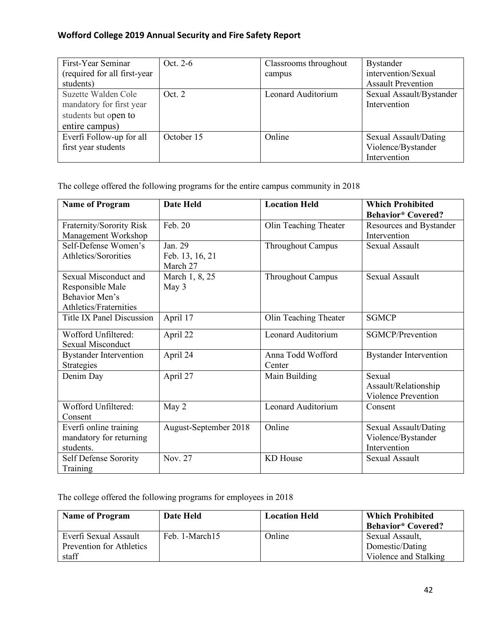| First-Year Seminar           | Oct. 2-6   | Classrooms throughout | <b>Bystander</b>          |
|------------------------------|------------|-----------------------|---------------------------|
| (required for all first-year |            | campus                | intervention/Sexual       |
| students)                    |            |                       | <b>Assault Prevention</b> |
| Suzette Walden Cole          | Oct 2      | Leonard Auditorium    | Sexual Assault/Bystander  |
| mandatory for first year     |            |                       | Intervention              |
| students but open to         |            |                       |                           |
| entire campus)               |            |                       |                           |
| Everfi Follow-up for all     | October 15 | Online                | Sexual Assault/Dating     |
| first year students          |            |                       | Violence/Bystander        |
|                              |            |                       | Intervention              |

The college offered the following programs for the entire campus community in 2018

| <b>Name of Program</b>                                                                | <b>Date Held</b>                       | <b>Location Held</b>        | <b>Which Prohibited</b><br><b>Behavior*</b> Covered?         |
|---------------------------------------------------------------------------------------|----------------------------------------|-----------------------------|--------------------------------------------------------------|
| Fraternity/Sorority Risk<br>Management Workshop                                       | Feb. 20                                | Olin Teaching Theater       | Resources and Bystander<br>Intervention                      |
| Self-Defense Women's<br>Athletics/Sororities                                          | Jan. 29<br>Feb. 13, 16, 21<br>March 27 | <b>Throughout Campus</b>    | <b>Sexual Assault</b>                                        |
| Sexual Misconduct and<br>Responsible Male<br>Behavior Men's<br>Athletics/Fraternities | March 1, 8, 25<br>May 3                | <b>Throughout Campus</b>    | <b>Sexual Assault</b>                                        |
| Title IX Panel Discussion                                                             | April 17                               | Olin Teaching Theater       | <b>SGMCP</b>                                                 |
| Wofford Unfiltered:<br><b>Sexual Misconduct</b>                                       | April 22                               | Leonard Auditorium          | <b>SGMCP/Prevention</b>                                      |
| <b>Bystander Intervention</b><br>Strategies                                           | April 24                               | Anna Todd Wofford<br>Center | <b>Bystander Intervention</b>                                |
| Denim Day                                                                             | April 27                               | Main Building               | Sexual<br>Assault/Relationship<br><b>Violence Prevention</b> |
| Wofford Unfiltered:<br>Consent                                                        | May 2                                  | Leonard Auditorium          | Consent                                                      |
| Everfi online training<br>mandatory for returning<br>students.                        | August-September 2018                  | Online                      | Sexual Assault/Dating<br>Violence/Bystander<br>Intervention  |
| Self Defense Sorority<br>Training                                                     | Nov. 27                                | KD House                    | <b>Sexual Assault</b>                                        |

The college offered the following programs for employees in 2018

| <b>Name of Program</b>                                     | Date Held      | <b>Location Held</b> | <b>Which Prohibited</b><br><b>Behavior*</b> Covered?        |
|------------------------------------------------------------|----------------|----------------------|-------------------------------------------------------------|
| Everfi Sexual Assault<br>Prevention for Athletics<br>staff | Feb. 1-March15 | Online               | Sexual Assault,<br>Domestic/Dating<br>Violence and Stalking |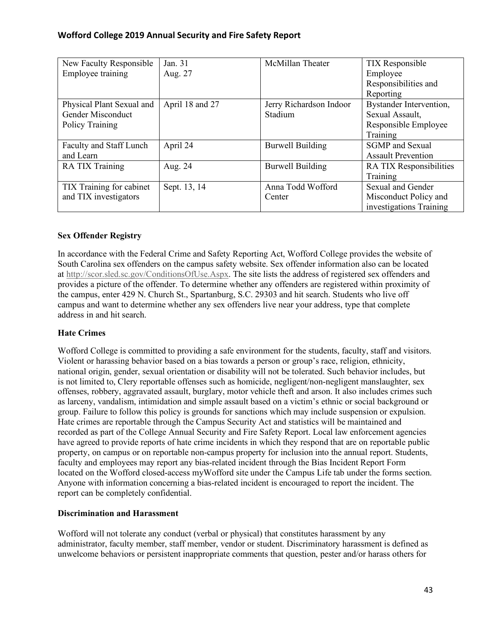| New Faculty Responsible   | Jan. 31         | McMillan Theater        | <b>TIX</b> Responsible    |
|---------------------------|-----------------|-------------------------|---------------------------|
| Employee training         | Aug. 27         |                         | Employee                  |
|                           |                 |                         | Responsibilities and      |
|                           |                 |                         | Reporting                 |
| Physical Plant Sexual and | April 18 and 27 | Jerry Richardson Indoor | Bystander Intervention,   |
| Gender Misconduct         |                 | Stadium                 | Sexual Assault,           |
| Policy Training           |                 |                         | Responsible Employee      |
|                           |                 |                         | Training                  |
| Faculty and Staff Lunch   | April 24        | <b>Burwell Building</b> | <b>SGMP</b> and Sexual    |
| and Learn                 |                 |                         | <b>Assault Prevention</b> |
| RA TIX Training           | Aug. 24         | <b>Burwell Building</b> | RA TIX Responsibilities   |
|                           |                 |                         | Training                  |
| TIX Training for cabinet  | Sept. 13, 14    | Anna Todd Wofford       | <b>Sexual and Gender</b>  |
| and TIX investigators     |                 | Center                  | Misconduct Policy and     |
|                           |                 |                         | investigations Training   |

# **Sex Offender Registry**

In accordance with the Federal Crime and Safety Reporting Act, Wofford College provides the website of South Carolina sex offenders on the campus safety website. Sex offender information also can be located at http://scor.sled.sc.gov/ConditionsOfUse.Aspx. The site lists the address of registered sex offenders and provides a picture of the offender. To determine whether any offenders are registered within proximity of the campus, enter 429 N. Church St., Spartanburg, S.C. 29303 and hit search. Students who live off campus and want to determine whether any sex offenders live near your address, type that complete address in and hit search.

# **Hate Crimes**

Wofford College is committed to providing a safe environment for the students, faculty, staff and visitors. Violent or harassing behavior based on a bias towards a person or group's race, religion, ethnicity, national origin, gender, sexual orientation or disability will not be tolerated. Such behavior includes, but is not limited to, Clery reportable offenses such as homicide, negligent/non-negligent manslaughter, sex offenses, robbery, aggravated assault, burglary, motor vehicle theft and arson. It also includes crimes such as larceny, vandalism, intimidation and simple assault based on a victim's ethnic or social background or group. Failure to follow this policy is grounds for sanctions which may include suspension or expulsion. Hate crimes are reportable through the Campus Security Act and statistics will be maintained and recorded as part of the College Annual Security and Fire Safety Report. Local law enforcement agencies have agreed to provide reports of hate crime incidents in which they respond that are on reportable public property, on campus or on reportable non-campus property for inclusion into the annual report. Students, faculty and employees may report any bias-related incident through the Bias Incident Report Form located on the Wofford closed-access myWofford site under the Campus Life tab under the forms section. Anyone with information concerning a bias-related incident is encouraged to report the incident. The report can be completely confidential.

# **Discrimination and Harassment**

Wofford will not tolerate any conduct (verbal or physical) that constitutes harassment by any administrator, faculty member, staff member, vendor or student. Discriminatory harassment is defined as unwelcome behaviors or persistent inappropriate comments that question, pester and/or harass others for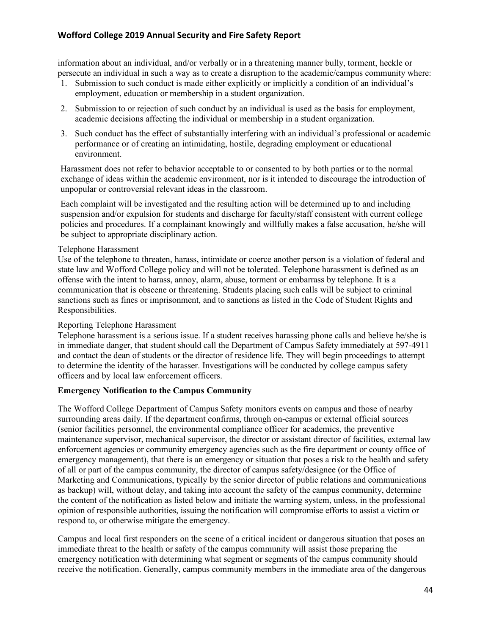information about an individual, and/or verbally or in a threatening manner bully, torment, heckle or persecute an individual in such a way as to create a disruption to the academic/campus community where:

- 1. Submission to such conduct is made either explicitly or implicitly a condition of an individual's employment, education or membership in a student organization.
- 2. Submission to or rejection of such conduct by an individual is used as the basis for employment, academic decisions affecting the individual or membership in a student organization.
- 3. Such conduct has the effect of substantially interfering with an individual's professional or academic performance or of creating an intimidating, hostile, degrading employment or educational environment.

Harassment does not refer to behavior acceptable to or consented to by both parties or to the normal exchange of ideas within the academic environment, nor is it intended to discourage the introduction of unpopular or controversial relevant ideas in the classroom.

Each complaint will be investigated and the resulting action will be determined up to and including suspension and/or expulsion for students and discharge for faculty/staff consistent with current college policies and procedures. If a complainant knowingly and willfully makes a false accusation, he/she will be subject to appropriate disciplinary action.

#### Telephone Harassment

Use of the telephone to threaten, harass, intimidate or coerce another person is a violation of federal and state law and Wofford College policy and will not be tolerated. Telephone harassment is defined as an offense with the intent to harass, annoy, alarm, abuse, torment or embarrass by telephone. It is a communication that is obscene or threatening. Students placing such calls will be subject to criminal sanctions such as fines or imprisonment, and to sanctions as listed in the Code of Student Rights and Responsibilities.

#### Reporting Telephone Harassment

Telephone harassment is a serious issue. If a student receives harassing phone calls and believe he/she is in immediate danger, that student should call the Department of Campus Safety immediately at 597-4911 and contact the dean of students or the director of residence life. They will begin proceedings to attempt to determine the identity of the harasser. Investigations will be conducted by college campus safety officers and by local law enforcement officers.

#### **Emergency Notification to the Campus Community**

The Wofford College Department of Campus Safety monitors events on campus and those of nearby surrounding areas daily. If the department confirms, through on-campus or external official sources (senior facilities personnel, the environmental compliance officer for academics, the preventive maintenance supervisor, mechanical supervisor, the director or assistant director of facilities, external law enforcement agencies or community emergency agencies such as the fire department or county office of emergency management), that there is an emergency or situation that poses a risk to the health and safety of all or part of the campus community, the director of campus safety/designee (or the Office of Marketing and Communications, typically by the senior director of public relations and communications as backup) will, without delay, and taking into account the safety of the campus community, determine the content of the notification as listed below and initiate the warning system, unless, in the professional opinion of responsible authorities, issuing the notification will compromise efforts to assist a victim or respond to, or otherwise mitigate the emergency.

Campus and local first responders on the scene of a critical incident or dangerous situation that poses an immediate threat to the health or safety of the campus community will assist those preparing the emergency notification with determining what segment or segments of the campus community should receive the notification. Generally, campus community members in the immediate area of the dangerous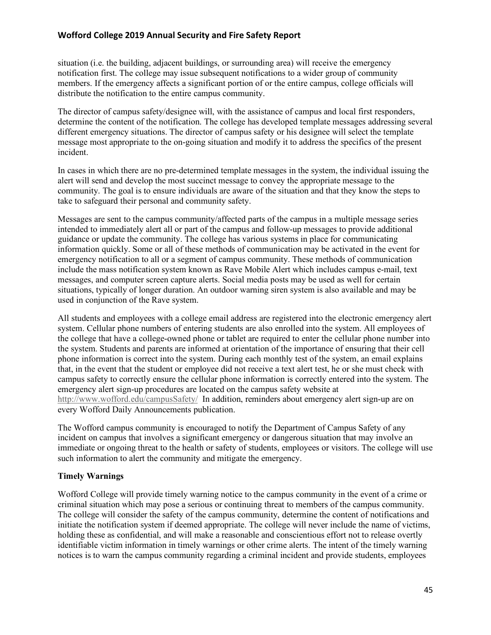situation (i.e. the building, adjacent buildings, or surrounding area) will receive the emergency notification first. The college may issue subsequent notifications to a wider group of community members. If the emergency affects a significant portion of or the entire campus, college officials will distribute the notification to the entire campus community.

The director of campus safety/designee will, with the assistance of campus and local first responders, determine the content of the notification. The college has developed template messages addressing several different emergency situations. The director of campus safety or his designee will select the template message most appropriate to the on-going situation and modify it to address the specifics of the present incident.

In cases in which there are no pre-determined template messages in the system, the individual issuing the alert will send and develop the most succinct message to convey the appropriate message to the community. The goal is to ensure individuals are aware of the situation and that they know the steps to take to safeguard their personal and community safety.

Messages are sent to the campus community/affected parts of the campus in a multiple message series intended to immediately alert all or part of the campus and follow-up messages to provide additional guidance or update the community. The college has various systems in place for communicating information quickly. Some or all of these methods of communication may be activated in the event for emergency notification to all or a segment of campus community. These methods of communication include the mass notification system known as Rave Mobile Alert which includes campus e-mail, text messages, and computer screen capture alerts. Social media posts may be used as well for certain situations, typically of longer duration. An outdoor warning siren system is also available and may be used in conjunction of the Rave system.

All students and employees with a college email address are registered into the electronic emergency alert system. Cellular phone numbers of entering students are also enrolled into the system. All employees of the college that have a college-owned phone or tablet are required to enter the cellular phone number into the system. Students and parents are informed at orientation of the importance of ensuring that their cell phone information is correct into the system. During each monthly test of the system, an email explains that, in the event that the student or employee did not receive a text alert test, he or she must check with campus safety to correctly ensure the cellular phone information is correctly entered into the system. The emergency alert sign-up procedures are located on the campus safety website at http://www.wofford.edu/campusSafety/ In addition, reminders about emergency alert sign-up are on every Wofford Daily Announcements publication.

The Wofford campus community is encouraged to notify the Department of Campus Safety of any incident on campus that involves a significant emergency or dangerous situation that may involve an immediate or ongoing threat to the health or safety of students, employees or visitors. The college will use such information to alert the community and mitigate the emergency.

# **Timely Warnings**

Wofford College will provide timely warning notice to the campus community in the event of a crime or criminal situation which may pose a serious or continuing threat to members of the campus community. The college will consider the safety of the campus community, determine the content of notifications and initiate the notification system if deemed appropriate. The college will never include the name of victims, holding these as confidential, and will make a reasonable and conscientious effort not to release overtly identifiable victim information in timely warnings or other crime alerts. The intent of the timely warning notices is to warn the campus community regarding a criminal incident and provide students, employees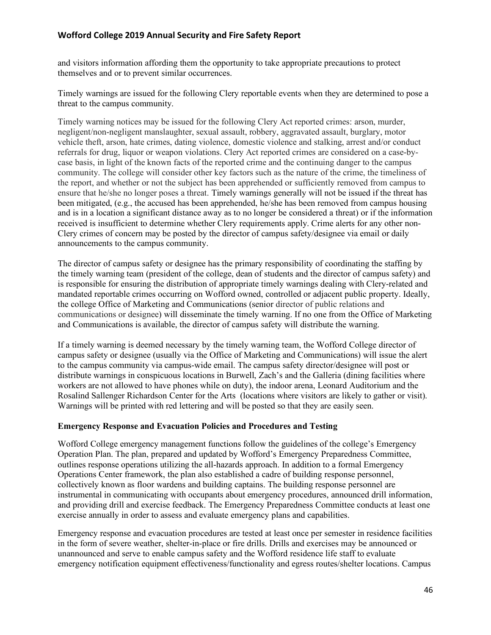and visitors information affording them the opportunity to take appropriate precautions to protect themselves and or to prevent similar occurrences.

Timely warnings are issued for the following Clery reportable events when they are determined to pose a threat to the campus community.

Timely warning notices may be issued for the following Clery Act reported crimes: arson, murder, negligent/non-negligent manslaughter, sexual assault, robbery, aggravated assault, burglary, motor vehicle theft, arson, hate crimes, dating violence, domestic violence and stalking, arrest and/or conduct referrals for drug, liquor or weapon violations. Clery Act reported crimes are considered on a case-bycase basis, in light of the known facts of the reported crime and the continuing danger to the campus community. The college will consider other key factors such as the nature of the crime, the timeliness of the report, and whether or not the subject has been apprehended or sufficiently removed from campus to ensure that he/she no longer poses a threat. Timely warnings generally will not be issued if the threat has been mitigated, (e.g., the accused has been apprehended, he/she has been removed from campus housing and is in a location a significant distance away as to no longer be considered a threat) or if the information received is insufficient to determine whether Clery requirements apply. Crime alerts for any other non-Clery crimes of concern may be posted by the director of campus safety/designee via email or daily announcements to the campus community.

The director of campus safety or designee has the primary responsibility of coordinating the staffing by the timely warning team (president of the college, dean of students and the director of campus safety) and is responsible for ensuring the distribution of appropriate timely warnings dealing with Clery-related and mandated reportable crimes occurring on Wofford owned, controlled or adjacent public property. Ideally, the college Office of Marketing and Communications (senior director of public relations and communications or designee) will disseminate the timely warning. If no one from the Office of Marketing and Communications is available, the director of campus safety will distribute the warning.

If a timely warning is deemed necessary by the timely warning team, the Wofford College director of campus safety or designee (usually via the Office of Marketing and Communications) will issue the alert to the campus community via campus-wide email. The campus safety director/designee will post or distribute warnings in conspicuous locations in Burwell, Zach's and the Galleria (dining facilities where workers are not allowed to have phones while on duty), the indoor arena, Leonard Auditorium and the Rosalind Sallenger Richardson Center for the Arts (locations where visitors are likely to gather or visit). Warnings will be printed with red lettering and will be posted so that they are easily seen.

#### **Emergency Response and Evacuation Policies and Procedures and Testing**

Wofford College emergency management functions follow the guidelines of the college's Emergency Operation Plan. The plan, prepared and updated by Wofford's Emergency Preparedness Committee, outlines response operations utilizing the all-hazards approach. In addition to a formal Emergency Operations Center framework, the plan also established a cadre of building response personnel, collectively known as floor wardens and building captains. The building response personnel are instrumental in communicating with occupants about emergency procedures, announced drill information, and providing drill and exercise feedback. The Emergency Preparedness Committee conducts at least one exercise annually in order to assess and evaluate emergency plans and capabilities.

Emergency response and evacuation procedures are tested at least once per semester in residence facilities in the form of severe weather, shelter-in-place or fire drills. Drills and exercises may be announced or unannounced and serve to enable campus safety and the Wofford residence life staff to evaluate emergency notification equipment effectiveness/functionality and egress routes/shelter locations. Campus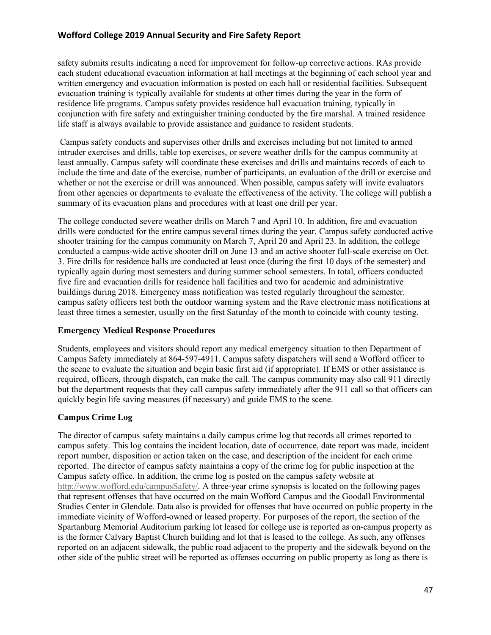safety submits results indicating a need for improvement for follow-up corrective actions. RAs provide each student educational evacuation information at hall meetings at the beginning of each school year and written emergency and evacuation information is posted on each hall or residential facilities. Subsequent evacuation training is typically available for students at other times during the year in the form of residence life programs. Campus safety provides residence hall evacuation training, typically in conjunction with fire safety and extinguisher training conducted by the fire marshal. A trained residence life staff is always available to provide assistance and guidance to resident students.

Campus safety conducts and supervises other drills and exercises including but not limited to armed intruder exercises and drills, table top exercises, or severe weather drills for the campus community at least annually. Campus safety will coordinate these exercises and drills and maintains records of each to include the time and date of the exercise, number of participants, an evaluation of the drill or exercise and whether or not the exercise or drill was announced. When possible, campus safety will invite evaluators from other agencies or departments to evaluate the effectiveness of the activity. The college will publish a summary of its evacuation plans and procedures with at least one drill per year.

The college conducted severe weather drills on March 7 and April 10. In addition, fire and evacuation drills were conducted for the entire campus several times during the year. Campus safety conducted active shooter training for the campus community on March 7, April 20 and April 23. In addition, the college conducted a campus-wide active shooter drill on June 13 and an active shooter full-scale exercise on Oct. 3. Fire drills for residence halls are conducted at least once (during the first 10 days of the semester) and typically again during most semesters and during summer school semesters. In total, officers conducted five fire and evacuation drills for residence hall facilities and two for academic and administrative buildings during 2018. Emergency mass notification was tested regularly throughout the semester. campus safety officers test both the outdoor warning system and the Rave electronic mass notifications at least three times a semester, usually on the first Saturday of the month to coincide with county testing.

#### **Emergency Medical Response Procedures**

Students, employees and visitors should report any medical emergency situation to then Department of Campus Safety immediately at 864-597-4911. Campus safety dispatchers will send a Wofford officer to the scene to evaluate the situation and begin basic first aid (if appropriate). If EMS or other assistance is required, officers, through dispatch, can make the call. The campus community may also call 911 directly but the department requests that they call campus safety immediately after the 911 call so that officers can quickly begin life saving measures (if necessary) and guide EMS to the scene.

# **Campus Crime Log**

The director of campus safety maintains a daily campus crime log that records all crimes reported to campus safety. This log contains the incident location, date of occurrence, date report was made, incident report number, disposition or action taken on the case, and description of the incident for each crime reported. The director of campus safety maintains a copy of the crime log for public inspection at the Campus safety office. In addition, the crime log is posted on the campus safety website at http://www.wofford.edu/campusSafety/. A three-year crime synopsis is located on the following pages that represent offenses that have occurred on the main Wofford Campus and the Goodall Environmental Studies Center in Glendale. Data also is provided for offenses that have occurred on public property in the immediate vicinity of Wofford-owned or leased property. For purposes of the report, the section of the Spartanburg Memorial Auditorium parking lot leased for college use is reported as on-campus property as is the former Calvary Baptist Church building and lot that is leased to the college. As such, any offenses reported on an adjacent sidewalk, the public road adjacent to the property and the sidewalk beyond on the other side of the public street will be reported as offenses occurring on public property as long as there is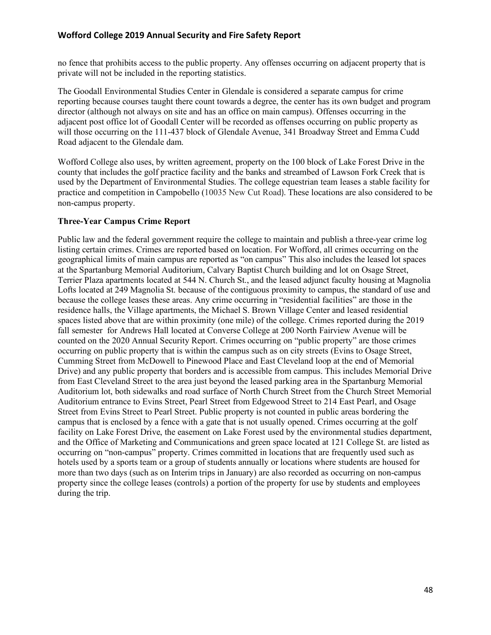no fence that prohibits access to the public property. Any offenses occurring on adjacent property that is private will not be included in the reporting statistics.

The Goodall Environmental Studies Center in Glendale is considered a separate campus for crime reporting because courses taught there count towards a degree, the center has its own budget and program director (although not always on site and has an office on main campus). Offenses occurring in the adjacent post office lot of Goodall Center will be recorded as offenses occurring on public property as will those occurring on the 111-437 block of Glendale Avenue, 341 Broadway Street and Emma Cudd Road adjacent to the Glendale dam.

Wofford College also uses, by written agreement, property on the 100 block of Lake Forest Drive in the county that includes the golf practice facility and the banks and streambed of Lawson Fork Creek that is used by the Department of Environmental Studies. The college equestrian team leases a stable facility for practice and competition in Campobello (10035 New Cut Road). These locations are also considered to be non-campus property.

#### **Three-Year Campus Crime Report**

Public law and the federal government require the college to maintain and publish a three-year crime log listing certain crimes. Crimes are reported based on location. For Wofford, all crimes occurring on the geographical limits of main campus are reported as "on campus" This also includes the leased lot spaces at the Spartanburg Memorial Auditorium, Calvary Baptist Church building and lot on Osage Street, Terrier Plaza apartments located at 544 N. Church St., and the leased adjunct faculty housing at Magnolia Lofts located at 249 Magnolia St. because of the contiguous proximity to campus, the standard of use and because the college leases these areas. Any crime occurring in "residential facilities" are those in the residence halls, the Village apartments, the Michael S. Brown Village Center and leased residential spaces listed above that are within proximity (one mile) of the college. Crimes reported during the 2019 fall semester for Andrews Hall located at Converse College at 200 North Fairview Avenue will be counted on the 2020 Annual Security Report. Crimes occurring on "public property" are those crimes occurring on public property that is within the campus such as on city streets (Evins to Osage Street, Cumming Street from McDowell to Pinewood Place and East Cleveland loop at the end of Memorial Drive) and any public property that borders and is accessible from campus. This includes Memorial Drive from East Cleveland Street to the area just beyond the leased parking area in the Spartanburg Memorial Auditorium lot, both sidewalks and road surface of North Church Street from the Church Street Memorial Auditorium entrance to Evins Street, Pearl Street from Edgewood Street to 214 East Pearl, and Osage Street from Evins Street to Pearl Street. Public property is not counted in public areas bordering the campus that is enclosed by a fence with a gate that is not usually opened. Crimes occurring at the golf facility on Lake Forest Drive, the easement on Lake Forest used by the environmental studies department, and the Office of Marketing and Communications and green space located at 121 College St. are listed as occurring on "non-campus" property. Crimes committed in locations that are frequently used such as hotels used by a sports team or a group of students annually or locations where students are housed for more than two days (such as on Interim trips in January) are also recorded as occurring on non-campus property since the college leases (controls) a portion of the property for use by students and employees during the trip.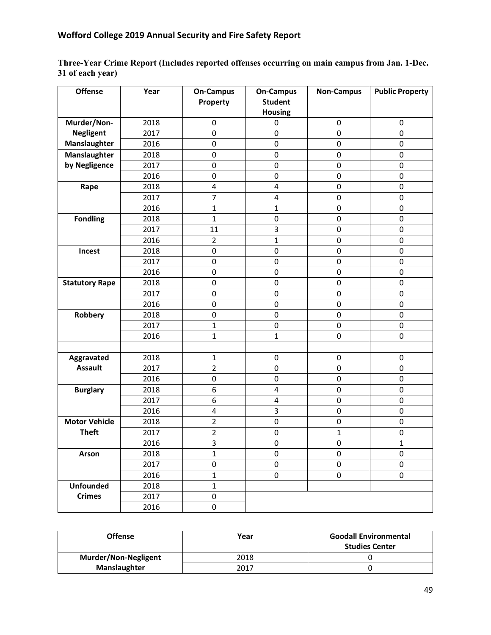**Three-Year Crime Report (Includes reported offenses occurring on main campus from Jan. 1-Dec. 31 of each year)**

| <b>Offense</b>        | Year | <b>On-Campus</b>        | <b>On-Campus</b> | <b>Non-Campus</b>   | <b>Public Property</b> |
|-----------------------|------|-------------------------|------------------|---------------------|------------------------|
|                       |      | Property                | <b>Student</b>   |                     |                        |
|                       |      |                         | <b>Housing</b>   |                     |                        |
| Murder/Non-           | 2018 | $\mathbf 0$             | 0                | 0                   | $\mathbf 0$            |
| <b>Negligent</b>      | 2017 | $\mathbf 0$             | 0                | $\mathsf 0$         | $\mathbf 0$            |
| Manslaughter          | 2016 | $\pmb{0}$               | 0                | $\pmb{0}$           | $\mathbf 0$            |
| Manslaughter          | 2018 | $\pmb{0}$               | 0                | $\pmb{0}$           | $\mathbf 0$            |
| by Negligence         | 2017 | $\mathbf 0$             | 0                | $\mathbf 0$         | 0                      |
|                       | 2016 | 0                       | 0                | $\mathbf 0$         | $\mathbf 0$            |
| Rape                  | 2018 | $\overline{\mathbf{4}}$ | 4                | 0                   | 0                      |
|                       | 2017 | $\overline{7}$          | 4                | $\mathbf 0$         | $\mathsf 0$            |
|                       | 2016 | $\mathbf{1}$            | 1                | 0                   | 0                      |
| <b>Fondling</b>       | 2018 | $\mathbf{1}$            | 0                | $\mathsf 0$         | $\mathbf 0$            |
|                       | 2017 | 11                      | 3                | 0                   | $\mathbf 0$            |
|                       | 2016 | $\overline{2}$          | $\mathbf{1}$     | $\pmb{0}$           | $\mathbf 0$            |
| Incest                | 2018 | $\pmb{0}$               | 0                | $\pmb{0}$           | $\mathbf 0$            |
|                       | 2017 | $\mathbf 0$             | 0                | 0                   | 0                      |
|                       | 2016 | 0                       | 0                | $\mathbf 0$         | $\mathbf 0$            |
| <b>Statutory Rape</b> | 2018 | $\mathbf 0$             | 0                | $\mathsf 0$         | 0                      |
|                       | 2017 | $\pmb{0}$               | 0                | $\mathbf 0$         | $\mathbf 0$            |
|                       | 2016 | 0                       | 0                | 0                   | $\pmb{0}$              |
| Robbery               | 2018 | 0                       | $\pmb{0}$        | $\mathsf 0$         | 0                      |
|                       | 2017 | $\mathbf{1}$            | 0                | 0                   | $\mathbf 0$            |
|                       | 2016 | $\mathbf{1}$            | $\mathbf{1}$     | $\mathbf 0$         | 0                      |
|                       |      |                         |                  |                     |                        |
| Aggravated            | 2018 | $\mathbf{1}$            | $\pmb{0}$        | $\pmb{0}$           | $\pmb{0}$              |
| <b>Assault</b>        | 2017 | $\overline{2}$          | 0                | $\mathbf 0$         | $\mathbf 0$            |
|                       | 2016 | $\pmb{0}$               | 0                | $\mathsf 0$         | $\mathsf 0$            |
| <b>Burglary</b>       | 2018 | 6                       | 4                | 0                   | $\mathsf 0$            |
|                       | 2017 | 6                       | 4                | 0                   | $\mathbf 0$            |
|                       | 2016 | 4                       | 3                | $\mathsf 0$         | 0                      |
| <b>Motor Vehicle</b>  | 2018 | $\overline{2}$          | 0                | $\mathsf{O}\xspace$ | $\mathbf 0$            |
| <b>Theft</b>          | 2017 | $\overline{2}$          | 0                | $\mathbf 1$         | 0                      |
|                       | 2016 | $\overline{3}$          | 0                | 0                   | 1                      |
| Arson                 | 2018 | $\mathbf{1}$            | $\pmb{0}$        | 0                   | 0                      |
|                       | 2017 | 0                       | 0                | 0                   | $\mathbf 0$            |
|                       | 2016 | $\mathbf{1}$            | 0                | 0                   | 0                      |
| <b>Unfounded</b>      | 2018 | $\mathbf{1}$            |                  |                     |                        |
| <b>Crimes</b>         | 2017 | 0                       |                  |                     |                        |
|                       | 2016 | 0                       |                  |                     |                        |

| <b>Offense</b>              | Year | <b>Goodall Environmental</b><br><b>Studies Center</b> |
|-----------------------------|------|-------------------------------------------------------|
| <b>Murder/Non-Negligent</b> | 2018 |                                                       |
| Manslaughter                | 2017 |                                                       |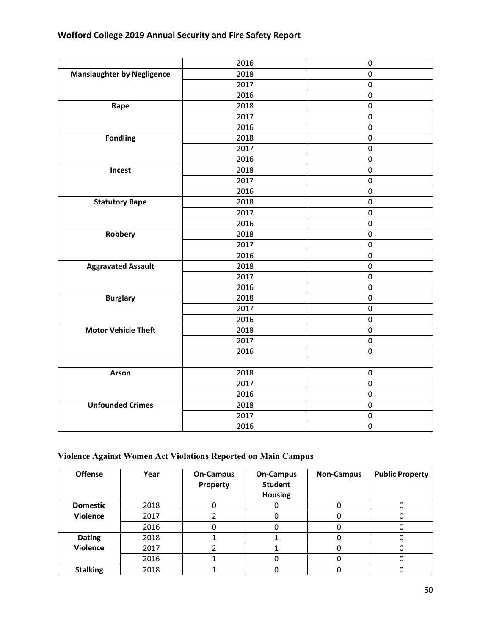| Wofford College 2019 Annual Security and Fire Safety Report |  |
|-------------------------------------------------------------|--|
|-------------------------------------------------------------|--|

|                                   | 2016 | $\mathbf 0$ |
|-----------------------------------|------|-------------|
| <b>Manslaughter by Negligence</b> | 2018 | $\pmb{0}$   |
|                                   | 2017 | $\pmb{0}$   |
|                                   | 2016 | $\pmb{0}$   |
| Rape                              | 2018 | $\mathsf 0$ |
|                                   | 2017 | $\pmb{0}$   |
|                                   | 2016 | $\pmb{0}$   |
| <b>Fondling</b>                   | 2018 | $\pmb{0}$   |
|                                   | 2017 | $\mathsf 0$ |
|                                   | 2016 | $\mathsf 0$ |
| Incest                            | 2018 | $\pmb{0}$   |
|                                   | 2017 | 0           |
|                                   | 2016 | $\pmb{0}$   |
| <b>Statutory Rape</b>             | 2018 | $\pmb{0}$   |
|                                   | 2017 | $\mathsf 0$ |
|                                   | 2016 | $\mathsf 0$ |
| Robbery                           | 2018 | 0           |
|                                   | 2017 | 0           |
|                                   | 2016 | $\pmb{0}$   |
| <b>Aggravated Assault</b>         | 2018 | $\pmb{0}$   |
|                                   | 2017 | $\pmb{0}$   |
|                                   | 2016 | 0           |
| <b>Burglary</b>                   | 2018 | $\pmb{0}$   |
|                                   | 2017 | $\pmb{0}$   |
|                                   | 2016 | $\pmb{0}$   |
| <b>Motor Vehicle Theft</b>        | 2018 | $\pmb{0}$   |
|                                   | 2017 | $\pmb{0}$   |
|                                   | 2016 | 0           |
|                                   |      |             |
| <b>Arson</b>                      | 2018 | $\pmb{0}$   |
|                                   | 2017 | $\pmb{0}$   |
|                                   | 2016 | $\pmb{0}$   |
| <b>Unfounded Crimes</b>           | 2018 | 0           |
|                                   | 2017 | $\pmb{0}$   |
|                                   | 2016 | $\pmb{0}$   |
|                                   |      |             |

# **Violence Against Women Act Violations Reported on Main Campus**

| <b>Offense</b>  | Year | <b>On-Campus</b><br>Property | <b>On-Campus</b><br><b>Student</b><br><b>Housing</b> | <b>Non-Campus</b> | <b>Public Property</b> |
|-----------------|------|------------------------------|------------------------------------------------------|-------------------|------------------------|
| <b>Domestic</b> | 2018 |                              |                                                      |                   |                        |
| <b>Violence</b> | 2017 |                              |                                                      |                   |                        |
|                 | 2016 |                              |                                                      |                   |                        |
| <b>Dating</b>   | 2018 |                              |                                                      |                   |                        |
| <b>Violence</b> | 2017 |                              |                                                      |                   |                        |
|                 | 2016 |                              |                                                      |                   |                        |
| <b>Stalking</b> | 2018 |                              |                                                      |                   |                        |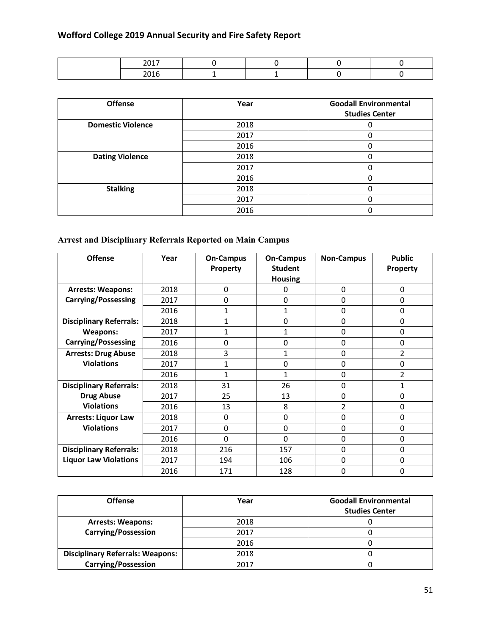| <b>Offense</b>           | Year | <b>Goodall Environmental</b><br><b>Studies Center</b> |
|--------------------------|------|-------------------------------------------------------|
| <b>Domestic Violence</b> | 2018 |                                                       |
|                          | 2017 |                                                       |
|                          | 2016 |                                                       |
| <b>Dating Violence</b>   | 2018 |                                                       |
|                          | 2017 |                                                       |
|                          | 2016 |                                                       |
| <b>Stalking</b>          | 2018 | 0                                                     |
|                          | 2017 |                                                       |
|                          | 2016 |                                                       |

# **Arrest and Disciplinary Referrals Reported on Main Campus**

| <b>Offense</b>                 | Year | <b>On-Campus</b> | <b>On-Campus</b> | <b>Non-Campus</b> | <b>Public</b>   |
|--------------------------------|------|------------------|------------------|-------------------|-----------------|
|                                |      | <b>Property</b>  | <b>Student</b>   |                   | <b>Property</b> |
|                                |      |                  | <b>Housing</b>   |                   |                 |
| <b>Arrests: Weapons:</b>       | 2018 | 0                | 0                | 0                 | 0               |
| <b>Carrying/Possessing</b>     | 2017 | $\Omega$         | $\Omega$         | $\Omega$          | 0               |
|                                | 2016 | 1                | 1                | 0                 | 0               |
| <b>Disciplinary Referrals:</b> | 2018 | 1                | 0                | $\Omega$          | 0               |
| <b>Weapons:</b>                | 2017 | 1                | 1                | 0                 | 0               |
| <b>Carrying/Possessing</b>     | 2016 | 0                | $\Omega$         | 0                 | 0               |
| <b>Arrests: Drug Abuse</b>     | 2018 | 3                | $\mathbf{1}$     | 0                 | $\overline{2}$  |
| <b>Violations</b>              | 2017 | 1                | 0                | 0                 | 0               |
|                                | 2016 | 1                | 1                | $\Omega$          | $\overline{2}$  |
| <b>Disciplinary Referrals:</b> | 2018 | 31               | 26               | 0                 | 1               |
| <b>Drug Abuse</b>              | 2017 | 25               | 13               | $\Omega$          | 0               |
| <b>Violations</b>              | 2016 | 13               | 8                | 2                 | 0               |
| <b>Arrests: Liquor Law</b>     | 2018 | 0                | 0                | 0                 | 0               |
| <b>Violations</b>              | 2017 | 0                | 0                | 0                 | 0               |
|                                | 2016 | $\Omega$         | 0                | 0                 | 0               |
| <b>Disciplinary Referrals:</b> | 2018 | 216              | 157              | $\Omega$          | $\Omega$        |
| <b>Liquor Law Violations</b>   | 2017 | 194              | 106              | 0                 | 0               |
|                                | 2016 | 171              | 128              | 0                 | 0               |

| <b>Offense</b>                          | Year | <b>Goodall Environmental</b><br><b>Studies Center</b> |
|-----------------------------------------|------|-------------------------------------------------------|
| <b>Arrests: Weapons:</b>                | 2018 |                                                       |
| <b>Carrying/Possession</b>              | 2017 |                                                       |
|                                         | 2016 |                                                       |
| <b>Disciplinary Referrals: Weapons:</b> | 2018 |                                                       |
| <b>Carrying/Possession</b>              | 2017 |                                                       |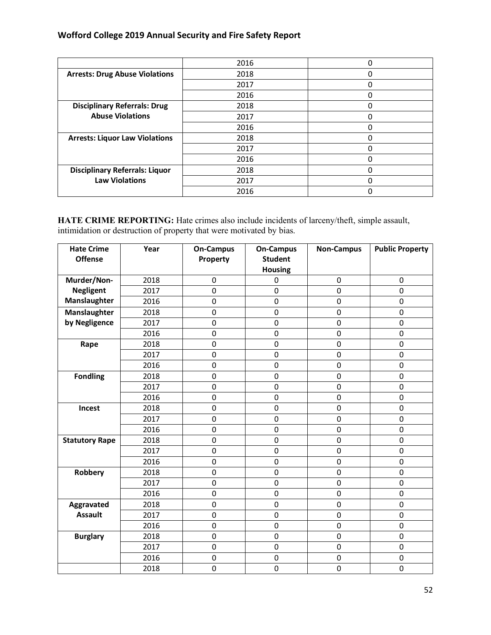|                                       | 2016 |   |
|---------------------------------------|------|---|
| <b>Arrests: Drug Abuse Violations</b> | 2018 |   |
|                                       | 2017 |   |
|                                       | 2016 |   |
| <b>Disciplinary Referrals: Drug</b>   | 2018 |   |
| <b>Abuse Violations</b>               | 2017 | U |
|                                       | 2016 |   |
| <b>Arrests: Liquor Law Violations</b> | 2018 |   |
|                                       | 2017 |   |
|                                       | 2016 |   |
| <b>Disciplinary Referrals: Liquor</b> | 2018 |   |
| <b>Law Violations</b>                 | 2017 |   |
|                                       | 2016 |   |

**HATE CRIME REPORTING:** Hate crimes also include incidents of larceny/theft, simple assault, intimidation or destruction of property that were motivated by bias.

| <b>Hate Crime</b><br><b>Offense</b> | Year | <b>On-Campus</b><br>Property | <b>On-Campus</b><br><b>Student</b><br><b>Housing</b> | <b>Non-Campus</b> | <b>Public Property</b> |
|-------------------------------------|------|------------------------------|------------------------------------------------------|-------------------|------------------------|
| Murder/Non-                         | 2018 | $\mathbf 0$                  | 0                                                    | 0                 | 0                      |
| <b>Negligent</b>                    | 2017 | $\overline{0}$               | $\mathbf 0$                                          | 0                 | $\mathbf 0$            |
| Manslaughter                        | 2016 | $\pmb{0}$                    | $\mathbf 0$                                          | $\pmb{0}$         | $\mathbf 0$            |
| Manslaughter                        | 2018 | 0                            | 0                                                    | $\mathbf 0$       | $\mathbf 0$            |
| by Negligence                       | 2017 | $\mathbf 0$                  | $\pmb{0}$                                            | $\pmb{0}$         | $\mathbf 0$            |
|                                     | 2016 | $\mathbf 0$                  | $\mathbf 0$                                          | 0                 | $\mathbf 0$            |
| Rape                                | 2018 | $\mathbf 0$                  | 0                                                    | 0                 | $\mathbf 0$            |
|                                     | 2017 | 0                            | $\mathbf 0$                                          | 0                 | 0                      |
|                                     | 2016 | 0                            | 0                                                    | $\mathbf 0$       | $\mathbf 0$            |
| <b>Fondling</b>                     | 2018 | $\mathbf 0$                  | $\mathbf 0$                                          | $\mathbf 0$       | $\mathbf 0$            |
|                                     | 2017 | $\mathbf 0$                  | $\mathbf 0$                                          | $\pmb{0}$         | $\mathbf 0$            |
|                                     | 2016 | $\mathbf 0$                  | $\pmb{0}$                                            | $\pmb{0}$         | $\mathbf 0$            |
| Incest                              | 2018 | $\mathbf 0$                  | 0                                                    | $\pmb{0}$         | $\mathbf 0$            |
|                                     | 2017 | 0                            | $\mathbf 0$                                          | 0                 | 0                      |
|                                     | 2016 | $\mathbf 0$                  | $\mathbf 0$                                          | 0                 | $\mathbf 0$            |
| <b>Statutory Rape</b>               | 2018 | $\mathbf 0$                  | $\mathbf 0$                                          | 0                 | $\mathbf 0$            |
|                                     | 2017 | 0                            | 0                                                    | 0                 | $\mathbf 0$            |
|                                     | 2016 | $\mathbf 0$                  | $\mathbf 0$                                          | $\pmb{0}$         | $\mathbf 0$            |
| Robbery                             | 2018 | $\mathbf 0$                  | $\mathbf 0$                                          | $\mathbf 0$       | $\mathbf 0$            |
|                                     | 2017 | $\mathbf 0$                  | $\pmb{0}$                                            | $\pmb{0}$         | $\pmb{0}$              |
|                                     | 2016 | $\mathbf 0$                  | $\mathbf 0$                                          | 0                 | $\mathbf 0$            |
| Aggravated                          | 2018 | $\mathbf 0$                  | $\mathbf 0$                                          | $\mathbf 0$       | $\mathbf 0$            |
| <b>Assault</b>                      | 2017 | 0                            | 0                                                    | 0                 | 0                      |
|                                     | 2016 | 0                            | $\mathbf 0$                                          | $\mathbf 0$       | $\mathbf 0$            |
| <b>Burglary</b>                     | 2018 | $\mathbf 0$                  | $\mathbf 0$                                          | $\pmb{0}$         | $\mathbf 0$            |
|                                     | 2017 | $\mathbf 0$                  | $\mathbf 0$                                          | 0                 | 0                      |
|                                     | 2016 | $\mathbf 0$                  | $\mathbf 0$                                          | $\mathbf 0$       | $\mathbf 0$            |
|                                     | 2018 | $\pmb{0}$                    | $\pmb{0}$                                            | $\pmb{0}$         | $\mathbf 0$            |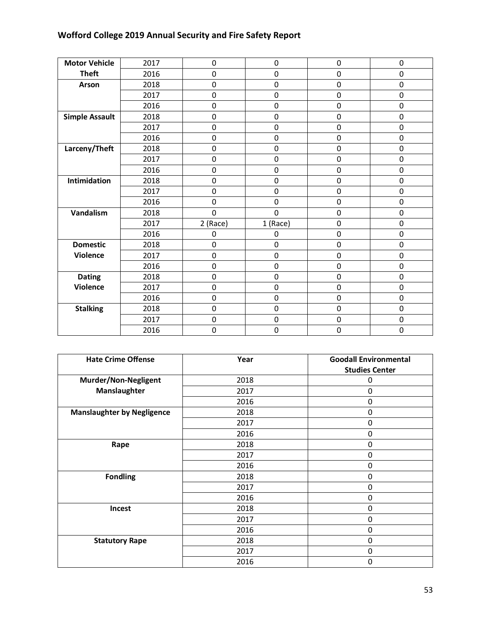| <b>Motor Vehicle</b>  | 2017 | $\mathbf 0$ | $\mathbf 0$ | $\mathbf 0$ | $\pmb{0}$   |
|-----------------------|------|-------------|-------------|-------------|-------------|
| <b>Theft</b>          | 2016 | $\mathbf 0$ | 0           | $\mathbf 0$ | $\mathbf 0$ |
| Arson                 | 2018 | $\mathbf 0$ | $\mathbf 0$ | $\mathbf 0$ | $\mathbf 0$ |
|                       | 2017 | $\pmb{0}$   | $\pmb{0}$   | $\mathbf 0$ | $\mathbf 0$ |
|                       | 2016 | $\pmb{0}$   | 0           | $\mathbf 0$ | $\mathbf 0$ |
| <b>Simple Assault</b> | 2018 | $\mathbf 0$ | $\pmb{0}$   | $\mathbf 0$ | $\mathbf 0$ |
|                       | 2017 | $\mathbf 0$ | $\mathbf 0$ | $\mathbf 0$ | $\mathbf 0$ |
|                       | 2016 | $\mathbf 0$ | $\mathbf 0$ | $\mathbf 0$ | $\mathbf 0$ |
| Larceny/Theft         | 2018 | $\mathbf 0$ | $\mathbf 0$ | $\mathbf 0$ | $\mathbf 0$ |
|                       | 2017 | $\mathbf 0$ | 0           | $\mathbf 0$ | $\mathbf 0$ |
|                       | 2016 | $\pmb{0}$   | $\pmb{0}$   | $\mathbf 0$ | $\mathbf 0$ |
| Intimidation          | 2018 | $\mathbf 0$ | 0           | $\mathbf 0$ | $\mathbf 0$ |
|                       | 2017 | $\mathbf 0$ | $\mathbf 0$ | $\mathbf 0$ | $\mathbf 0$ |
|                       | 2016 | $\mathbf 0$ | $\mathbf 0$ | $\mathbf 0$ | $\mathbf 0$ |
| Vandalism             | 2018 | 0           | 0           | $\mathbf 0$ | $\mathbf 0$ |
|                       | 2017 | 2 (Race)    | 1 (Race)    | $\mathbf 0$ | $\mathbf 0$ |
|                       | 2016 | 0           | 0           | $\mathbf 0$ | $\mathbf 0$ |
| <b>Domestic</b>       | 2018 | $\mathbf 0$ | 0           | $\mathbf 0$ | $\mathbf 0$ |
| <b>Violence</b>       | 2017 | $\mathbf 0$ | $\mathbf 0$ | $\mathbf 0$ | $\mathbf 0$ |
|                       | 2016 | $\pmb{0}$   | $\pmb{0}$   | $\mathbf 0$ | $\mathbf 0$ |
| <b>Dating</b>         | 2018 | $\mathbf 0$ | $\mathbf 0$ | $\mathbf 0$ | $\mathbf 0$ |
| Violence              | 2017 | $\pmb{0}$   | 0           | 0           | $\mathbf 0$ |
|                       | 2016 | $\mathbf 0$ | $\mathbf 0$ | $\mathbf 0$ | $\mathbf 0$ |
| <b>Stalking</b>       | 2018 | $\pmb{0}$   | $\pmb{0}$   | $\mathbf 0$ | $\mathbf 0$ |
|                       | 2017 | $\mathbf 0$ | $\mathbf 0$ | $\mathbf 0$ | $\mathbf 0$ |
|                       | 2016 | 0           | 0           | $\mathbf 0$ | $\mathbf 0$ |

| <b>Hate Crime Offense</b>         | Year | <b>Goodall Environmental</b> |
|-----------------------------------|------|------------------------------|
|                                   |      | <b>Studies Center</b>        |
| Murder/Non-Negligent              | 2018 | 0                            |
| Manslaughter                      | 2017 | $\mathbf 0$                  |
|                                   | 2016 | $\mathbf 0$                  |
| <b>Manslaughter by Negligence</b> | 2018 | $\mathbf 0$                  |
|                                   | 2017 | 0                            |
|                                   | 2016 | $\mathbf 0$                  |
| Rape                              | 2018 | $\mathbf 0$                  |
|                                   | 2017 | $\mathbf 0$                  |
|                                   | 2016 | $\mathbf 0$                  |
| <b>Fondling</b>                   | 2018 | $\mathbf 0$                  |
|                                   | 2017 | $\mathbf 0$                  |
|                                   | 2016 | $\mathbf 0$                  |
| Incest                            | 2018 | $\mathbf 0$                  |
|                                   | 2017 | $\mathbf 0$                  |
|                                   | 2016 | $\mathbf 0$                  |
| <b>Statutory Rape</b>             | 2018 | $\mathbf 0$                  |
|                                   | 2017 | $\mathbf 0$                  |
|                                   | 2016 | $\mathbf 0$                  |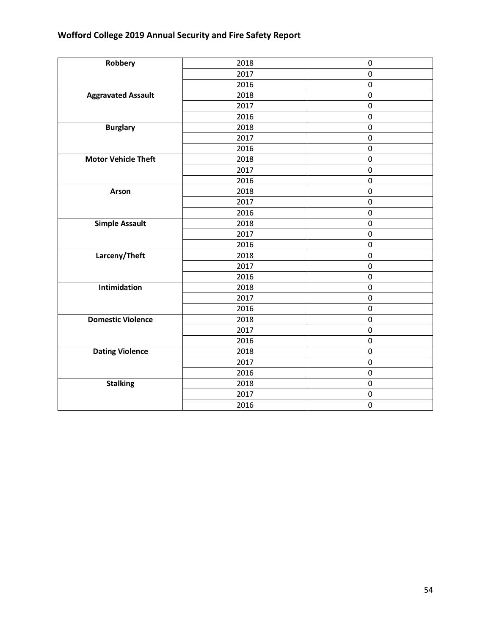| Robbery                    | 2018 | 0                |
|----------------------------|------|------------------|
|                            | 2017 | $\mathbf 0$      |
|                            | 2016 | $\pmb{0}$        |
| <b>Aggravated Assault</b>  | 2018 | $\pmb{0}$        |
|                            | 2017 | $\pmb{0}$        |
|                            | 2016 | $\boldsymbol{0}$ |
| <b>Burglary</b>            | 2018 | $\pmb{0}$        |
|                            | 2017 | $\pmb{0}$        |
|                            | 2016 | $\pmb{0}$        |
| <b>Motor Vehicle Theft</b> | 2018 | $\boldsymbol{0}$ |
|                            | 2017 | $\pmb{0}$        |
|                            | 2016 | $\pmb{0}$        |
| Arson                      | 2018 | $\pmb{0}$        |
|                            | 2017 | $\boldsymbol{0}$ |
|                            | 2016 | $\pmb{0}$        |
| <b>Simple Assault</b>      | 2018 | $\pmb{0}$        |
|                            | 2017 | $\pmb{0}$        |
|                            | 2016 | $\pmb{0}$        |
| Larceny/Theft              | 2018 | $\boldsymbol{0}$ |
|                            | 2017 | $\pmb{0}$        |
|                            | 2016 | $\mathbf 0$      |
| Intimidation               | 2018 | $\boldsymbol{0}$ |
|                            | 2017 | $\boldsymbol{0}$ |
|                            | 2016 | $\pmb{0}$        |
| <b>Domestic Violence</b>   | 2018 | $\boldsymbol{0}$ |
|                            | 2017 | $\mathbf 0$      |
|                            | 2016 | $\pmb{0}$        |
| <b>Dating Violence</b>     | 2018 | $\pmb{0}$        |
|                            | 2017 | $\mathbf 0$      |
|                            | 2016 | $\pmb{0}$        |
| <b>Stalking</b>            | 2018 | $\pmb{0}$        |
|                            | 2017 | $\pmb{0}$        |
|                            | 2016 | $\mathbf 0$      |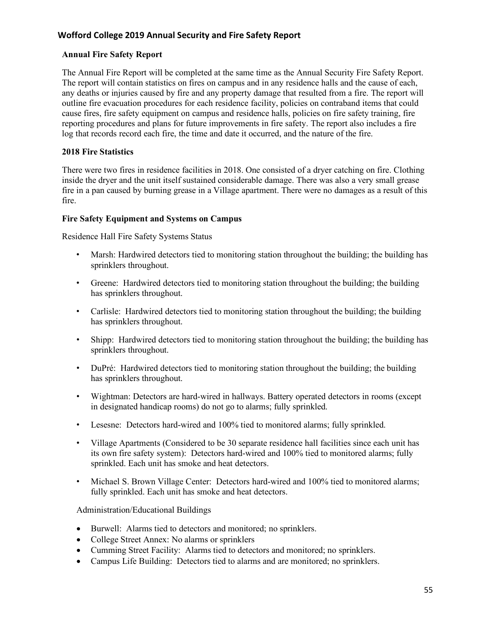### **Annual Fire Safety Report**

The Annual Fire Report will be completed at the same time as the Annual Security Fire Safety Report. The report will contain statistics on fires on campus and in any residence halls and the cause of each, any deaths or injuries caused by fire and any property damage that resulted from a fire. The report will outline fire evacuation procedures for each residence facility, policies on contraband items that could cause fires, fire safety equipment on campus and residence halls, policies on fire safety training, fire reporting procedures and plans for future improvements in fire safety. The report also includes a fire log that records record each fire, the time and date it occurred, and the nature of the fire.

#### **2018 Fire Statistics**

There were two fires in residence facilities in 2018. One consisted of a dryer catching on fire. Clothing inside the dryer and the unit itself sustained considerable damage. There was also a very small grease fire in a pan caused by burning grease in a Village apartment. There were no damages as a result of this fire.

#### **Fire Safety Equipment and Systems on Campus**

Residence Hall Fire Safety Systems Status

- Marsh: Hardwired detectors tied to monitoring station throughout the building; the building has sprinklers throughout.
- Greene: Hardwired detectors tied to monitoring station throughout the building; the building has sprinklers throughout.
- Carlisle: Hardwired detectors tied to monitoring station throughout the building; the building has sprinklers throughout.
- Shipp: Hardwired detectors tied to monitoring station throughout the building; the building has sprinklers throughout.
- DuPré: Hardwired detectors tied to monitoring station throughout the building; the building has sprinklers throughout.
- Wightman: Detectors are hard-wired in hallways. Battery operated detectors in rooms (except in designated handicap rooms) do not go to alarms; fully sprinkled.
- Lesesne: Detectors hard-wired and 100% tied to monitored alarms; fully sprinkled.
- Village Apartments (Considered to be 30 separate residence hall facilities since each unit has its own fire safety system): Detectors hard-wired and 100% tied to monitored alarms; fully sprinkled. Each unit has smoke and heat detectors.
- Michael S. Brown Village Center: Detectors hard-wired and 100% tied to monitored alarms; fully sprinkled. Each unit has smoke and heat detectors.

Administration/Educational Buildings

- Burwell: Alarms tied to detectors and monitored; no sprinklers.
- College Street Annex: No alarms or sprinklers
- Cumming Street Facility: Alarms tied to detectors and monitored; no sprinklers.
- Campus Life Building: Detectors tied to alarms and are monitored: no sprinklers.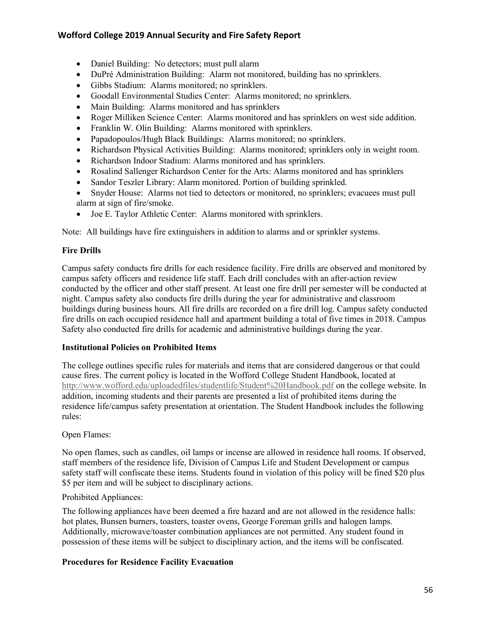- Daniel Building: No detectors; must pull alarm
- DuPré Administration Building: Alarm not monitored, building has no sprinklers.
- Gibbs Stadium: Alarms monitored; no sprinklers.
- Goodall Environmental Studies Center: Alarms monitored; no sprinklers.
- Main Building: Alarms monitored and has sprinklers
- Roger Milliken Science Center: Alarms monitored and has sprinklers on west side addition.
- Franklin W. Olin Building: Alarms monitored with sprinklers.
- Papadopoulos/Hugh Black Buildings: Alarms monitored; no sprinklers.
- Richardson Physical Activities Building: Alarms monitored; sprinklers only in weight room.
- Richardson Indoor Stadium: Alarms monitored and has sprinklers.
- Rosalind Sallenger Richardson Center for the Arts: Alarms monitored and has sprinklers
- Sandor Teszler Library: Alarm monitored. Portion of building sprinkled.
- Snyder House: Alarms not tied to detectors or monitored, no sprinklers; evacuees must pull alarm at sign of fire/smoke.
- Joe E. Taylor Athletic Center: Alarms monitored with sprinklers.

Note: All buildings have fire extinguishers in addition to alarms and or sprinkler systems.

#### **Fire Drills**

Campus safety conducts fire drills for each residence facility. Fire drills are observed and monitored by campus safety officers and residence life staff. Each drill concludes with an after-action review conducted by the officer and other staff present. At least one fire drill per semester will be conducted at night. Campus safety also conducts fire drills during the year for administrative and classroom buildings during business hours. All fire drills are recorded on a fire drill log. Campus safety conducted fire drills on each occupied residence hall and apartment building a total of five times in 2018. Campus Safety also conducted fire drills for academic and administrative buildings during the year.

#### **Institutional Policies on Prohibited Items**

The college outlines specific rules for materials and items that are considered dangerous or that could cause fires. The current policy is located in the Wofford College Student Handbook, located at http://www.wofford.edu/uploadedfiles/studentlife/Student%20Handbook.pdf on the college website. In addition, incoming students and their parents are presented a list of prohibited items during the residence life/campus safety presentation at orientation. The Student Handbook includes the following rules:

#### Open Flames:

No open flames, such as candles, oil lamps or incense are allowed in residence hall rooms. If observed, staff members of the residence life, Division of Campus Life and Student Development or campus safety staff will confiscate these items. Students found in violation of this policy will be fined \$20 plus \$5 per item and will be subject to disciplinary actions.

# Prohibited Appliances:

The following appliances have been deemed a fire hazard and are not allowed in the residence halls: hot plates, Bunsen burners, toasters, toaster ovens, George Foreman grills and halogen lamps. Additionally, microwave/toaster combination appliances are not permitted. Any student found in possession of these items will be subject to disciplinary action, and the items will be confiscated.

# **Procedures for Residence Facility Evacuation**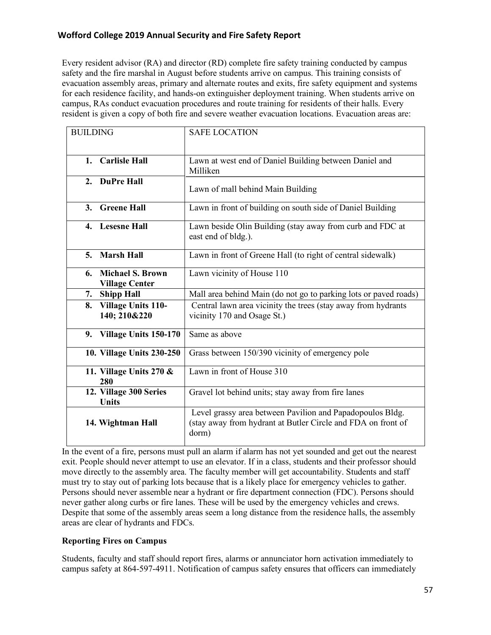Every resident advisor (RA) and director (RD) complete fire safety training conducted by campus safety and the fire marshal in August before students arrive on campus. This training consists of evacuation assembly areas, primary and alternate routes and exits, fire safety equipment and systems for each residence facility, and hands-on extinguisher deployment training. When students arrive on campus, RAs conduct evacuation procedures and route training for residents of their halls. Every resident is given a copy of both fire and severe weather evacuation locations. Evacuation areas are:

| <b>BUILDING</b>                                        | <b>SAFE LOCATION</b>                                                                                                               |
|--------------------------------------------------------|------------------------------------------------------------------------------------------------------------------------------------|
|                                                        |                                                                                                                                    |
| <b>Carlisle Hall</b><br>1.                             | Lawn at west end of Daniel Building between Daniel and<br>Milliken                                                                 |
| 2. DuPre Hall                                          | Lawn of mall behind Main Building                                                                                                  |
| <b>Greene Hall</b><br>3.                               | Lawn in front of building on south side of Daniel Building                                                                         |
| 4. Lesesne Hall                                        | Lawn beside Olin Building (stay away from curb and FDC at<br>east end of bldg.).                                                   |
| <b>Marsh Hall</b><br>5 <sub>1</sub>                    | Lawn in front of Greene Hall (to right of central sidewalk)                                                                        |
| <b>Michael S. Brown</b><br>6.<br><b>Village Center</b> | Lawn vicinity of House 110                                                                                                         |
| <b>Shipp Hall</b><br>7.                                | Mall area behind Main (do not go to parking lots or paved roads)                                                                   |
| <b>Village Units 110-</b><br>8.<br>140; 210&220        | Central lawn area vicinity the trees (stay away from hydrants<br>vicinity 170 and Osage St.)                                       |
| Village Units 150-170<br>9.                            | Same as above                                                                                                                      |
| 10. Village Units 230-250                              | Grass between 150/390 vicinity of emergency pole                                                                                   |
| 11. Village Units 270 &<br>280                         | Lawn in front of House 310                                                                                                         |
| 12. Village 300 Series<br>Units                        | Gravel lot behind units; stay away from fire lanes                                                                                 |
| 14. Wightman Hall                                      | Level grassy area between Pavilion and Papadopoulos Bldg.<br>(stay away from hydrant at Butler Circle and FDA on front of<br>dorm) |

In the event of a fire, persons must pull an alarm if alarm has not yet sounded and get out the nearest exit. People should never attempt to use an elevator. If in a class, students and their professor should move directly to the assembly area. The faculty member will get accountability. Students and staff must try to stay out of parking lots because that is a likely place for emergency vehicles to gather. Persons should never assemble near a hydrant or fire department connection (FDC). Persons should never gather along curbs or fire lanes. These will be used by the emergency vehicles and crews. Despite that some of the assembly areas seem a long distance from the residence halls, the assembly areas are clear of hydrants and FDCs.

# **Reporting Fires on Campus**

Students, faculty and staff should report fires, alarms or annunciator horn activation immediately to campus safety at 864-597-4911. Notification of campus safety ensures that officers can immediately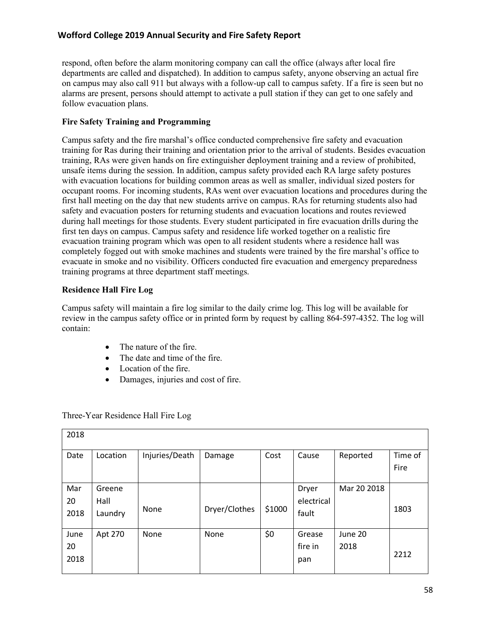respond, often before the alarm monitoring company can call the office (always after local fire departments are called and dispatched). In addition to campus safety, anyone observing an actual fire on campus may also call 911 but always with a follow-up call to campus safety. If a fire is seen but no alarms are present, persons should attempt to activate a pull station if they can get to one safely and follow evacuation plans.

## **Fire Safety Training and Programming**

Campus safety and the fire marshal's office conducted comprehensive fire safety and evacuation training for Ras during their training and orientation prior to the arrival of students. Besides evacuation training, RAs were given hands on fire extinguisher deployment training and a review of prohibited, unsafe items during the session. In addition, campus safety provided each RA large safety postures with evacuation locations for building common areas as well as smaller, individual sized posters for occupant rooms. For incoming students, RAs went over evacuation locations and procedures during the first hall meeting on the day that new students arrive on campus. RAs for returning students also had safety and evacuation posters for returning students and evacuation locations and routes reviewed during hall meetings for those students. Every student participated in fire evacuation drills during the first ten days on campus. Campus safety and residence life worked together on a realistic fire evacuation training program which was open to all resident students where a residence hall was completely fogged out with smoke machines and students were trained by the fire marshal's office to evacuate in smoke and no visibility. Officers conducted fire evacuation and emergency preparedness training programs at three department staff meetings.

#### **Residence Hall Fire Log**

Campus safety will maintain a fire log similar to the daily crime log. This log will be available for review in the campus safety office or in printed form by request by calling 864-597-4352. The log will contain:

- The nature of the fire.
- The date and time of the fire.
- Location of the fire.
- Damages, injuries and cost of fire.

| 2018               |                           |                |               |        |                              |                 |                 |
|--------------------|---------------------------|----------------|---------------|--------|------------------------------|-----------------|-----------------|
| Date               | Location                  | Injuries/Death | Damage        | Cost   | Cause                        | Reported        | Time of<br>Fire |
| Mar<br>20<br>2018  | Greene<br>Hall<br>Laundry | None           | Dryer/Clothes | \$1000 | Dryer<br>electrical<br>fault | Mar 20 2018     | 1803            |
| June<br>20<br>2018 | Apt 270                   | None           | None          | \$0    | Grease<br>fire in<br>pan     | June 20<br>2018 | 2212            |

Three-Year Residence Hall Fire Log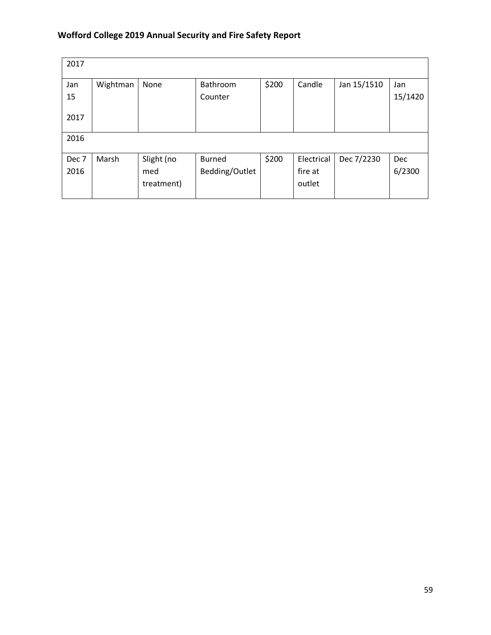| 2017             |          |            |                     |       |            |             |                |
|------------------|----------|------------|---------------------|-------|------------|-------------|----------------|
| Jan<br>15        | Wightman | None       | Bathroom<br>Counter | \$200 | Candle     | Jan 15/1510 | Jan<br>15/1420 |
| 2017             |          |            |                     |       |            |             |                |
|                  |          |            |                     |       |            |             |                |
| 2016             |          |            |                     |       |            |             |                |
| Dec <sub>7</sub> | Marsh    | Slight (no | <b>Burned</b>       | \$200 | Electrical | Dec 7/2230  | Dec            |
| 2016             |          | med        | Bedding/Outlet      |       | fire at    |             | 6/2300         |
|                  |          | treatment) |                     |       | outlet     |             |                |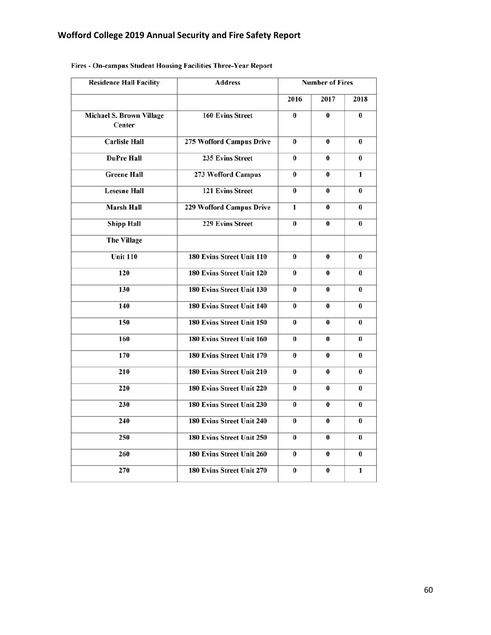| <b>Residence Hall Facility</b>            | <b>Address</b>            | <b>Number of Fires</b> |          |          |
|-------------------------------------------|---------------------------|------------------------|----------|----------|
|                                           |                           | 2016                   | 2017     | 2018     |
| <b>Michael S. Brown Village</b><br>Center | <b>160 Evins Street</b>   | $\bf{0}$               | 0        | $\bf{0}$ |
| <b>Carlisle Hall</b>                      | 275 Wofford Campus Drive  | $\bf{0}$               | $\bf{0}$ | $\bf{0}$ |
| <b>DuPre Hall</b>                         | 235 Evins Street          | 0                      | $\bf{0}$ | 0        |
| <b>Greene Hall</b>                        | 273 Wofford Campus        | 0                      | $\bf{0}$ | 1        |
| <b>Lesesne Hall</b>                       | <b>121 Evins Street</b>   | 0                      | $\bf{0}$ | $\bf{0}$ |
| <b>Marsh Hall</b>                         | 229 Wofford Campus Drive  | 1                      | $\bf{0}$ | $\bf{0}$ |
| <b>Shipp Hall</b>                         | <b>229 Evins Street</b>   | 0                      | $\bf{0}$ | $\bf{0}$ |
| <b>The Village</b>                        |                           |                        |          |          |
| Unit $110$                                | 180 Evins Street Unit 110 | $\bf{0}$               | $\bf{0}$ | $\bf{0}$ |
| 120                                       | 180 Evins Street Unit 120 | $\bf{0}$               | $\bf{0}$ | $\bf{0}$ |
| 130                                       | 180 Evins Street Unit 130 | 0                      | 0        | 0        |
| 140                                       | 180 Evins Street Unit 140 | $\bf{0}$               | $\bf{0}$ | $\bf{0}$ |
| 150                                       | 180 Evins Street Unit 150 | $\bf{0}$               | $\bf{0}$ | 0        |
| 160                                       | 180 Evins Street Unit 160 | $\bf{0}$               | $\bf{0}$ | $\bf{0}$ |
| 170                                       | 180 Evins Street Unit 170 | $\bf{0}$               | $\bf{0}$ | 0        |
| 210                                       | 180 Evins Street Unit 210 | $\bf{0}$               | 0        | 0        |
| 220                                       | 180 Evins Street Unit 220 | 0                      | 0        | 0        |
| 230                                       | 180 Evins Street Unit 230 | 0                      | $\bf{0}$ | 0        |
| 240                                       | 180 Evins Street Unit 240 | 0                      | $\bf{0}$ | 0        |
| 250                                       | 180 Evins Street Unit 250 | 0                      | $\bf{0}$ | 0        |
| 260                                       | 180 Evins Street Unit 260 | 0                      | $\bf{0}$ | 0        |
| 270                                       | 180 Evins Street Unit 270 | 0                      | $\bf{0}$ | 1        |

# Fires - On-campus Student Housing Facilities Three-Year Report